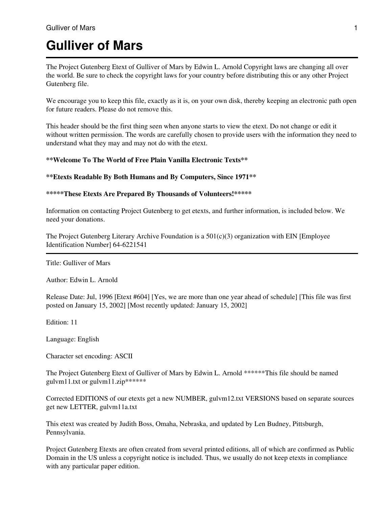# **Gulliver of Mars**

The Project Gutenberg Etext of Gulliver of Mars by Edwin L. Arnold Copyright laws are changing all over the world. Be sure to check the copyright laws for your country before distributing this or any other Project Gutenberg file.

We encourage you to keep this file, exactly as it is, on your own disk, thereby keeping an electronic path open for future readers. Please do not remove this.

This header should be the first thing seen when anyone starts to view the etext. Do not change or edit it without written permission. The words are carefully chosen to provide users with the information they need to understand what they may and may not do with the etext.

#### **\*\*Welcome To The World of Free Plain Vanilla Electronic Texts\*\***

#### **\*\*Etexts Readable By Both Humans and By Computers, Since 1971\*\***

#### **\*\*\*\*\*These Etexts Are Prepared By Thousands of Volunteers!\*\*\*\*\***

Information on contacting Project Gutenberg to get etexts, and further information, is included below. We need your donations.

The Project Gutenberg Literary Archive Foundation is a  $501(c)(3)$  organization with EIN [Employee] Identification Number] 64-6221541

Title: Gulliver of Mars

Author: Edwin L. Arnold

Release Date: Jul, 1996 [Etext #604] [Yes, we are more than one year ahead of schedule] [This file was first posted on January 15, 2002] [Most recently updated: January 15, 2002]

Edition: 11

Language: English

Character set encoding: ASCII

The Project Gutenberg Etext of Gulliver of Mars by Edwin L. Arnold \*\*\*\*\*\*This file should be named gulvm11.txt or gulvm11.zip\*\*\*\*\*\*

Corrected EDITIONS of our etexts get a new NUMBER, gulvm12.txt VERSIONS based on separate sources get new LETTER, gulvm11a.txt

This etext was created by Judith Boss, Omaha, Nebraska, and updated by Len Budney, Pittsburgh, Pennsylvania.

Project Gutenberg Etexts are often created from several printed editions, all of which are confirmed as Public Domain in the US unless a copyright notice is included. Thus, we usually do not keep etexts in compliance with any particular paper edition.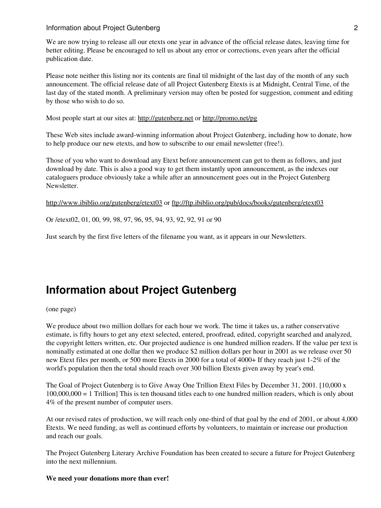#### **Information about Project Gutenberg 2** 2

We are now trying to release all our etexts one year in advance of the official release dates, leaving time for better editing. Please be encouraged to tell us about any error or corrections, even years after the official publication date.

Please note neither this listing nor its contents are final til midnight of the last day of the month of any such announcement. The official release date of all Project Gutenberg Etexts is at Midnight, Central Time, of the last day of the stated month. A preliminary version may often be posted for suggestion, comment and editing by those who wish to do so.

Most people start at our sites at:<http://gutenberg.net>or<http://promo.net/pg>

These Web sites include award-winning information about Project Gutenberg, including how to donate, how to help produce our new etexts, and how to subscribe to our email newsletter (free!).

Those of you who want to download any Etext before announcement can get to them as follows, and just download by date. This is also a good way to get them instantly upon announcement, as the indexes our cataloguers produce obviously take a while after an announcement goes out in the Project Gutenberg Newsletter.

<http://www.ibiblio.org/gutenberg/etext03>or<ftp://ftp.ibiblio.org/pub/docs/books/gutenberg/etext03>

Or /etext02, 01, 00, 99, 98, 97, 96, 95, 94, 93, 92, 92, 91 or 90

Just search by the first five letters of the filename you want, as it appears in our Newsletters.

# **Information about Project Gutenberg**

(one page)

We produce about two million dollars for each hour we work. The time it takes us, a rather conservative estimate, is fifty hours to get any etext selected, entered, proofread, edited, copyright searched and analyzed, the copyright letters written, etc. Our projected audience is one hundred million readers. If the value per text is nominally estimated at one dollar then we produce \$2 million dollars per hour in 2001 as we release over 50 new Etext files per month, or 500 more Etexts in 2000 for a total of 4000+ If they reach just 1-2% of the world's population then the total should reach over 300 billion Etexts given away by year's end.

The Goal of Project Gutenberg is to Give Away One Trillion Etext Files by December 31, 2001. [10,000 x 100,000,000 = 1 Trillion] This is ten thousand titles each to one hundred million readers, which is only about 4% of the present number of computer users.

At our revised rates of production, we will reach only one-third of that goal by the end of 2001, or about 4,000 Etexts. We need funding, as well as continued efforts by volunteers, to maintain or increase our production and reach our goals.

The Project Gutenberg Literary Archive Foundation has been created to secure a future for Project Gutenberg into the next millennium.

#### **We need your donations more than ever!**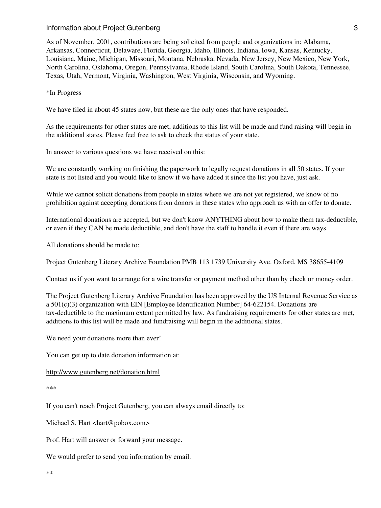#### **Information about Project Gutenberg 3** 3

As of November, 2001, contributions are being solicited from people and organizations in: Alabama, Arkansas, Connecticut, Delaware, Florida, Georgia, Idaho, Illinois, Indiana, Iowa, Kansas, Kentucky, Louisiana, Maine, Michigan, Missouri, Montana, Nebraska, Nevada, New Jersey, New Mexico, New York, North Carolina, Oklahoma, Oregon, Pennsylvania, Rhode Island, South Carolina, South Dakota, Tennessee, Texas, Utah, Vermont, Virginia, Washington, West Virginia, Wisconsin, and Wyoming.

\*In Progress

We have filed in about 45 states now, but these are the only ones that have responded.

As the requirements for other states are met, additions to this list will be made and fund raising will begin in the additional states. Please feel free to ask to check the status of your state.

In answer to various questions we have received on this:

We are constantly working on finishing the paperwork to legally request donations in all 50 states. If your state is not listed and you would like to know if we have added it since the list you have, just ask.

While we cannot solicit donations from people in states where we are not yet registered, we know of no prohibition against accepting donations from donors in these states who approach us with an offer to donate.

International donations are accepted, but we don't know ANYTHING about how to make them tax-deductible, or even if they CAN be made deductible, and don't have the staff to handle it even if there are ways.

All donations should be made to:

Project Gutenberg Literary Archive Foundation PMB 113 1739 University Ave. Oxford, MS 38655-4109

Contact us if you want to arrange for a wire transfer or payment method other than by check or money order.

The Project Gutenberg Literary Archive Foundation has been approved by the US Internal Revenue Service as a 501(c)(3) organization with EIN [Employee Identification Number] 64-622154. Donations are tax-deductible to the maximum extent permitted by law. As fundraising requirements for other states are met, additions to this list will be made and fundraising will begin in the additional states.

We need your donations more than ever!

You can get up to date donation information at:

<http://www.gutenberg.net/donation.html>

\*\*\*

If you can't reach Project Gutenberg, you can always email directly to:

Michael S. Hart <hart@pobox.com>

Prof. Hart will answer or forward your message.

We would prefer to send you information by email.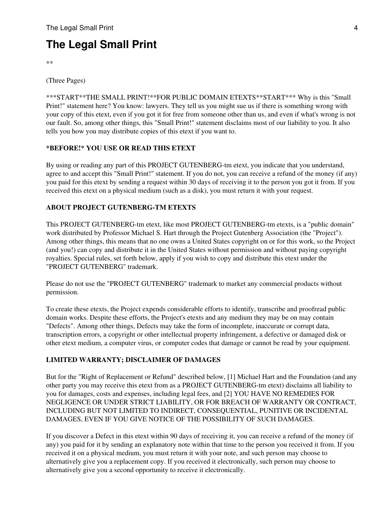# **The Legal Small Print**

\*\*

(Three Pages)

\*\*\*START\*\*THE SMALL PRINT!\*\*FOR PUBLIC DOMAIN ETEXTS\*\*START\*\*\* Why is this "Small Print!" statement here? You know: lawyers. They tell us you might sue us if there is something wrong with your copy of this etext, even if you got it for free from someone other than us, and even if what's wrong is not our fault. So, among other things, this "Small Print!" statement disclaims most of our liability to you. It also tells you how you may distribute copies of this etext if you want to.

## **\*BEFORE!\* YOU USE OR READ THIS ETEXT**

By using or reading any part of this PROJECT GUTENBERG-tm etext, you indicate that you understand, agree to and accept this "Small Print!" statement. If you do not, you can receive a refund of the money (if any) you paid for this etext by sending a request within 30 days of receiving it to the person you got it from. If you received this etext on a physical medium (such as a disk), you must return it with your request.

## **ABOUT PROJECT GUTENBERG-TM ETEXTS**

This PROJECT GUTENBERG-tm etext, like most PROJECT GUTENBERG-tm etexts, is a "public domain" work distributed by Professor Michael S. Hart through the Project Gutenberg Association (the "Project"). Among other things, this means that no one owns a United States copyright on or for this work, so the Project (and you!) can copy and distribute it in the United States without permission and without paying copyright royalties. Special rules, set forth below, apply if you wish to copy and distribute this etext under the "PROJECT GUTENBERG" trademark.

Please do not use the "PROJECT GUTENBERG" trademark to market any commercial products without permission.

To create these etexts, the Project expends considerable efforts to identify, transcribe and proofread public domain works. Despite these efforts, the Project's etexts and any medium they may be on may contain "Defects". Among other things, Defects may take the form of incomplete, inaccurate or corrupt data, transcription errors, a copyright or other intellectual property infringement, a defective or damaged disk or other etext medium, a computer virus, or computer codes that damage or cannot be read by your equipment.

## **LIMITED WARRANTY; DISCLAIMER OF DAMAGES**

But for the "Right of Replacement or Refund" described below, [1] Michael Hart and the Foundation (and any other party you may receive this etext from as a PROJECT GUTENBERG-tm etext) disclaims all liability to you for damages, costs and expenses, including legal fees, and [2] YOU HAVE NO REMEDIES FOR NEGLIGENCE OR UNDER STRICT LIABILITY, OR FOR BREACH OF WARRANTY OR CONTRACT, INCLUDING BUT NOT LIMITED TO INDIRECT, CONSEQUENTIAL, PUNITIVE OR INCIDENTAL DAMAGES, EVEN IF YOU GIVE NOTICE OF THE POSSIBILITY OF SUCH DAMAGES.

If you discover a Defect in this etext within 90 days of receiving it, you can receive a refund of the money (if any) you paid for it by sending an explanatory note within that time to the person you received it from. If you received it on a physical medium, you must return it with your note, and such person may choose to alternatively give you a replacement copy. If you received it electronically, such person may choose to alternatively give you a second opportunity to receive it electronically.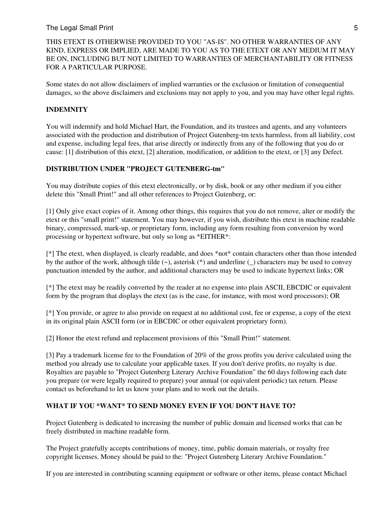#### The Legal Small Print 5

## THIS ETEXT IS OTHERWISE PROVIDED TO YOU "AS-IS". NO OTHER WARRANTIES OF ANY KIND, EXPRESS OR IMPLIED, ARE MADE TO YOU AS TO THE ETEXT OR ANY MEDIUM IT MAY BE ON, INCLUDING BUT NOT LIMITED TO WARRANTIES OF MERCHANTABILITY OR FITNESS FOR A PARTICULAR PURPOSE.

Some states do not allow disclaimers of implied warranties or the exclusion or limitation of consequential damages, so the above disclaimers and exclusions may not apply to you, and you may have other legal rights.

#### **INDEMNITY**

You will indemnify and hold Michael Hart, the Foundation, and its trustees and agents, and any volunteers associated with the production and distribution of Project Gutenberg-tm texts harmless, from all liability, cost and expense, including legal fees, that arise directly or indirectly from any of the following that you do or cause: [1] distribution of this etext, [2] alteration, modification, or addition to the etext, or [3] any Defect.

#### **DISTRIBUTION UNDER "PROJECT GUTENBERG-tm"**

You may distribute copies of this etext electronically, or by disk, book or any other medium if you either delete this "Small Print!" and all other references to Project Gutenberg, or:

[1] Only give exact copies of it. Among other things, this requires that you do not remove, alter or modify the etext or this "small print!" statement. You may however, if you wish, distribute this etext in machine readable binary, compressed, mark-up, or proprietary form, including any form resulting from conversion by word processing or hypertext software, but only so long as \*EITHER\*:

[\*] The etext, when displayed, is clearly readable, and does \*not\* contain characters other than those intended by the author of the work, although tilde  $(\sim)$ , asterisk  $(*)$  and underline () characters may be used to convey punctuation intended by the author, and additional characters may be used to indicate hypertext links; OR

[\*] The etext may be readily converted by the reader at no expense into plain ASCII, EBCDIC or equivalent form by the program that displays the etext (as is the case, for instance, with most word processors); OR

[\*] You provide, or agree to also provide on request at no additional cost, fee or expense, a copy of the etext in its original plain ASCII form (or in EBCDIC or other equivalent proprietary form).

[2] Honor the etext refund and replacement provisions of this "Small Print!" statement.

[3] Pay a trademark license fee to the Foundation of 20% of the gross profits you derive calculated using the method you already use to calculate your applicable taxes. If you don't derive profits, no royalty is due. Royalties are payable to "Project Gutenberg Literary Archive Foundation" the 60 days following each date you prepare (or were legally required to prepare) your annual (or equivalent periodic) tax return. Please contact us beforehand to let us know your plans and to work out the details.

## **WHAT IF YOU \*WANT\* TO SEND MONEY EVEN IF YOU DON'T HAVE TO?**

Project Gutenberg is dedicated to increasing the number of public domain and licensed works that can be freely distributed in machine readable form.

The Project gratefully accepts contributions of money, time, public domain materials, or royalty free copyright licenses. Money should be paid to the: "Project Gutenberg Literary Archive Foundation."

If you are interested in contributing scanning equipment or software or other items, please contact Michael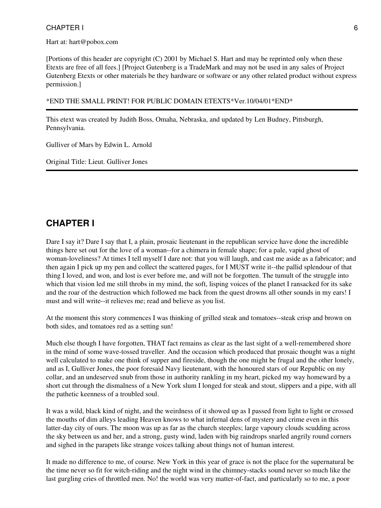Hart at: hart@pobox.com

[Portions of this header are copyright (C) 2001 by Michael S. Hart and may be reprinted only when these Etexts are free of all fees.] [Project Gutenberg is a TradeMark and may not be used in any sales of Project Gutenberg Etexts or other materials be they hardware or software or any other related product without express permission.]

\*END THE SMALL PRINT! FOR PUBLIC DOMAIN ETEXTS\*Ver.10/04/01\*END\*

This etext was created by Judith Boss, Omaha, Nebraska, and updated by Len Budney, Pittsburgh, Pennsylvania.

Gulliver of Mars by Edwin L. Arnold

Original Title: Lieut. Gulliver Jones

# **CHAPTER I**

Dare I say it? Dare I say that I, a plain, prosaic lieutenant in the republican service have done the incredible things here set out for the love of a woman--for a chimera in female shape; for a pale, vapid ghost of woman-loveliness? At times I tell myself I dare not: that you will laugh, and cast me aside as a fabricator; and then again I pick up my pen and collect the scattered pages, for I MUST write it--the pallid splendour of that thing I loved, and won, and lost is ever before me, and will not be forgotten. The tumult of the struggle into which that vision led me still throbs in my mind, the soft, lisping voices of the planet I ransacked for its sake and the roar of the destruction which followed me back from the quest drowns all other sounds in my ears! I must and will write--it relieves me; read and believe as you list.

At the moment this story commences I was thinking of grilled steak and tomatoes--steak crisp and brown on both sides, and tomatoes red as a setting sun!

Much else though I have forgotten, THAT fact remains as clear as the last sight of a well-remembered shore in the mind of some wave-tossed traveller. And the occasion which produced that prosaic thought was a night well calculated to make one think of supper and fireside, though the one might be frugal and the other lonely, and as I, Gulliver Jones, the poor foresaid Navy lieutenant, with the honoured stars of our Republic on my collar, and an undeserved snub from those in authority rankling in my heart, picked my way homeward by a short cut through the dismalness of a New York slum I longed for steak and stout, slippers and a pipe, with all the pathetic keenness of a troubled soul.

It was a wild, black kind of night, and the weirdness of it showed up as I passed from light to light or crossed the mouths of dim alleys leading Heaven knows to what infernal dens of mystery and crime even in this latter-day city of ours. The moon was up as far as the church steeples; large vapoury clouds scudding across the sky between us and her, and a strong, gusty wind, laden with big raindrops snarled angrily round corners and sighed in the parapets like strange voices talking about things not of human interest.

It made no difference to me, of course. New York in this year of grace is not the place for the supernatural be the time never so fit for witch-riding and the night wind in the chimney-stacks sound never so much like the last gurgling cries of throttled men. No! the world was very matter-of-fact, and particularly so to me, a poor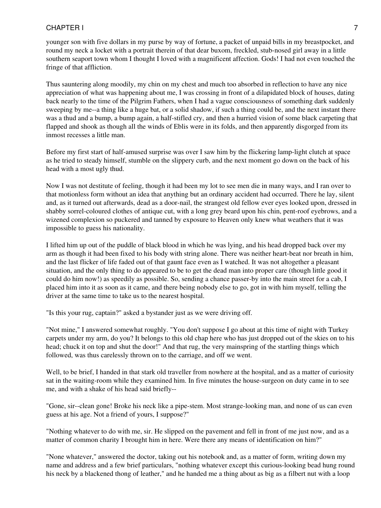younger son with five dollars in my purse by way of fortune, a packet of unpaid bills in my breastpocket, and round my neck a locket with a portrait therein of that dear buxom, freckled, stub-nosed girl away in a little southern seaport town whom I thought I loved with a magnificent affection. Gods! I had not even touched the fringe of that affliction.

Thus sauntering along moodily, my chin on my chest and much too absorbed in reflection to have any nice appreciation of what was happening about me, I was crossing in front of a dilapidated block of houses, dating back nearly to the time of the Pilgrim Fathers, when I had a vague consciousness of something dark suddenly sweeping by me--a thing like a huge bat, or a solid shadow, if such a thing could be, and the next instant there was a thud and a bump, a bump again, a half-stifled cry, and then a hurried vision of some black carpeting that flapped and shook as though all the winds of Eblis were in its folds, and then apparently disgorged from its inmost recesses a little man.

Before my first start of half-amused surprise was over I saw him by the flickering lamp-light clutch at space as he tried to steady himself, stumble on the slippery curb, and the next moment go down on the back of his head with a most ugly thud.

Now I was not destitute of feeling, though it had been my lot to see men die in many ways, and I ran over to that motionless form without an idea that anything but an ordinary accident had occurred. There he lay, silent and, as it turned out afterwards, dead as a door-nail, the strangest old fellow ever eyes looked upon, dressed in shabby sorrel-coloured clothes of antique cut, with a long grey beard upon his chin, pent-roof eyebrows, and a wizened complexion so puckered and tanned by exposure to Heaven only knew what weathers that it was impossible to guess his nationality.

I lifted him up out of the puddle of black blood in which he was lying, and his head dropped back over my arm as though it had been fixed to his body with string alone. There was neither heart-beat nor breath in him, and the last flicker of life faded out of that gaunt face even as I watched. It was not altogether a pleasant situation, and the only thing to do appeared to be to get the dead man into proper care (though little good it could do him now!) as speedily as possible. So, sending a chance passer-by into the main street for a cab, I placed him into it as soon as it came, and there being nobody else to go, got in with him myself, telling the driver at the same time to take us to the nearest hospital.

"Is this your rug, captain?" asked a bystander just as we were driving off.

"Not mine," I answered somewhat roughly. "You don't suppose I go about at this time of night with Turkey carpets under my arm, do you? It belongs to this old chap here who has just dropped out of the skies on to his head; chuck it on top and shut the door!" And that rug, the very mainspring of the startling things which followed, was thus carelessly thrown on to the carriage, and off we went.

Well, to be brief, I handed in that stark old traveller from nowhere at the hospital, and as a matter of curiosity sat in the waiting-room while they examined him. In five minutes the house-surgeon on duty came in to see me, and with a shake of his head said briefly--

"Gone, sir--clean gone! Broke his neck like a pipe-stem. Most strange-looking man, and none of us can even guess at his age. Not a friend of yours, I suppose?"

"Nothing whatever to do with me, sir. He slipped on the pavement and fell in front of me just now, and as a matter of common charity I brought him in here. Were there any means of identification on him?"

"None whatever," answered the doctor, taking out his notebook and, as a matter of form, writing down my name and address and a few brief particulars, "nothing whatever except this curious-looking bead hung round his neck by a blackened thong of leather," and he handed me a thing about as big as a filbert nut with a loop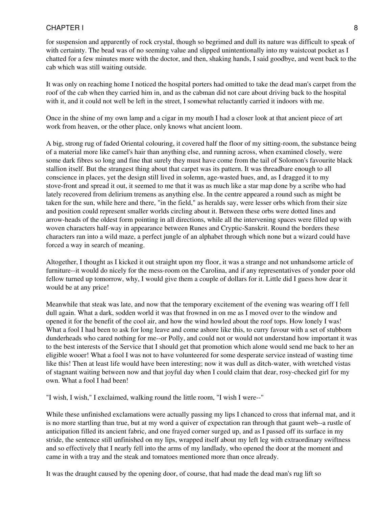for suspension and apparently of rock crystal, though so begrimed and dull its nature was difficult to speak of with certainty. The bead was of no seeming value and slipped unintentionally into my waistcoat pocket as I chatted for a few minutes more with the doctor, and then, shaking hands, I said goodbye, and went back to the cab which was still waiting outside.

It was only on reaching home I noticed the hospital porters had omitted to take the dead man's carpet from the roof of the cab when they carried him in, and as the cabman did not care about driving back to the hospital with it, and it could not well be left in the street, I somewhat reluctantly carried it indoors with me.

Once in the shine of my own lamp and a cigar in my mouth I had a closer look at that ancient piece of art work from heaven, or the other place, only knows what ancient loom.

A big, strong rug of faded Oriental colouring, it covered half the floor of my sitting-room, the substance being of a material more like camel's hair than anything else, and running across, when examined closely, were some dark fibres so long and fine that surely they must have come from the tail of Solomon's favourite black stallion itself. But the strangest thing about that carpet was its pattern. It was threadbare enough to all conscience in places, yet the design still lived in solemn, age-wasted hues, and, as I dragged it to my stove-front and spread it out, it seemed to me that it was as much like a star map done by a scribe who had lately recovered from delirium tremens as anything else. In the centre appeared a round such as might be taken for the sun, while here and there, "in the field," as heralds say, were lesser orbs which from their size and position could represent smaller worlds circling about it. Between these orbs were dotted lines and arrow-heads of the oldest form pointing in all directions, while all the intervening spaces were filled up with woven characters half-way in appearance between Runes and Cryptic-Sanskrit. Round the borders these characters ran into a wild maze, a perfect jungle of an alphabet through which none but a wizard could have forced a way in search of meaning.

Altogether, I thought as I kicked it out straight upon my floor, it was a strange and not unhandsome article of furniture--it would do nicely for the mess-room on the Carolina, and if any representatives of yonder poor old fellow turned up tomorrow, why, I would give them a couple of dollars for it. Little did I guess how dear it would be at any price!

Meanwhile that steak was late, and now that the temporary excitement of the evening was wearing off I fell dull again. What a dark, sodden world it was that frowned in on me as I moved over to the window and opened it for the benefit of the cool air, and how the wind howled about the roof tops. How lonely I was! What a fool I had been to ask for long leave and come ashore like this, to curry favour with a set of stubborn dunderheads who cared nothing for me--or Polly, and could not or would not understand how important it was to the best interests of the Service that I should get that promotion which alone would send me back to her an eligible wooer! What a fool I was not to have volunteered for some desperate service instead of wasting time like this! Then at least life would have been interesting; now it was dull as ditch-water, with wretched vistas of stagnant waiting between now and that joyful day when I could claim that dear, rosy-checked girl for my own. What a fool I had been!

"I wish, I wish," I exclaimed, walking round the little room, "I wish I were--"

While these unfinished exclamations were actually passing my lips I chanced to cross that infernal mat, and it is no more startling than true, but at my word a quiver of expectation ran through that gaunt web--a rustle of anticipation filled its ancient fabric, and one frayed corner surged up, and as I passed off its surface in my stride, the sentence still unfinished on my lips, wrapped itself about my left leg with extraordinary swiftness and so effectively that I nearly fell into the arms of my landlady, who opened the door at the moment and came in with a tray and the steak and tomatoes mentioned more than once already.

It was the draught caused by the opening door, of course, that had made the dead man's rug lift so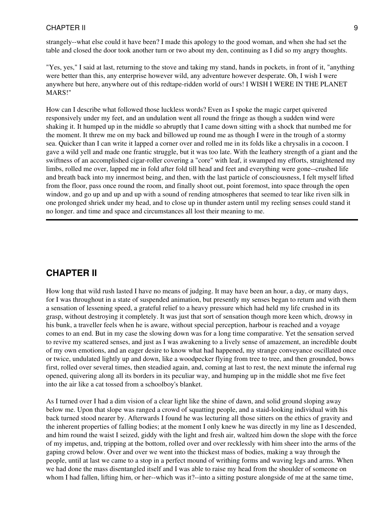strangely--what else could it have been? I made this apology to the good woman, and when she had set the table and closed the door took another turn or two about my den, continuing as I did so my angry thoughts.

"Yes, yes," I said at last, returning to the stove and taking my stand, hands in pockets, in front of it, "anything were better than this, any enterprise however wild, any adventure however desperate. Oh, I wish I were anywhere but here, anywhere out of this redtape-ridden world of ours! I WISH I WERE IN THE PLANET MARS!"

How can I describe what followed those luckless words? Even as I spoke the magic carpet quivered responsively under my feet, and an undulation went all round the fringe as though a sudden wind were shaking it. It humped up in the middle so abruptly that I came down sitting with a shock that numbed me for the moment. It threw me on my back and billowed up round me as though I were in the trough of a stormy sea. Quicker than I can write it lapped a corner over and rolled me in its folds like a chrysalis in a cocoon. I gave a wild yell and made one frantic struggle, but it was too late. With the leathery strength of a giant and the swiftness of an accomplished cigar-roller covering a "core" with leaf, it swamped my efforts, straightened my limbs, rolled me over, lapped me in fold after fold till head and feet and everything were gone--crushed life and breath back into my innermost being, and then, with the last particle of consciousness, I felt myself lifted from the floor, pass once round the room, and finally shoot out, point foremost, into space through the open window, and go up and up and up with a sound of rending atmospheres that seemed to tear like riven silk in one prolonged shriek under my head, and to close up in thunder astern until my reeling senses could stand it no longer. and time and space and circumstances all lost their meaning to me.

## **CHAPTER II**

How long that wild rush lasted I have no means of judging. It may have been an hour, a day, or many days, for I was throughout in a state of suspended animation, but presently my senses began to return and with them a sensation of lessening speed, a grateful relief to a heavy pressure which had held my life crushed in its grasp, without destroying it completely. It was just that sort of sensation though more keen which, drowsy in his bunk, a traveller feels when he is aware, without special perception, harbour is reached and a voyage comes to an end. But in my case the slowing down was for a long time comparative. Yet the sensation served to revive my scattered senses, and just as I was awakening to a lively sense of amazement, an incredible doubt of my own emotions, and an eager desire to know what had happened, my strange conveyance oscillated once or twice, undulated lightly up and down, like a woodpecker flying from tree to tree, and then grounded, bows first, rolled over several times, then steadied again, and, coming at last to rest, the next minute the infernal rug opened, quivering along all its borders in its peculiar way, and humping up in the middle shot me five feet into the air like a cat tossed from a schoolboy's blanket.

As I turned over I had a dim vision of a clear light like the shine of dawn, and solid ground sloping away below me. Upon that slope was ranged a crowd of squatting people, and a staid-looking individual with his back turned stood nearer by. Afterwards I found he was lecturing all those sitters on the ethics of gravity and the inherent properties of falling bodies; at the moment I only knew he was directly in my line as I descended, and him round the waist I seized, giddy with the light and fresh air, waltzed him down the slope with the force of my impetus, and, tripping at the bottom, rolled over and over recklessly with him sheer into the arms of the gaping crowd below. Over and over we went into the thickest mass of bodies, making a way through the people, until at last we came to a stop in a perfect mound of writhing forms and waving legs and arms. When we had done the mass disentangled itself and I was able to raise my head from the shoulder of someone on whom I had fallen, lifting him, or her--which was it?--into a sitting posture alongside of me at the same time,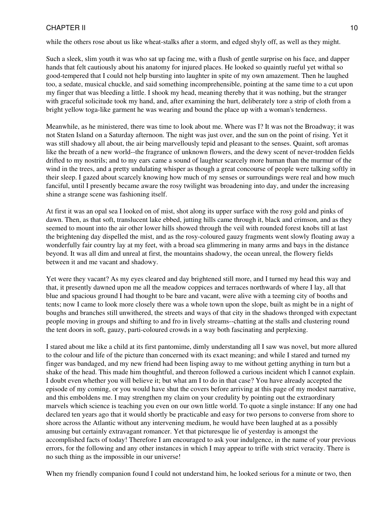while the others rose about us like wheat-stalks after a storm, and edged shyly off, as well as they might.

Such a sleek, slim youth it was who sat up facing me, with a flush of gentle surprise on his face, and dapper hands that felt cautiously about his anatomy for injured places. He looked so quaintly rueful yet withal so good-tempered that I could not help bursting into laughter in spite of my own amazement. Then he laughed too, a sedate, musical chuckle, and said something incomprehensible, pointing at the same time to a cut upon my finger that was bleeding a little. I shook my head, meaning thereby that it was nothing, but the stranger with graceful solicitude took my hand, and, after examining the hurt, deliberately tore a strip of cloth from a bright yellow toga-like garment he was wearing and bound the place up with a woman's tenderness.

Meanwhile, as he ministered, there was time to look about me. Where was I? It was not the Broadway; it was not Staten Island on a Saturday afternoon. The night was just over, and the sun on the point of rising. Yet it was still shadowy all about, the air being marvellously tepid and pleasant to the senses. Quaint, soft aromas like the breath of a new world--the fragrance of unknown flowers, and the dewy scent of never-trodden fields drifted to my nostrils; and to my ears came a sound of laughter scarcely more human than the murmur of the wind in the trees, and a pretty undulating whisper as though a great concourse of people were talking softly in their sleep. I gazed about scarcely knowing how much of my senses or surroundings were real and how much fanciful, until I presently became aware the rosy twilight was broadening into day, and under the increasing shine a strange scene was fashioning itself.

At first it was an opal sea I looked on of mist, shot along its upper surface with the rosy gold and pinks of dawn. Then, as that soft, translucent lake ebbed, jutting hills came through it, black and crimson, and as they seemed to mount into the air other lower hills showed through the veil with rounded forest knobs till at last the brightening day dispelled the mist, and as the rosy-coloured gauzy fragments went slowly floating away a wonderfully fair country lay at my feet, with a broad sea glimmering in many arms and bays in the distance beyond. It was all dim and unreal at first, the mountains shadowy, the ocean unreal, the flowery fields between it and me vacant and shadowy.

Yet were they vacant? As my eyes cleared and day brightened still more, and I turned my head this way and that, it presently dawned upon me all the meadow coppices and terraces northwards of where I lay, all that blue and spacious ground I had thought to be bare and vacant, were alive with a teeming city of booths and tents; now I came to look more closely there was a whole town upon the slope, built as might be in a night of boughs and branches still unwithered, the streets and ways of that city in the shadows thronged with expectant people moving in groups and shifting to and fro in lively streams--chatting at the stalls and clustering round the tent doors in soft, gauzy, parti-coloured crowds in a way both fascinating and perplexing.

I stared about me like a child at its first pantomime, dimly understanding all I saw was novel, but more allured to the colour and life of the picture than concerned with its exact meaning; and while I stared and turned my finger was bandaged, and my new friend had been lisping away to me without getting anything in turn but a shake of the head. This made him thoughtful, and thereon followed a curious incident which I cannot explain. I doubt even whether you will believe it; but what am I to do in that case? You have already accepted the episode of my coming, or you would have shut the covers before arriving at this page of my modest narrative, and this emboldens me. I may strengthen my claim on your credulity by pointing out the extraordinary marvels which science is teaching you even on our own little world. To quote a single instance: If any one had declared ten years ago that it would shortly be practicable and easy for two persons to converse from shore to shore across the Atlantic without any intervening medium, he would have been laughed at as a possibly amusing but certainly extravagant romancer. Yet that picturesque lie of yesterday is amongst the accomplished facts of today! Therefore I am encouraged to ask your indulgence, in the name of your previous errors, for the following and any other instances in which I may appear to trifle with strict veracity. There is no such thing as the impossible in our universe!

When my friendly companion found I could not understand him, he looked serious for a minute or two, then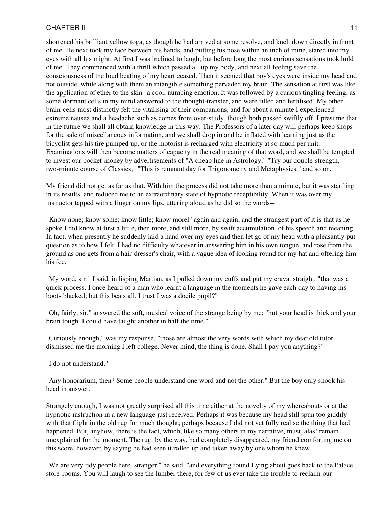shortened his brilliant yellow toga, as though he had arrived at some resolve, and knelt down directly in front of me. He next took my face between his hands, and putting his nose within an inch of mine, stared into my eyes with all his might. At first I was inclined to laugh, but before long the most curious sensations took hold of me. They commenced with a thrill which passed all up my body, and next all feeling save the consciousness of the loud beating of my heart ceased. Then it seemed that boy's eyes were inside my head and not outside, while along with them an intangible something pervaded my brain. The sensation at first was like the application of ether to the skin--a cool, numbing emotion. It was followed by a curious tingling feeling, as some dormant cells in my mind answered to the thought-transfer, and were filled and fertilised! My other brain-cells most distinctly felt the vitalising of their companions, and for about a minute I experienced extreme nausea and a headache such as comes from over-study, though both passed swiftly off. I presume that in the future we shall all obtain knowledge in this way. The Professors of a later day will perhaps keep shops for the sale of miscellaneous information, and we shall drop in and be inflated with learning just as the bicyclist gets his tire pumped up, or the motorist is recharged with electricity at so much per unit. Examinations will then become matters of capacity in the real meaning of that word, and we shall be tempted to invest our pocket-money by advertisements of "A cheap line in Astrology," "Try our double-strength, two-minute course of Classics," "This is remnant day for Trigonometry and Metaphysics," and so on.

My friend did not get as far as that. With him the process did not take more than a minute, but it was startling in its results, and reduced me to an extraordinary state of hypnotic receptibility. When it was over my instructor tapped with a finger on my lips, uttering aloud as he did so the words--

"Know none; know some; know little; know morel" again and again; and the strangest part of it is that as he spoke I did know at first a little, then more, and still more, by swift accumulation, of his speech and meaning. In fact, when presently he suddenly laid a hand over my eyes and then let go of my head with a pleasantly put question as to how I felt, I had no difficulty whatever in answering him in his own tongue, and rose from the ground as one gets from a hair-dresser's chair, with a vague idea of looking round for my hat and offering him his fee.

"My word, sir!" I said, in lisping Martian, as I pulled down my cuffs and put my cravat straight, "that was a quick process. I once heard of a man who learnt a language in the moments he gave each day to having his boots blacked; but this beats all. I trust I was a docile pupil?"

"Oh, fairly, sir," answered the soft, musical voice of the strange being by me; "but your head is thick and your brain tough. I could have taught another in half the time."

"Curiously enough," was my response, "those are almost the very words with which my dear old tutor dismissed me the morning I left college. Never mind, the thing is done. Shall I pay you anything?"

"I do not understand."

"Any honorarium, then? Some people understand one word and not the other." But the boy only shook his head in answer.

Strangely enough, I was not greatly surprised all this time either at the novelty of my whereabouts or at the hypnotic instruction in a new language just received. Perhaps it was because my head still spun too giddily with that flight in the old rug for much thought; perhaps because I did not yet fully realise the thing that had happened. But, anyhow, there is the fact, which, like so many others in my narrative, must, alas! remain unexplained for the moment. The rug, by the way, had completely disappeared, my friend comforting me on this score, however, by saying he had seen it rolled up and taken away by one whom he knew.

"We are very tidy people here, stranger," he said, "and everything found Lying about goes back to the Palace store-rooms. You will laugh to see the lumber there, for few of us ever take the trouble to reclaim our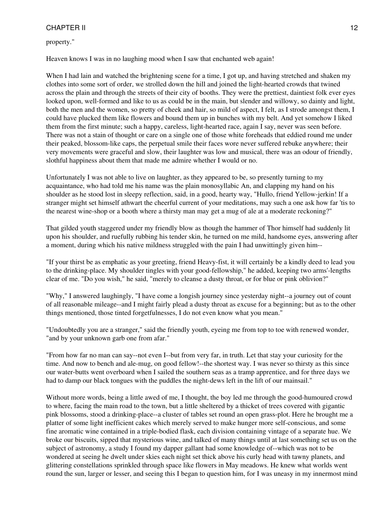property."

Heaven knows I was in no laughing mood when I saw that enchanted web again!

When I had lain and watched the brightening scene for a time, I got up, and having stretched and shaken my clothes into some sort of order, we strolled down the hill and joined the light-hearted crowds that twined across the plain and through the streets of their city of booths. They were the prettiest, daintiest folk ever eyes looked upon, well-formed and like to us as could be in the main, but slender and willowy, so dainty and light, both the men and the women, so pretty of cheek and hair, so mild of aspect, I felt, as I strode amongst them, I could have plucked them like flowers and bound them up in bunches with my belt. And yet somehow I liked them from the first minute; such a happy, careless, light-hearted race, again I say, never was seen before. There was not a stain of thought or care on a single one of those white foreheads that eddied round me under their peaked, blossom-like caps, the perpetual smile their faces wore never suffered rebuke anywhere; their very movements were graceful and slow, their laughter was low and musical, there was an odour of friendly, slothful happiness about them that made me admire whether I would or no.

Unfortunately I was not able to live on laughter, as they appeared to be, so presently turning to my acquaintance, who had told me his name was the plain monosyllabic An, and clapping my hand on his shoulder as he stood lost in sleepy reflection, said, in a good, hearty way, "Hullo, friend Yellow-jerkin! If a stranger might set himself athwart the cheerful current of your meditations, may such a one ask how far 'tis to the nearest wine-shop or a booth where a thirsty man may get a mug of ale at a moderate reckoning?"

That gilded youth staggered under my friendly blow as though the hammer of Thor himself had suddenly lit upon his shoulder, and ruefully rubbing his tender skin, he turned on me mild, handsome eyes, answering after a moment, during which his native mildness struggled with the pain I had unwittingly given him--

"If your thirst be as emphatic as your greeting, friend Heavy-fist, it will certainly be a kindly deed to lead you to the drinking-place. My shoulder tingles with your good-fellowship," he added, keeping two arms'-lengths clear of me. "Do you wish," he said, "merely to cleanse a dusty throat, or for blue or pink oblivion?"

"Why," I answered laughingly, "I have come a longish journey since yesterday night--a journey out of count of all reasonable mileage--and I might fairly plead a dusty throat as excuse for a beginning; but as to the other things mentioned, those tinted forgetfulnesses, I do not even know what you mean."

"Undoubtedly you are a stranger," said the friendly youth, eyeing me from top to toe with renewed wonder, "and by your unknown garb one from afar."

"From how far no man can say--not even I--but from very far, in truth. Let that stay your curiosity for the time. And now to bench and ale-mug, on good fellow!--the shortest way. I was never so thirsty as this since our water-butts went overboard when I sailed the southern seas as a tramp apprentice, and for three days we had to damp our black tongues with the puddles the night-dews left in the lift of our mainsail."

Without more words, being a little awed of me, I thought, the boy led me through the good-humoured crowd to where, facing the main road to the town, but a little sheltered by a thicket of trees covered with gigantic pink blossoms, stood a drinking-place--a cluster of tables set round an open grass-plot. Here he brought me a platter of some light inefficient cakes which merely served to make hunger more self-conscious, and some fine aromatic wine contained in a triple-bodied flask, each division containing vintage of a separate hue. We broke our biscuits, sipped that mysterious wine, and talked of many things until at last something set us on the subject of astronomy, a study I found my dapper gallant had some knowledge of--which was not to be wondered at seeing he dwelt under skies each night set thick above his curly head with tawny planets, and glittering constellations sprinkled through space like flowers in May meadows. He knew what worlds went round the sun, larger or lesser, and seeing this I began to question him, for I was uneasy in my innermost mind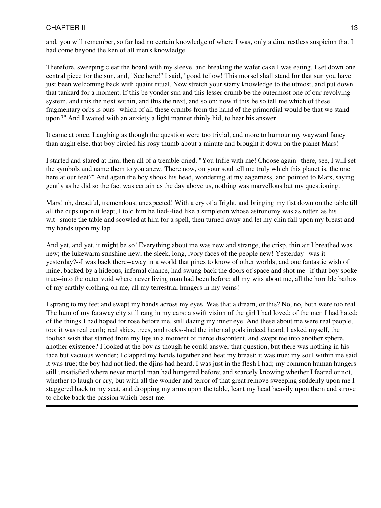and, you will remember, so far had no certain knowledge of where I was, only a dim, restless suspicion that I had come beyond the ken of all men's knowledge.

Therefore, sweeping clear the board with my sleeve, and breaking the wafer cake I was eating, I set down one central piece for the sun, and, "See here!" I said, "good fellow! This morsel shall stand for that sun you have just been welcoming back with quaint ritual. Now stretch your starry knowledge to the utmost, and put down that tankard for a moment. If this be yonder sun and this lesser crumb be the outermost one of our revolving system, and this the next within, and this the next, and so on; now if this be so tell me which of these fragmentary orbs is ours--which of all these crumbs from the hand of the primordial would be that we stand upon?" And I waited with an anxiety a light manner thinly hid, to hear his answer.

It came at once. Laughing as though the question were too trivial, and more to humour my wayward fancy than aught else, that boy circled his rosy thumb about a minute and brought it down on the planet Mars!

I started and stared at him; then all of a tremble cried, "You trifle with me! Choose again--there, see, I will set the symbols and name them to you anew. There now, on your soul tell me truly which this planet is, the one here at our feet?" And again the boy shook his head, wondering at my eagerness, and pointed to Mars, saying gently as he did so the fact was certain as the day above us, nothing was marvellous but my questioning.

Mars! oh, dreadful, tremendous, unexpected! With a cry of affright, and bringing my fist down on the table till all the cups upon it leapt, I told him he lied--lied like a simpleton whose astronomy was as rotten as his wit--smote the table and scowled at him for a spell, then turned away and let my chin fall upon my breast and my hands upon my lap.

And yet, and yet, it might be so! Everything about me was new and strange, the crisp, thin air I breathed was new; the lukewarm sunshine new; the sleek, long, ivory faces of the people new! Yesterday--was it yesterday?--I was back there--away in a world that pines to know of other worlds, and one fantastic wish of mine, backed by a hideous, infernal chance, had swung back the doors of space and shot me--if that boy spoke true--into the outer void where never living man had been before: all my wits about me, all the horrible bathos of my earthly clothing on me, all my terrestrial hungers in my veins!

I sprang to my feet and swept my hands across my eyes. Was that a dream, or this? No, no, both were too real. The hum of my faraway city still rang in my ears: a swift vision of the girl I had loved; of the men I had hated; of the things I had hoped for rose before me, still dazing my inner eye. And these about me were real people, too; it was real earth; real skies, trees, and rocks--had the infernal gods indeed heard, I asked myself, the foolish wish that started from my lips in a moment of fierce discontent, and swept me into another sphere, another existence? I looked at the boy as though he could answer that question, but there was nothing in his face but vacuous wonder; I clapped my hands together and beat my breast; it was true; my soul within me said it was true; the boy had not lied; the djins had heard; I was just in the flesh I had; my common human hungers still unsatisfied where never mortal man had hungered before; and scarcely knowing whether I feared or not, whether to laugh or cry, but with all the wonder and terror of that great remove sweeping suddenly upon me I staggered back to my seat, and dropping my arms upon the table, leant my head heavily upon them and strove to choke back the passion which beset me.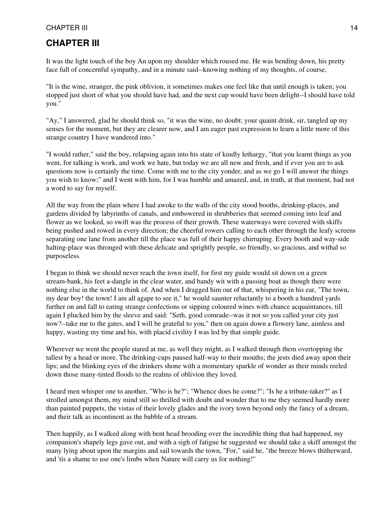# **CHAPTER III**

It was the light touch of the boy An upon my shoulder which roused me. He was bending down, his pretty face full of concernful sympathy, and in a minute said--knowing nothing of my thoughts, of course,

"It is the wine, stranger, the pink oblivion, it sometimes makes one feel like that until enough is taken; you stopped just short of what you should have had, and the next cup would have been delight--I should have told you."

"Ay," I answered, glad he should think so, "it was the wine, no doubt; your quaint drink, sir, tangled up my senses for the moment, but they are clearer now, and I am eager past expression to learn a little more of this strange country I have wandered into."

"I would rather," said the boy, relapsing again into his state of kindly lethargy, "that you learnt things as you went, for talking is work, and work we hate, but today we are all new and fresh, and if ever you are to ask questions now is certainly the time. Come with me to the city yonder, and as we go I will answer the things you wish to know;" and I went with him, for I was humble and amazed, and, in truth, at that moment, had not a word to say for myself.

All the way from the plain where I had awoke to the walls of the city stood booths, drinking-places, and gardens divided by labyrinths of canals, and embowered in shrubberies that seemed coming into leaf and flower as we looked, so swift was the process of their growth. These waterways were covered with skiffs being pushed and rowed in every direction; the cheerful rowers calling to each other through the leafy screens separating one lane from another till the place was full of their happy chirruping. Every booth and way-side halting-place was thronged with these delicate and sprightly people, so friendly, so gracious, and withal so purposeless.

I began to think we should never reach the town itself, for first my guide would sit down on a green stream-bank, his feet a-dangle in the clear water, and bandy wit with a passing boat as though there were nothing else in the world to think of. And when I dragged him out of that, whispering in his ear, "The town, my dear boy! the town! I am all agape to see it," he would saunter reluctantly to a booth a hundred yards further on and fall to eating strange confections or sipping coloured wines with chance acquaintances, till again I plucked him by the sleeve and said: "Seth, good comrade--was it not so you called your city just now?--take me to the gates, and I will be grateful to you," then on again down a flowery lane, aimless and happy, wasting my time and his, with placid civility I was led by that simple guide.

Wherever we went the people stared at me, as well they might, as I walked through them overtopping the tallest by a head or more. The drinking-cups paused half-way to their mouths; the jests died away upon their lips; and the blinking eyes of the drinkers shone with a momentary sparkle of wonder as their minds reeled down those many-tinted floods to the realms of oblivion they loved.

I heard men whisper one to another, "Who is he?"; "Whence does he come?"; "Is he a tribute-taker?" as I strolled amongst them, my mind still so thrilled with doubt and wonder that to me they seemed hardly more than painted puppets, the vistas of their lovely glades and the ivory town beyond only the fancy of a dream, and their talk as incontinent as the babble of a stream.

Then happily, as I walked along with bent head brooding over the incredible thing that had happened, my companion's shapely legs gave out, and with a sigh of fatigue he suggested we should take a skiff amongst the many lying about upon the margins and sail towards the town, "For," said he, "the breeze blows thitherward, and 'tis a shame to use one's limbs when Nature will carry us for nothing!"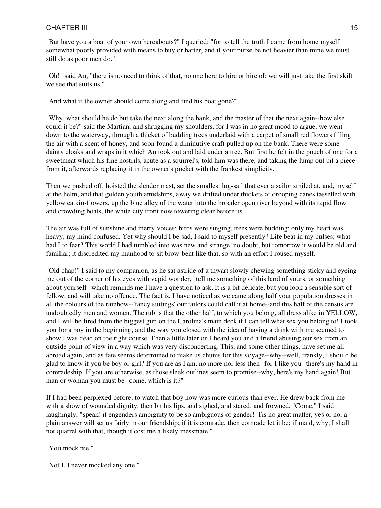"But have you a boat of your own hereabouts?" I queried; "for to tell the truth I came from home myself somewhat poorly provided with means to buy or barter, and if your purse be not heavier than mine we must still do as poor men do."

"Oh!" said An, "there is no need to think of that, no one here to hire or hire of; we will just take the first skiff we see that suits us."

"And what if the owner should come along and find his boat gone?"

"Why, what should he do but take the next along the bank, and the master of that the next again--how else could it be?" said the Martian, and shrugging my shoulders, for I was in no great mood to argue, we went down to the waterway, through a thicket of budding trees underlaid with a carpet of small red flowers filling the air with a scent of honey, and soon found a diminutive craft pulled up on the bank. There were some dainty cloaks and wraps in it which An took out and laid under a tree. But first he felt in the pouch of one for a sweetmeat which his fine nostrils, acute as a squirrel's, told him was there, and taking the lump out bit a piece from it, afterwards replacing it in the owner's pocket with the frankest simplicity.

Then we pushed off, hoisted the slender mast, set the smallest lug-sail that ever a sailor smiled at, and, myself at the helm, and that golden youth amidships, away we drifted under thickets of drooping canes tasselled with yellow catkin-flowers, up the blue alley of the water into the broader open river beyond with its rapid flow and crowding boats, the white city front now towering clear before us.

The air was full of sunshine and merry voices; birds were singing, trees were budding; only my heart was heavy, my mind confused. Yet why should I be sad, I said to myself presently? Life beat in my pulses; what had I to fear? This world I had tumbled into was new and strange, no doubt, but tomorrow it would be old and familiar; it discredited my manhood to sit brow-bent like that, so with an effort I roused myself.

"Old chap!" I said to my companion, as he sat astride of a thwart slowly chewing something sticky and eyeing me out of the corner of his eyes with vapid wonder, "tell me something of this land of yours, or something about yourself--which reminds me I have a question to ask. It is a bit delicate, but you look a sensible sort of fellow, and will take no offence. The fact is, I have noticed as we came along half your population dresses in all the colours of the rainbow--'fancy suitings' our tailors could call it at home--and this half of the census are undoubtedly men and women. The rub is that the other half, to which you belong, all dress alike in YELLOW, and I will be fired from the biggest gun on the Carolina's main deck if I can tell what sex you belong to! I took you for a boy in the beginning, and the way you closed with the idea of having a drink with me seemed to show I was dead on the right course. Then a little later on I heard you and a friend abusing our sex from an outside point of view in a way which was very disconcerting. This, and some other things, have set me all abroad again, and as fate seems determined to make us chums for this voyage--why--well, frankly, I should be glad to know if you be boy or girl? If you are as I am, no more nor less then--for I like you--there's my hand in comradeship. If you are otherwise, as those sleek outlines seem to promise--why, here's my hand again! But man or woman you must be--come, which is it?"

If I had been perplexed before, to watch that boy now was more curious than ever. He drew back from me with a show of wounded dignity, then bit his lips, and sighed, and stared, and frowned. "Come," I said laughingly, "speak! it engenders ambiguity to be so ambiguous of gender! Tis no great matter, yes or no, a plain answer will set us fairly in our friendship; if it is comrade, then comrade let it be; if maid, why, I shall not quarrel with that, though it cost me a likely messmate."

"You mock me."

"Not I, I never mocked any one."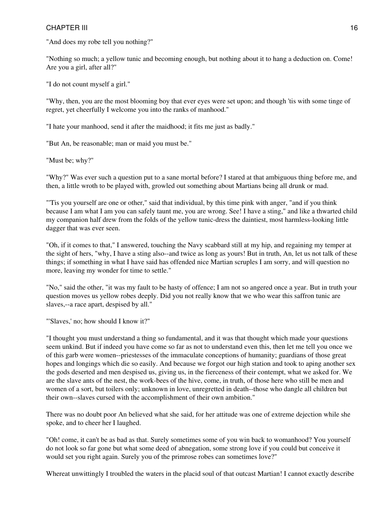"And does my robe tell you nothing?"

"Nothing so much; a yellow tunic and becoming enough, but nothing about it to hang a deduction on. Come! Are you a girl, after all?"

"I do not count myself a girl."

"Why, then, you are the most blooming boy that ever eyes were set upon; and though 'tis with some tinge of regret, yet cheerfully I welcome you into the ranks of manhood."

"I hate your manhood, send it after the maidhood; it fits me just as badly."

"But An, be reasonable; man or maid you must be."

"Must be; why?"

"Why?" Was ever such a question put to a sane mortal before? I stared at that ambiguous thing before me, and then, a little wroth to be played with, growled out something about Martians being all drunk or mad.

"'Tis you yourself are one or other," said that individual, by this time pink with anger, "and if you think because I am what I am you can safely taunt me, you are wrong. See! I have a sting," and like a thwarted child my companion half drew from the folds of the yellow tunic-dress the daintiest, most harmless-looking little dagger that was ever seen.

"Oh, if it comes to that," I answered, touching the Navy scabbard still at my hip, and regaining my temper at the sight of hers, "why, I have a sting also--and twice as long as yours! But in truth, An, let us not talk of these things; if something in what I have said has offended nice Martian scruples I am sorry, and will question no more, leaving my wonder for time to settle."

"No," said the other, "it was my fault to be hasty of offence; I am not so angered once a year. But in truth your question moves us yellow robes deeply. Did you not really know that we who wear this saffron tunic are slaves,--a race apart, despised by all."

"'Slaves,' no; how should I know it?"

"I thought you must understand a thing so fundamental, and it was that thought which made your questions seem unkind. But if indeed you have come so far as not to understand even this, then let me tell you once we of this garb were women--priestesses of the immaculate conceptions of humanity; guardians of those great hopes and longings which die so easily. And because we forgot our high station and took to aping another sex the gods deserted and men despised us, giving us, in the fierceness of their contempt, what we asked for. We are the slave ants of the nest, the work-bees of the hive, come, in truth, of those here who still be men and women of a sort, but toilers only; unknown in love, unregretted in death--those who dangle all children but their own--slaves cursed with the accomplishment of their own ambition."

There was no doubt poor An believed what she said, for her attitude was one of extreme dejection while she spoke, and to cheer her I laughed.

"Oh! come, it can't be as bad as that. Surely sometimes some of you win back to womanhood? You yourself do not look so far gone but what some deed of abnegation, some strong love if you could but conceive it would set you right again. Surely you of the primrose robes can sometimes love?"

Whereat unwittingly I troubled the waters in the placid soul of that outcast Martian! I cannot exactly describe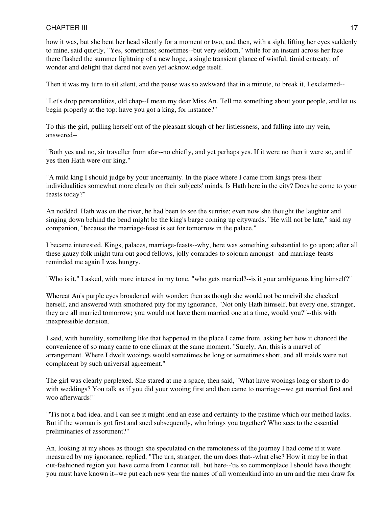how it was, but she bent her head silently for a moment or two, and then, with a sigh, lifting her eyes suddenly to mine, said quietly, "Yes, sometimes; sometimes--but very seldom," while for an instant across her face there flashed the summer lightning of a new hope, a single transient glance of wistful, timid entreaty; of wonder and delight that dared not even yet acknowledge itself.

Then it was my turn to sit silent, and the pause was so awkward that in a minute, to break it, I exclaimed--

"Let's drop personalities, old chap--I mean my dear Miss An. Tell me something about your people, and let us begin properly at the top: have you got a king, for instance?"

To this the girl, pulling herself out of the pleasant slough of her listlessness, and falling into my vein, answered--

"Both yes and no, sir traveller from afar--no chiefly, and yet perhaps yes. If it were no then it were so, and if yes then Hath were our king."

"A mild king I should judge by your uncertainty. In the place where I came from kings press their individualities somewhat more clearly on their subjects' minds. Is Hath here in the city? Does he come to your feasts today?"

An nodded. Hath was on the river, he had been to see the sunrise; even now she thought the laughter and singing down behind the bend might be the king's barge coming up citywards. "He will not be late," said my companion, "because the marriage-feast is set for tomorrow in the palace."

I became interested. Kings, palaces, marriage-feasts--why, here was something substantial to go upon; after all these gauzy folk might turn out good fellows, jolly comrades to sojourn amongst--and marriage-feasts reminded me again I was hungry.

"Who is it," I asked, with more interest in my tone, "who gets married?--is it your ambiguous king himself?"

Whereat An's purple eyes broadened with wonder: then as though she would not be uncivil she checked herself, and answered with smothered pity for my ignorance, "Not only Hath himself, but every one, stranger, they are all married tomorrow; you would not have them married one at a time, would you?"--this with inexpressible derision.

I said, with humility, something like that happened in the place I came from, asking her how it chanced the convenience of so many came to one climax at the same moment. "Surely, An, this is a marvel of arrangement. Where I dwelt wooings would sometimes be long or sometimes short, and all maids were not complacent by such universal agreement."

The girl was clearly perplexed. She stared at me a space, then said, "What have wooings long or short to do with weddings? You talk as if you did your wooing first and then came to marriage--we get married first and woo afterwards!"

"'Tis not a bad idea, and I can see it might lend an ease and certainty to the pastime which our method lacks. But if the woman is got first and sued subsequently, who brings you together? Who sees to the essential preliminaries of assortment?"

An, looking at my shoes as though she speculated on the remoteness of the journey I had come if it were measured by my ignorance, replied, "The urn, stranger, the urn does that--what else? How it may be in that out-fashioned region you have come from I cannot tell, but here--'tis so commonplace I should have thought you must have known it--we put each new year the names of all womenkind into an urn and the men draw for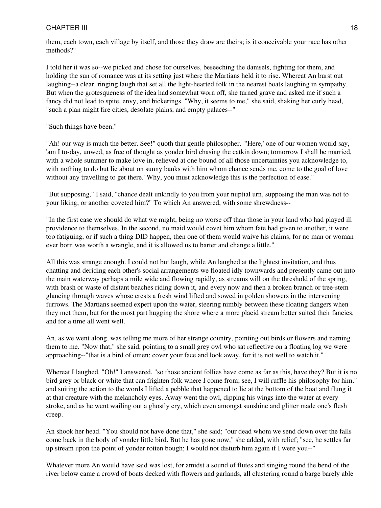them, each town, each village by itself, and those they draw are theirs; is it conceivable your race has other methods?"

I told her it was so--we picked and chose for ourselves, beseeching the damsels, fighting for them, and holding the sun of romance was at its setting just where the Martians held it to rise. Whereat An burst out laughing--a clear, ringing laugh that set all the light-hearted folk in the nearest boats laughing in sympathy. But when the grotesqueness of the idea had somewhat worn off, she turned grave and asked me if such a fancy did not lead to spite, envy, and bickerings. "Why, it seems to me," she said, shaking her curly head, "such a plan might fire cities, desolate plains, and empty palaces--"

"Such things have been."

"Ah! our way is much the better. See!" quoth that gentle philosopher. "'Here,' one of our women would say, 'am I to-day, unwed, as free of thought as yonder bird chasing the catkin down; tomorrow I shall be married, with a whole summer to make love in, relieved at one bound of all those uncertainties you acknowledge to, with nothing to do but lie about on sunny banks with him whom chance sends me, come to the goal of love without any travelling to get there.' Why, you must acknowledge this is the perfection of ease."

"But supposing," I said, "chance dealt unkindly to you from your nuptial urn, supposing the man was not to your liking, or another coveted him?" To which An answered, with some shrewdness--

"In the first case we should do what we might, being no worse off than those in your land who had played ill providence to themselves. In the second, no maid would covet him whom fate had given to another, it were too fatiguing, or if such a thing DID happen, then one of them would waive his claims, for no man or woman ever born was worth a wrangle, and it is allowed us to barter and change a little."

All this was strange enough. I could not but laugh, while An laughed at the lightest invitation, and thus chatting and deriding each other's social arrangements we floated idly townwards and presently came out into the main waterway perhaps a mile wide and flowing rapidly, as streams will on the threshold of the spring, with brash or waste of distant beaches riding down it, and every now and then a broken branch or tree-stem glancing through waves whose crests a fresh wind lifted and sowed in golden showers in the intervening furrows. The Martians seemed expert upon the water, steering nimbly between these floating dangers when they met them, but for the most part hugging the shore where a more placid stream better suited their fancies, and for a time all went well.

An, as we went along, was telling me more of her strange country, pointing out birds or flowers and naming them to me. "Now that," she said, pointing to a small grey owl who sat reflective on a floating log we were approaching--"that is a bird of omen; cover your face and look away, for it is not well to watch it."

Whereat I laughed. "Oh!" I answered, "so those ancient follies have come as far as this, have they? But it is no bird grey or black or white that can frighten folk where I come from; see, I will ruffle his philosophy for him," and suiting the action to the words I lifted a pebble that happened to lie at the bottom of the boat and flung it at that creature with the melancholy eyes. Away went the owl, dipping his wings into the water at every stroke, and as he went wailing out a ghostly cry, which even amongst sunshine and glitter made one's flesh creep.

An shook her head. "You should not have done that," she said; "our dead whom we send down over the falls come back in the body of yonder little bird. But he has gone now," she added, with relief; "see, he settles far up stream upon the point of yonder rotten bough; I would not disturb him again if I were you--"

Whatever more An would have said was lost, for amidst a sound of flutes and singing round the bend of the river below came a crowd of boats decked with flowers and garlands, all clustering round a barge barely able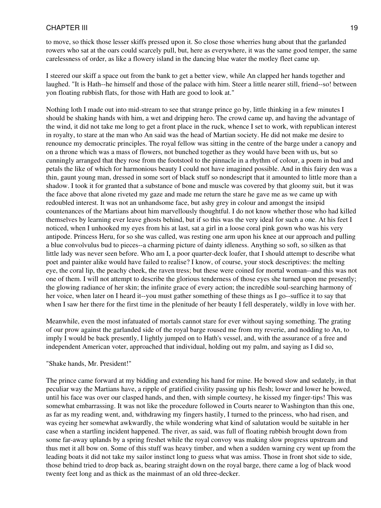to move, so thick those lesser skiffs pressed upon it. So close those wherries hung about that the garlanded rowers who sat at the oars could scarcely pull, but, here as everywhere, it was the same good temper, the same carelessness of order, as like a flowery island in the dancing blue water the motley fleet came up.

I steered our skiff a space out from the bank to get a better view, while An clapped her hands together and laughed. "It is Hath--he himself and those of the palace with him. Steer a little nearer still, friend--so! between yon floating rubbish flats, for those with Hath are good to look at."

Nothing loth I made out into mid-stream to see that strange prince go by, little thinking in a few minutes I should be shaking hands with him, a wet and dripping hero. The crowd came up, and having the advantage of the wind, it did not take me long to get a front place in the ruck, whence I set to work, with republican interest in royalty, to stare at the man who An said was the head of Martian society. He did not make me desire to renounce my democratic principles. The royal fellow was sitting in the centre of the barge under a canopy and on a throne which was a mass of flowers, not bunched together as they would have been with us, but so cunningly arranged that they rose from the footstool to the pinnacle in a rhythm of colour, a poem in bud and petals the like of which for harmonious beauty I could not have imagined possible. And in this fairy den was a thin, gaunt young man, dressed in some sort of black stuff so nondescript that it amounted to little more than a shadow. I took it for granted that a substance of bone and muscle was covered by that gloomy suit, but it was the face above that alone riveted my gaze and made me return the stare he gave me as we came up with redoubled interest. It was not an unhandsome face, but ashy grey in colour and amongst the insipid countenances of the Martians about him marvellously thoughtful. I do not know whether those who had killed themselves by learning ever leave ghosts behind, but if so this was the very ideal for such a one. At his feet I noticed, when I unhooked my eyes from his at last, sat a girl in a loose coral pink gown who was his very antipode. Princess Heru, for so she was called, was resting one arm upon his knee at our approach and pulling a blue convolvulus bud to pieces--a charming picture of dainty idleness. Anything so soft, so silken as that little lady was never seen before. Who am I, a poor quarter-deck loafer, that I should attempt to describe what poet and painter alike would have failed to realise? I know, of course, your stock descriptives: the melting eye, the coral lip, the peachy cheek, the raven tress; but these were coined for mortal woman--and this was not one of them. I will not attempt to describe the glorious tenderness of those eyes she turned upon me presently; the glowing radiance of her skin; the infinite grace of every action; the incredible soul-searching harmony of her voice, when later on I heard it--you must gather something of these things as I go--suffice it to say that when I saw her there for the first time in the plenitude of her beauty I fell desperately, wildly in love with her.

Meanwhile, even the most infatuated of mortals cannot stare for ever without saying something. The grating of our prow against the garlanded side of the royal barge roused me from my reverie, and nodding to An, to imply I would be back presently, I lightly jumped on to Hath's vessel, and, with the assurance of a free and independent American voter, approached that individual, holding out my palm, and saying as I did so,

#### "Shake hands, Mr. President!"

The prince came forward at my bidding and extending his hand for mine. He bowed slow and sedately, in that peculiar way the Martians have, a ripple of gratified civility passing up his flesh; lower and lower he bowed, until his face was over our clasped hands, and then, with simple courtesy, he kissed my finger-tips! This was somewhat embarrassing. It was not like the procedure followed in Courts nearer to Washington than this one, as far as my reading went, and, withdrawing my fingers hastily, I turned to the princess, who had risen, and was eyeing her somewhat awkwardly, the while wondering what kind of salutation would be suitable in her case when a startling incident happened. The river, as said, was full of floating rubbish brought down from some far-away uplands by a spring freshet while the royal convoy was making slow progress upstream and thus met it all bow on. Some of this stuff was heavy timber, and when a sudden warning cry went up from the leading boats it did not take my sailor instinct long to guess what was amiss. Those in front shot side to side, those behind tried to drop back as, bearing straight down on the royal barge, there came a log of black wood twenty feet long and as thick as the mainmast of an old three-decker.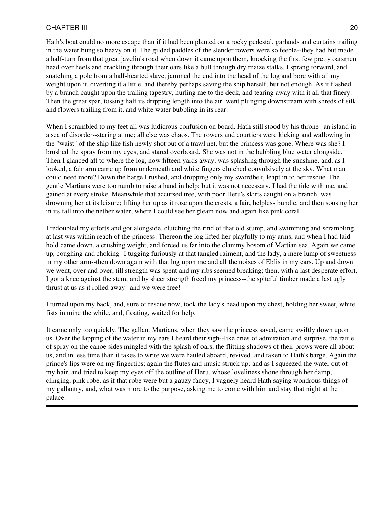Hath's boat could no more escape than if it had been planted on a rocky pedestal, garlands and curtains trailing in the water hung so heavy on it. The gilded paddles of the slender rowers were so feeble--they had but made a half-turn from that great javelin's road when down it came upon them, knocking the first few pretty oarsmen head over heels and crackling through their oars like a bull through dry maize stalks. I sprang forward, and snatching a pole from a half-hearted slave, jammed the end into the head of the log and bore with all my weight upon it, diverting it a little, and thereby perhaps saving the ship herself, but not enough. As it flashed by a branch caught upon the trailing tapestry, hurling me to the deck, and tearing away with it all that finery. Then the great spar, tossing half its dripping length into the air, went plunging downstream with shreds of silk and flowers trailing from it, and white water bubbling in its rear.

When I scrambled to my feet all was ludicrous confusion on board. Hath still stood by his throne--an island in a sea of disorder--staring at me; all else was chaos. The rowers and courtiers were kicking and wallowing in the "waist" of the ship like fish newly shot out of a trawl net, but the princess was gone. Where was she? I brushed the spray from my eyes, and stared overboard. She was not in the bubbling blue water alongside. Then I glanced aft to where the log, now fifteen yards away, was splashing through the sunshine, and, as I looked, a fair arm came up from underneath and white fingers clutched convulsively at the sky. What man could need more? Down the barge I rushed, and dropping only my swordbelt, leapt in to her rescue. The gentle Martians were too numb to raise a hand in help; but it was not necessary. I had the tide with me, and gained at every stroke. Meanwhile that accursed tree, with poor Heru's skirts caught on a branch, was drowning her at its leisure; lifting her up as it rose upon the crests, a fair, helpless bundle, and then sousing her in its fall into the nether water, where I could see her gleam now and again like pink coral.

I redoubled my efforts and got alongside, clutching the rind of that old stump, and swimming and scrambling, at last was within reach of the princess. Thereon the log lifted her playfully to my arms, and when I had laid hold came down, a crushing weight, and forced us far into the clammy bosom of Martian sea. Again we came up, coughing and choking--I tugging furiously at that tangled raiment, and the lady, a mere lump of sweetness in my other arm--then down again with that log upon me and all the noises of Eblis in my ears. Up and down we went, over and over, till strength was spent and my ribs seemed breaking; then, with a last desperate effort, I got a knee against the stem, and by sheer strength freed my princess--the spiteful timber made a last ugly thrust at us as it rolled away--and we were free!

I turned upon my back, and, sure of rescue now, took the lady's head upon my chest, holding her sweet, white fists in mine the while, and, floating, waited for help.

It came only too quickly. The gallant Martians, when they saw the princess saved, came swiftly down upon us. Over the lapping of the water in my ears I heard their sigh--like cries of admiration and surprise, the rattle of spray on the canoe sides mingled with the splash of oars, the flitting shadows of their prows were all about us, and in less time than it takes to write we were hauled aboard, revived, and taken to Hath's barge. Again the prince's lips were on my fingertips; again the flutes and music struck up; and as I squeezed the water out of my hair, and tried to keep my eyes off the outline of Heru, whose loveliness shone through her damp, clinging, pink robe, as if that robe were but a gauzy fancy, I vaguely heard Hath saying wondrous things of my gallantry, and, what was more to the purpose, asking me to come with him and stay that night at the palace.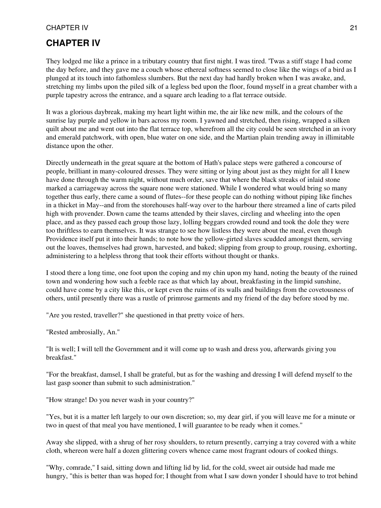# **CHAPTER IV**

They lodged me like a prince in a tributary country that first night. I was tired. 'Twas a stiff stage I had come the day before, and they gave me a couch whose ethereal softness seemed to close like the wings of a bird as I plunged at its touch into fathomless slumbers. But the next day had hardly broken when I was awake, and, stretching my limbs upon the piled silk of a legless bed upon the floor, found myself in a great chamber with a purple tapestry across the entrance, and a square arch leading to a flat terrace outside.

It was a glorious daybreak, making my heart light within me, the air like new milk, and the colours of the sunrise lay purple and yellow in bars across my room. I yawned and stretched, then rising, wrapped a silken quilt about me and went out into the flat terrace top, wherefrom all the city could be seen stretched in an ivory and emerald patchwork, with open, blue water on one side, and the Martian plain trending away in illimitable distance upon the other.

Directly underneath in the great square at the bottom of Hath's palace steps were gathered a concourse of people, brilliant in many-coloured dresses. They were sitting or lying about just as they might for all I knew have done through the warm night, without much order, save that where the black streaks of inlaid stone marked a carriageway across the square none were stationed. While I wondered what would bring so many together thus early, there came a sound of flutes--for these people can do nothing without piping like finches in a thicket in May--and from the storehouses half-way over to the harbour there streamed a line of carts piled high with provender. Down came the teams attended by their slaves, circling and wheeling into the open place, and as they passed each group those lazy, lolling beggars crowded round and took the dole they were too thriftless to earn themselves. It was strange to see how listless they were about the meal, even though Providence itself put it into their hands; to note how the yellow-girted slaves scudded amongst them, serving out the loaves, themselves had grown, harvested, and baked; slipping from group to group, rousing, exhorting, administering to a helpless throng that took their efforts without thought or thanks.

I stood there a long time, one foot upon the coping and my chin upon my hand, noting the beauty of the ruined town and wondering how such a feeble race as that which lay about, breakfasting in the limpid sunshine, could have come by a city like this, or kept even the ruins of its walls and buildings from the covetousness of others, until presently there was a rustle of primrose garments and my friend of the day before stood by me.

"Are you rested, traveller?" she questioned in that pretty voice of hers.

"Rested ambrosially, An."

"It is well; I will tell the Government and it will come up to wash and dress you, afterwards giving you breakfast."

"For the breakfast, damsel, I shall be grateful, but as for the washing and dressing I will defend myself to the last gasp sooner than submit to such administration."

"How strange! Do you never wash in your country?"

"Yes, but it is a matter left largely to our own discretion; so, my dear girl, if you will leave me for a minute or two in quest of that meal you have mentioned, I will guarantee to be ready when it comes."

Away she slipped, with a shrug of her rosy shoulders, to return presently, carrying a tray covered with a white cloth, whereon were half a dozen glittering covers whence came most fragrant odours of cooked things.

"Why, comrade," I said, sitting down and lifting lid by lid, for the cold, sweet air outside had made me hungry, "this is better than was hoped for; I thought from what I saw down yonder I should have to trot behind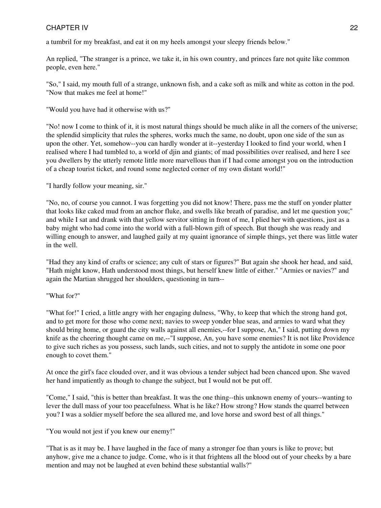a tumbril for my breakfast, and eat it on my heels amongst your sleepy friends below."

An replied, "The stranger is a prince, we take it, in his own country, and princes fare not quite like common people, even here."

"So," I said, my mouth full of a strange, unknown fish, and a cake soft as milk and white as cotton in the pod. "Now that makes me feel at home!"

"Would you have had it otherwise with us?"

"No! now I come to think of it, it is most natural things should be much alike in all the corners of the universe; the splendid simplicity that rules the spheres, works much the same, no doubt, upon one side of the sun as upon the other. Yet, somehow--you can hardly wonder at it--yesterday I looked to find your world, when I realised where I had tumbled to, a world of djin and giants; of mad possibilities over realised, and here I see you dwellers by the utterly remote little more marvellous than if I had come amongst you on the introduction of a cheap tourist ticket, and round some neglected corner of my own distant world!"

"I hardly follow your meaning, sir."

"No, no, of course you cannot. I was forgetting you did not know! There, pass me the stuff on yonder platter that looks like caked mud from an anchor fluke, and swells like breath of paradise, and let me question you;" and while I sat and drank with that yellow servitor sitting in front of me, I plied her with questions, just as a baby might who had come into the world with a full-blown gift of speech. But though she was ready and willing enough to answer, and laughed gaily at my quaint ignorance of simple things, yet there was little water in the well.

"Had they any kind of crafts or science; any cult of stars or figures?" But again she shook her head, and said, "Hath might know, Hath understood most things, but herself knew little of either." "Armies or navies?" and again the Martian shrugged her shoulders, questioning in turn--

#### "What for?"

"What for!" I cried, a little angry with her engaging dulness, "Why, to keep that which the strong hand got, and to get more for those who come next; navies to sweep yonder blue seas, and armies to ward what they should bring home, or guard the city walls against all enemies,--for I suppose, An," I said, putting down my knife as the cheering thought came on me,--"I suppose, An, you have some enemies? It is not like Providence to give such riches as you possess, such lands, such cities, and not to supply the antidote in some one poor enough to covet them."

At once the girl's face clouded over, and it was obvious a tender subject had been chanced upon. She waved her hand impatiently as though to change the subject, but I would not be put off.

"Come," I said, "this is better than breakfast. It was the one thing--this unknown enemy of yours--wanting to lever the dull mass of your too peacefulness. What is he like? How strong? How stands the quarrel between you? I was a soldier myself before the sea allured me, and love horse and sword best of all things."

"You would not jest if you knew our enemy!"

"That is as it may be. I have laughed in the face of many a stronger foe than yours is like to prove; but anyhow, give me a chance to judge. Come, who is it that frightens all the blood out of your cheeks by a bare mention and may not be laughed at even behind these substantial walls?"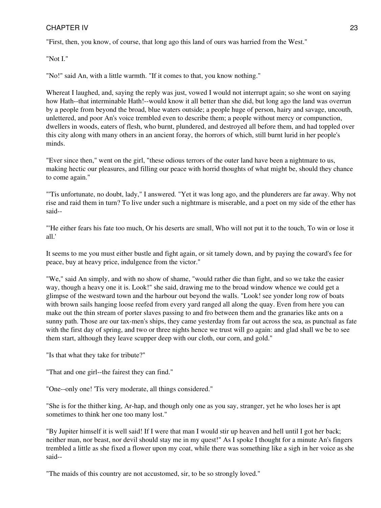"First, then, you know, of course, that long ago this land of ours was harried from the West."

"Not I."

"No!" said An, with a little warmth. "If it comes to that, you know nothing."

Whereat I laughed, and, saying the reply was just, vowed I would not interrupt again; so she wont on saying how Hath--that interminable Hath!--would know it all better than she did, but long ago the land was overrun by a people from beyond the broad, blue waters outside; a people huge of person, hairy and savage, uncouth, unlettered, and poor An's voice trembled even to describe them; a people without mercy or compunction, dwellers in woods, eaters of flesh, who burnt, plundered, and destroyed all before them, and had toppled over this city along with many others in an ancient foray, the horrors of which, still burnt lurid in her people's minds.

"Ever since then," went on the girl, "these odious terrors of the outer land have been a nightmare to us, making hectic our pleasures, and filling our peace with horrid thoughts of what might be, should they chance to come again."

"'Tis unfortunate, no doubt, lady," I answered. "Yet it was long ago, and the plunderers are far away. Why not rise and raid them in turn? To live under such a nightmare is miserable, and a poet on my side of the ether has said--

"'He either fears his fate too much, Or his deserts are small, Who will not put it to the touch, To win or lose it all.'

It seems to me you must either bustle and fight again, or sit tamely down, and by paying the coward's fee for peace, buy at heavy price, indulgence from the victor."

"We," said An simply, and with no show of shame, "would rather die than fight, and so we take the easier way, though a heavy one it is. Look!" she said, drawing me to the broad window whence we could get a glimpse of the westward town and the harbour out beyond the walls. "Look! see yonder long row of boats with brown sails hanging loose reefed from every yard ranged all along the quay. Even from here you can make out the thin stream of porter slaves passing to and fro between them and the granaries like ants on a sunny path. Those are our tax-men's ships, they came yesterday from far out across the sea, as punctual as fate with the first day of spring, and two or three nights hence we trust will go again: and glad shall we be to see them start, although they leave scupper deep with our cloth, our corn, and gold."

"Is that what they take for tribute?"

"That and one girl--the fairest they can find."

"One--only one! 'Tis very moderate, all things considered."

"She is for the thither king, Ar-hap, and though only one as you say, stranger, yet he who loses her is apt sometimes to think her one too many lost."

"By Jupiter himself it is well said! If I were that man I would stir up heaven and hell until I got her back; neither man, nor beast, nor devil should stay me in my quest!" As I spoke I thought for a minute An's fingers trembled a little as she fixed a flower upon my coat, while there was something like a sigh in her voice as she said--

"The maids of this country are not accustomed, sir, to be so strongly loved."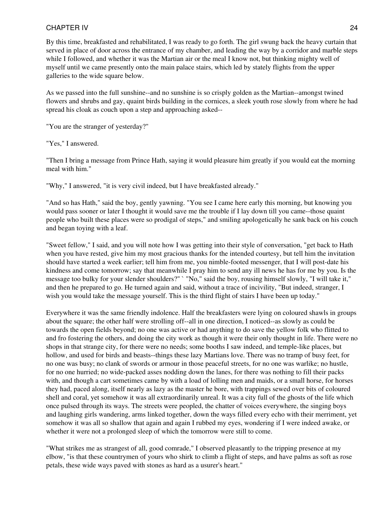By this time, breakfasted and rehabilitated, I was ready to go forth. The girl swung back the heavy curtain that served in place of door across the entrance of my chamber, and leading the way by a corridor and marble steps while I followed, and whether it was the Martian air or the meal I know not, but thinking mighty well of myself until we came presently onto the main palace stairs, which led by stately flights from the upper galleries to the wide square below.

As we passed into the full sunshine--and no sunshine is so crisply golden as the Martian--amongst twined flowers and shrubs and gay, quaint birds building in the cornices, a sleek youth rose slowly from where he had spread his cloak as couch upon a step and approaching asked--

"You are the stranger of yesterday?"

"Yes," I answered.

"Then I bring a message from Prince Hath, saying it would pleasure him greatly if you would eat the morning meal with him."

"Why," I answered, "it is very civil indeed, but I have breakfasted already."

"And so has Hath," said the boy, gently yawning. "You see I came here early this morning, but knowing you would pass sooner or later I thought it would save me the trouble if I lay down till you came--those quaint people who built these places were so prodigal of steps," and smiling apologetically he sank back on his couch and began toying with a leaf.

"Sweet fellow," I said, and you will note how I was getting into their style of conversation, "get back to Hath when you have rested, give him my most gracious thanks for the intended courtesy, but tell him the invitation should have started a week earlier; tell him from me, you nimble-footed messenger, that I will post-date his kindness and come tomorrow; say that meanwhile I pray him to send any ill news he has for me by you. Is the message too bulky for your slender shoulders?" ` "No," said the boy, rousing himself slowly, "I will take it," and then he prepared to go. He turned again and said, without a trace of incivility, "But indeed, stranger, I wish you would take the message yourself. This is the third flight of stairs I have been up today."

Everywhere it was the same friendly indolence. Half the breakfasters were lying on coloured shawls in groups about the square; the other half were strolling off--all in one direction, I noticed--as slowly as could be towards the open fields beyond; no one was active or had anything to do save the yellow folk who flitted to and fro fostering the others, and doing the city work as though it were their only thought in life. There were no shops in that strange city, for there were no needs; some booths I saw indeed, and temple-like places, but hollow, and used for birds and beasts--things these lazy Martians love. There was no tramp of busy feet, for no one was busy; no clank of swords or armour in those peaceful streets, for no one was warlike; no hustle, for no one hurried; no wide-packed asses nodding down the lanes, for there was nothing to fill their packs with, and though a cart sometimes came by with a load of lolling men and maids, or a small horse, for horses they had, paced along, itself nearly as lazy as the master he bore, with trappings sewed over bits of coloured shell and coral, yet somehow it was all extraordinarily unreal. It was a city full of the ghosts of the life which once pulsed through its ways. The streets were peopled, the chatter of voices everywhere, the singing boys and laughing girls wandering, arms linked together, down the ways filled every echo with their merriment, yet somehow it was all so shallow that again and again I rubbed my eyes, wondering if I were indeed awake, or whether it were not a prolonged sleep of which the tomorrow were still to come.

"What strikes me as strangest of all, good comrade," I observed pleasantly to the tripping presence at my elbow, "is that these countrymen of yours who shirk to climb a flight of steps, and have palms as soft as rose petals, these wide ways paved with stones as hard as a usurer's heart."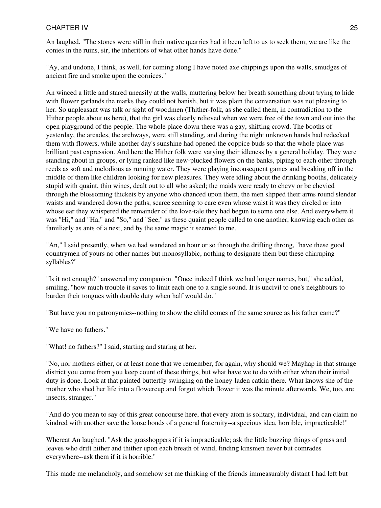An laughed. "The stones were still in their native quarries had it been left to us to seek them; we are like the conies in the ruins, sir, the inheritors of what other hands have done."

"Ay, and undone, I think, as well, for coming along I have noted axe chippings upon the walls, smudges of ancient fire and smoke upon the cornices."

An winced a little and stared uneasily at the walls, muttering below her breath something about trying to hide with flower garlands the marks they could not banish, but it was plain the conversation was not pleasing to her. So unpleasant was talk or sight of woodmen (Thither-folk, as she called them, in contradiction to the Hither people about us here), that the girl was clearly relieved when we were free of the town and out into the open playground of the people. The whole place down there was a gay, shifting crowd. The booths of yesterday, the arcades, the archways, were still standing, and during the night unknown hands had redecked them with flowers, while another day's sunshine had opened the coppice buds so that the whole place was brilliant past expression. And here the Hither folk were varying their idleness by a general holiday. They were standing about in groups, or lying ranked like new-plucked flowers on the banks, piping to each other through reeds as soft and melodious as running water. They were playing inconsequent games and breaking off in the middle of them like children looking for new pleasures. They were idling about the drinking booths, delicately stupid with quaint, thin wines, dealt out to all who asked; the maids were ready to chevy or be chevied through the blossoming thickets by anyone who chanced upon them, the men slipped their arms round slender waists and wandered down the paths, scarce seeming to care even whose waist it was they circled or into whose ear they whispered the remainder of the love-tale they had begun to some one else. And everywhere it was "Hi," and "Ha," and "So," and "See," as these quaint people called to one another, knowing each other as familiarly as ants of a nest, and by the same magic it seemed to me.

"An," I said presently, when we had wandered an hour or so through the drifting throng, "have these good countrymen of yours no other names but monosyllabic, nothing to designate them but these chirruping syllables?"

"Is it not enough?" answered my companion. "Once indeed I think we had longer names, but," she added, smiling, "how much trouble it saves to limit each one to a single sound. It is uncivil to one's neighbours to burden their tongues with double duty when half would do."

"But have you no patronymics--nothing to show the child comes of the same source as his father came?"

"We have no fathers."

"What! no fathers?" I said, starting and staring at her.

"No, nor mothers either, or at least none that we remember, for again, why should we? Mayhap in that strange district you come from you keep count of these things, but what have we to do with either when their initial duty is done. Look at that painted butterfly swinging on the honey-laden catkin there. What knows she of the mother who shed her life into a flowercup and forgot which flower it was the minute afterwards. We, too, are insects, stranger."

"And do you mean to say of this great concourse here, that every atom is solitary, individual, and can claim no kindred with another save the loose bonds of a general fraternity--a specious idea, horrible, impracticable!"

Whereat An laughed. "Ask the grasshoppers if it is impracticable; ask the little buzzing things of grass and leaves who drift hither and thither upon each breath of wind, finding kinsmen never but comrades everywhere--ask them if it is horrible."

This made me melancholy, and somehow set me thinking of the friends immeasurably distant I had left but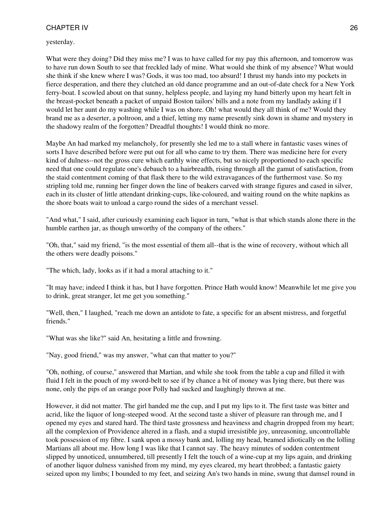yesterday.

What were they doing? Did they miss me? I was to have called for my pay this afternoon, and tomorrow was to have run down South to see that freckled lady of mine. What would she think of my absence? What would she think if she knew where I was? Gods, it was too mad, too absurd! I thrust my hands into my pockets in fierce desperation, and there they clutched an old dance programme and an out-of-date check for a New York ferry-boat. I scowled about on that sunny, helpless people, and laying my hand bitterly upon my heart felt in the breast-pocket beneath a packet of unpaid Boston tailors' bills and a note from my landlady asking if I would let her aunt do my washing while I was on shore. Oh! what would they all think of me? Would they brand me as a deserter, a poltroon, and a thief, letting my name presently sink down in shame and mystery in the shadowy realm of the forgotten? Dreadful thoughts! I would think no more.

Maybe An had marked my melancholy, for presently she led me to a stall where in fantastic vases wines of sorts I have described before were put out for all who came to try them. There was medicine here for every kind of dulness--not the gross cure which earthly wine effects, but so nicely proportioned to each specific need that one could regulate one's debauch to a hairbreadth, rising through all the gamut of satisfaction, from the staid contentment coming of that flask there to the wild extravagances of the furthermost vase. So my stripling told me, running her finger down the line of beakers carved with strange figures and cased in silver, each in its cluster of little attendant drinking-cups, like-coloured, and waiting round on the white napkins as the shore boats wait to unload a cargo round the sides of a merchant vessel.

"And what," I said, after curiously examining each liquor in turn, "what is that which stands alone there in the humble earthen jar, as though unworthy of the company of the others."

"Oh, that," said my friend, "is the most essential of them all--that is the wine of recovery, without which all the others were deadly poisons."

"The which, lady, looks as if it had a moral attaching to it."

"It may have; indeed I think it has, but I have forgotten. Prince Hath would know! Meanwhile let me give you to drink, great stranger, let me get you something."

"Well, then," I laughed, "reach me down an antidote to fate, a specific for an absent mistress, and forgetful friends."

"What was she like?" said An, hesitating a little and frowning.

"Nay, good friend," was my answer, "what can that matter to you?"

"Oh, nothing, of course," answered that Martian, and while she took from the table a cup and filled it with fluid I felt in the pouch of my sword-belt to see if by chance a bit of money was Iying there, but there was none, only the pips of an orange poor Polly had sucked and laughingly thrown at me.

However, it did not matter. The girl handed me the cup, and I put my lips to it. The first taste was bitter and acrid, like the liquor of long-steeped wood. At the second taste a shiver of pleasure ran through me, and I opened my eyes and stared hard. The third taste grossness and heaviness and chagrin dropped from my heart; all the complexion of Providence altered in a flash, and a stupid irresistible joy, unreasoning, uncontrollable took possession of my fibre. I sank upon a mossy bank and, lolling my head, beamed idiotically on the lolling Martians all about me. How long I was like that I cannot say. The heavy minutes of sodden contentment slipped by unnoticed, unnumbered, till presently I felt the touch of a wine-cup at my lips again, and drinking of another liquor dulness vanished from my mind, my eyes cleared, my heart throbbed; a fantastic gaiety seized upon my limbs; I bounded to my feet, and seizing An's two hands in mine, swung that damsel round in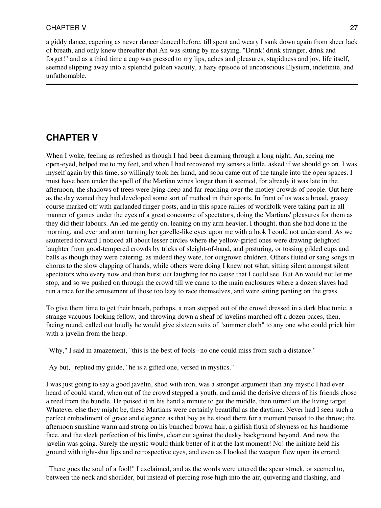a giddy dance, capering as never dancer danced before, till spent and weary I sank down again from sheer lack of breath, and only knew thereafter that An was sitting by me saying, "Drink! drink stranger, drink and forget!" and as a third time a cup was pressed to my lips, aches and pleasures, stupidness and joy, life itself, seemed slipping away into a splendid golden vacuity, a hazy episode of unconscious Elysium, indefinite, and unfathomable.

# **CHAPTER V**

When I woke, feeling as refreshed as though I had been dreaming through a long night, An, seeing me open-eyed, helped me to my feet, and when I had recovered my senses a little, asked if we should go on. I was myself again by this time, so willingly took her hand, and soon came out of the tangle into the open spaces. I must have been under the spell of the Martian wines longer than it seemed, for already it was late in the afternoon, the shadows of trees were lying deep and far-reaching over the motley crowds of people. Out here as the day waned they had developed some sort of method in their sports. In front of us was a broad, grassy course marked off with garlanded finger-posts, and in this space rallies of workfolk were taking part in all manner of games under the eyes of a great concourse of spectators, doing the Martians' pleasures for them as they did their labours. An led me gently on, leaning on my arm heavier, I thought, than she had done in the morning, and ever and anon turning her gazelle-like eyes upon me with a look I could not understand. As we sauntered forward I noticed all about lesser circles where the yellow-girted ones were drawing delighted laughter from good-tempered crowds by tricks of sleight-of-hand, and posturing, or tossing gilded cups and balls as though they were catering, as indeed they were, for outgrown children. Others fluted or sang songs in chorus to the slow clapping of hands, while others were doing I knew not what, sitting silent amongst silent spectators who every now and then burst out laughing for no cause that I could see. But An would not let me stop, and so we pushed on through the crowd till we came to the main enclosures where a dozen slaves had run a race for the amusement of those too lazy to race themselves, and were sitting panting on the grass.

To give them time to get their breath, perhaps, a man stepped out of the crowd dressed in a dark blue tunic, a strange vacuous-looking fellow, and throwing down a sheaf of javelins marched off a dozen paces, then, facing round, called out loudly he would give sixteen suits of "summer cloth" to any one who could prick him with a javelin from the heap.

"Why," I said in amazement, "this is the best of fools--no one could miss from such a distance."

"Ay but," replied my guide, "he is a gifted one, versed in mystics."

I was just going to say a good javelin, shod with iron, was a stronger argument than any mystic I had ever heard of could stand, when out of the crowd stepped a youth, and amid the derisive cheers of his friends chose a reed from the bundle. He poised it in his hand a minute to get the middle, then turned on the living target. Whatever else they might be, these Martians were certainly beautiful as the daytime. Never had I seen such a perfect embodiment of grace and elegance as that boy as he stood there for a moment poised to the throw; the afternoon sunshine warm and strong on his bunched brown hair, a girlish flush of shyness on his handsome face, and the sleek perfection of his limbs, clear cut against the dusky background beyond. And now the javelin was going. Surely the mystic would think better of it at the last moment! No! the initiate held his ground with tight-shut lips and retrospective eyes, and even as I looked the weapon flew upon its errand.

"There goes the soul of a fool!" I exclaimed, and as the words were uttered the spear struck, or seemed to, between the neck and shoulder, but instead of piercing rose high into the air, quivering and flashing, and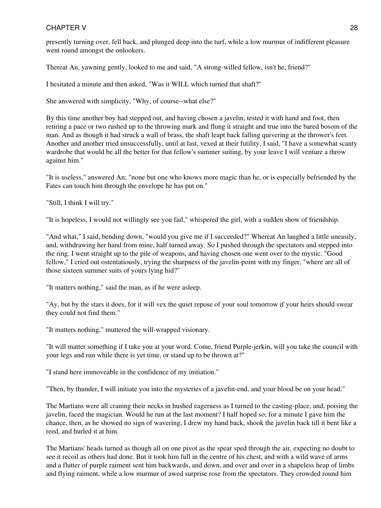presently turning over, fell back, and plunged deep into the turf, while a low murmur of indifferent pleasure went round amongst the onlookers.

Thereat An, yawning gently, looked to me and said, "A strong-willed fellow, isn't he, friend?"

I hesitated a minute and then asked, "Was it WILL which turned that shaft?"

She answered with simplicity, "Why, of course--what else?"

By this time another boy had stepped out, and having chosen a javelin, tested it with hand and foot, then retiring a pace or two rushed up to the throwing mark and flung it straight and true into the bared bosom of the man. And as though it had struck a wall of brass, the shaft leapt back falling quivering at the thrower's feet. Another and another tried unsuccessfully, until at last, vexed at their futility, I said, "I have a somewhat scanty wardrobe that would be all the better for that fellow's summer suiting, by your leave I will venture a throw against him."

"It is useless," answered An; "none but one who knows more magic than he, or is especially befriended by the Fates can touch him through the envelope he has put on."

"Still, I think I will try."

"It is hopeless, I would not willingly see you fail," whispered the girl, with a sudden show of friendship.

"And what," I said, bending down, "would you give me if I succeeded?" Whereat An laughed a little uneasily, and, withdrawing her hand from mine, half turned away. So I pushed through the spectators and stepped into the ring. I went straight up to the pile of weapons, and having chosen one went over to the mystic. "Good fellow," I cried out ostentatiously, trying the sharpness of the javelin-point with my finger, "where are all of those sixteen summer suits of yours lying hid?"

"It matters nothing," said the man, as if he were asleep.

"Ay, but by the stars it does, for it will vex the quiet repose of your soul tomorrow if your heirs should swear they could not find them."

"It matters nothing," muttered the will-wrapped visionary.

"It will matter something if I take you at your word. Come, friend Purple-jerkin, will you take the council with your legs and run while there is yet time, or stand up to be thrown at?"

"I stand here immoveable in the confidence of my initiation."

"Then, by thunder, I will initiate you into the mysteries of a javelin-end, and your blood be on your head."

The Martians were all craning their necks in hushed eagerness as I turned to the casting-place, and, poising the javelin, faced the magician. Would he run at the last moment? I half hoped so; for a minute I gave him the chance, then, as he showed no sign of wavering, I drew my hand back, shook the javelin back till it bent like a reed, and hurled it at him.

The Martians' heads turned as though all on one pivot as the spear sped through the air, expecting no doubt to see it recoil as others had done. But it took him full in the centre of his chest, and with a wild wave of arms and a flutter of purple raiment sent him backwards, and down, and over and over in a shapeless heap of limbs and flying raiment, while a low murmur of awed surprise rose from the spectators. They crowded round him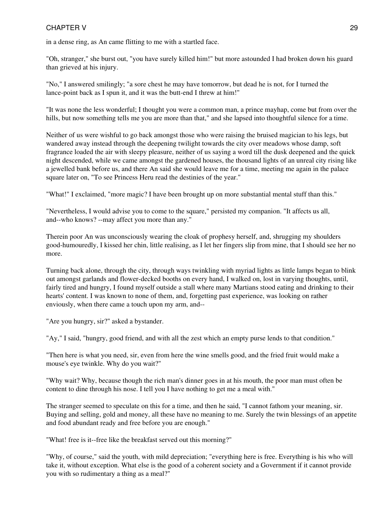in a dense ring, as An came flitting to me with a startled face.

"Oh, stranger," she burst out, "you have surely killed him!" but more astounded I had broken down his guard than grieved at his injury.

"No," I answered smilingly; "a sore chest he may have tomorrow, but dead he is not, for I turned the lance-point back as I spun it, and it was the butt-end I threw at him!"

"It was none the less wonderful; I thought you were a common man, a prince mayhap, come but from over the hills, but now something tells me you are more than that," and she lapsed into thoughtful silence for a time.

Neither of us were wishful to go back amongst those who were raising the bruised magician to his legs, but wandered away instead through the deepening twilight towards the city over meadows whose damp, soft fragrance loaded the air with sleepy pleasure, neither of us saying a word till the dusk deepened and the quick night descended, while we came amongst the gardened houses, the thousand lights of an unreal city rising like a jewelled bank before us, and there An said she would leave me for a time, meeting me again in the palace square later on, "To see Princess Heru read the destinies of the year."

"What!" I exclaimed, "more magic? I have been brought up on more substantial mental stuff than this."

"Nevertheless, I would advise you to come to the square," persisted my companion. "It affects us all, and--who knows? --may affect you more than any."

Therein poor An was unconsciously wearing the cloak of prophesy herself, and, shrugging my shoulders good-humouredly, I kissed her chin, little realising, as I let her fingers slip from mine, that I should see her no more.

Turning back alone, through the city, through ways twinkling with myriad lights as little lamps began to blink out amongst garlands and flower-decked booths on every hand, I walked on, lost in varying thoughts, until, fairly tired and hungry, I found myself outside a stall where many Martians stood eating and drinking to their hearts' content. I was known to none of them, and, forgetting past experience, was looking on rather enviously, when there came a touch upon my arm, and--

"Are you hungry, sir?" asked a bystander.

"Ay," I said, "hungry, good friend, and with all the zest which an empty purse lends to that condition."

"Then here is what you need, sir, even from here the wine smells good, and the fried fruit would make a mouse's eye twinkle. Why do you wait?"

"Why wait? Why, because though the rich man's dinner goes in at his mouth, the poor man must often be content to dine through his nose. I tell you I have nothing to get me a meal with."

The stranger seemed to speculate on this for a time, and then he said, "I cannot fathom your meaning, sir. Buying and selling, gold and money, all these have no meaning to me. Surely the twin blessings of an appetite and food abundant ready and free before you are enough."

"What! free is it--free like the breakfast served out this morning?"

"Why, of course," said the youth, with mild depreciation; "everything here is free. Everything is his who will take it, without exception. What else is the good of a coherent society and a Government if it cannot provide you with so rudimentary a thing as a meal?"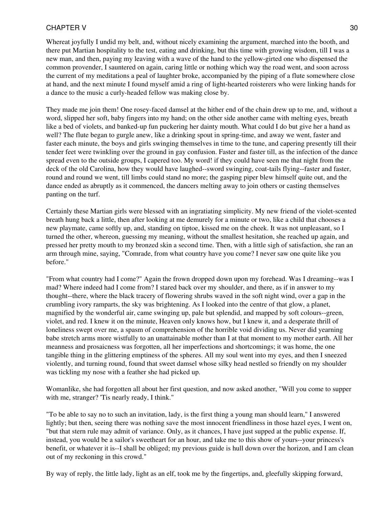Whereat joyfully I undid my belt, and, without nicely examining the argument, marched into the booth, and there put Martian hospitality to the test, eating and drinking, but this time with growing wisdom, till I was a new man, and then, paying my leaving with a wave of the hand to the yellow-girted one who dispensed the common provender, I sauntered on again, caring little or nothing which way the road went, and soon across the current of my meditations a peal of laughter broke, accompanied by the piping of a flute somewhere close at hand, and the next minute I found myself amid a ring of light-hearted roisterers who were linking hands for a dance to the music a curly-headed fellow was making close by.

They made me join them! One rosey-faced damsel at the hither end of the chain drew up to me, and, without a word, slipped her soft, baby fingers into my hand; on the other side another came with melting eyes, breath like a bed of violets, and banked-up fun puckering her dainty mouth. What could I do but give her a hand as well? The flute began to gurgle anew, like a drinking spout in spring-time, and away we went, faster and faster each minute, the boys and girls swinging themselves in time to the tune, and capering presently till their tender feet were twinkling over the ground in gay confusion. Faster and faster till, as the infection of the dance spread even to the outside groups, I capered too. My word! if they could have seen me that night from the deck of the old Carolina, how they would have laughed--sword swinging, coat-tails flying--faster and faster, round and round we went, till limbs could stand no more; the gasping piper blew himself quite out, and the dance ended as abruptly as it commenced, the dancers melting away to join others or casting themselves panting on the turf.

Certainly these Martian girls were blessed with an ingratiating simplicity. My new friend of the violet-scented breath hung back a little, then after looking at me demurely for a minute or two, like a child that chooses a new playmate, came softly up, and, standing on tiptoe, kissed me on the cheek. It was not unpleasant, so I turned the other, whereon, guessing my meaning, without the smallest hesitation, she reached up again, and pressed her pretty mouth to my bronzed skin a second time. Then, with a little sigh of satisfaction, she ran an arm through mine, saying, "Comrade, from what country have you come? I never saw one quite like you before."

"From what country had I come?" Again the frown dropped down upon my forehead. Was I dreaming--was I mad? Where indeed had I come from? I stared back over my shoulder, and there, as if in answer to my thought--there, where the black tracery of flowering shrubs waved in the soft night wind, over a gap in the crumbling ivory ramparts, the sky was brightening. As I looked into the centre of that glow, a planet, magnified by the wonderful air, came swinging up, pale but splendid, and mapped by soft colours--green, violet, and red. I knew it on the minute, Heaven only knows how, but I knew it, and a desperate thrill of loneliness swept over me, a spasm of comprehension of the horrible void dividing us. Never did yearning babe stretch arms more wistfully to an unattainable mother than I at that moment to my mother earth. All her meanness and prosaicness was forgotten, all her imperfections and shortcomings; it was home, the one tangible thing in the glittering emptiness of the spheres. All my soul went into my eyes, and then I sneezed violently, and turning round, found that sweet damsel whose silky head nestled so friendly on my shoulder was tickling my nose with a feather she had picked up.

Womanlike, she had forgotten all about her first question, and now asked another, "Will you come to supper with me, stranger? 'Tis nearly ready, I think."

"To be able to say no to such an invitation, lady, is the first thing a young man should learn," I answered lightly; but then, seeing there was nothing save the most innocent friendliness in those hazel eyes, I went on, "but that stern rule may admit of variance. Only, as it chances, I have just supped at the public expense. If, instead, you would be a sailor's sweetheart for an hour, and take me to this show of yours--your princess's benefit, or whatever it is--I shall be obliged; my previous guide is hull down over the horizon, and I am clean out of my reckoning in this crowd."

By way of reply, the little lady, light as an elf, took me by the fingertips, and, gleefully skipping forward,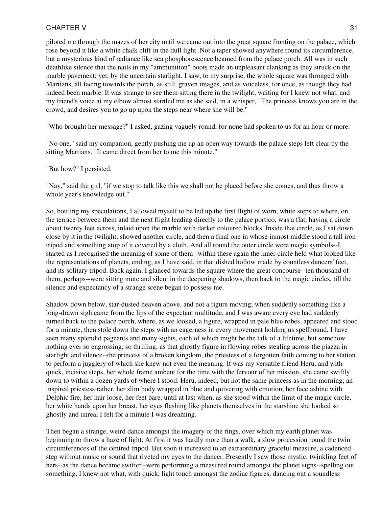piloted me through the mazes of her city until we came out into the great square fronting on the palace, which rose beyond it like a white chalk cliff in the dull light. Not a taper showed anywhere round its circumference, but a mysterious kind of radiance like sea phosphorescence beamed from the palace porch. All was in such deathlike silence that the nails in my "ammunition" boots made an unpleasant clanking as they struck on the marble pavement; yet, by the uncertain starlight, I saw, to my surprise, the whole square was thronged with Martians, all facing towards the porch, as still, graven images, and as voiceless, for once, as though they had indeed been marble. It was strange to see them sitting there in the twilight, waiting for I knew not what, and my friend's voice at my elbow almost startled me as she said, in a whisper, "The princess knows you are in the crowd, and desires you to go up upon the steps near where she will be."

"Who brought her message?" I asked, gazing vaguely round, for none had spoken to us for an hour or more.

"No one," said my companion, gently pushing me up an open way towards the palace steps left clear by the sitting Martians. "It came direct from her to me this minute."

"But how?" I persisted.

"Nay," said the girl, "if we stop to talk like this we shall not be placed before she comes, and thus throw a whole year's knowledge out."

So, bottling my speculations, I allowed myself to be led up the first flight of worn, white steps to where, on the terrace between them and the next flight leading directly to the palace portico, was a flat, having a circle about twenty feet across, inlaid upon the marble with darker coloured blocks. Inside that circle, as I sat down close by it in the twilight, showed another circle, and then a final one in whose inmost middle stood a tall iron tripod and something atop of it covered by a cloth. And all round the outer circle were magic symbols--I started as I recognised the meaning of some of them--within these again the inner circle held what looked like the representations of planets, ending, as I have said, in that dished hollow made by countless dancers' feet, and its solitary tripod. Back again, I glanced towards the square where the great concourse--ten thousand of them, perhaps--were sitting mute and silent in the deepening shadows, then back to the magic circles, till the silence and expectancy of a strange scene began to possess me.

Shadow down below, star-dusted heaven above, and not a figure moving; when suddenly something like a long-drawn sigh came from the lips of the expectant multitude, and I was aware every eye had suddenly turned back to the palace porch, where, as we looked, a figure, wrapped in pale blue robes, appeared and stood for a minute, then stole down the steps with an eagerness in every movement holding us spellbound. I have seen many splendid pageants and many sights, each of which might be the talk of a lifetime, but somehow nothing ever so engrossing, so thrilling, as that ghostly figure in flowing robes stealing across the piazza in starlight and silence--the princess of a broken kingdom, the priestess of a forgotten faith coming to her station to perform a jugglery of which she knew not even the meaning. It was my versatile friend Heru, and with quick, incisive steps, her whole frame ambent for the time with the fervour of her mission, she came swiftly down to within a dozen yards of where I stood. Heru, indeed, but not the same princess as in the morning; an inspired priestess rather, her slim body wrapped in blue and quivering with emotion, her face ashine with Delphic fire, her hair loose, her feet bare, until at last when, as she stood within the limit of the magic circle, her white hands upon her breast, her eyes flashing like planets themselves in the starshine she looked so ghostly and unreal I felt for a minute I was dreaming.

Then began a strange, weird dance amongst the imagery of the rings, over which my earth planet was beginning to throw a haze of light. At first it was hardly more than a walk, a slow procession round the twin circumferences of the centred tripod. But soon it increased to an extraordinary graceful measure, a cadenced step without music or sound that riveted my eyes to the dancer. Presently I saw those mystic, twinkling feet of hers--as the dance became swifter--were performing a measured round amongst the planet signs--spelling out something, I knew not what, with quick, light touch amongst the zodiac figures, dancing out a soundless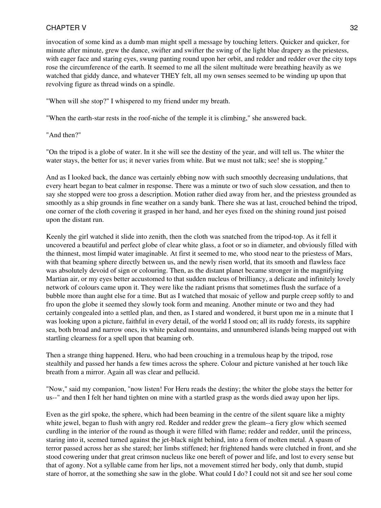invocation of some kind as a dumb man might spell a message by touching letters. Quicker and quicker, for minute after minute, grew the dance, swifter and swifter the swing of the light blue drapery as the priestess, with eager face and staring eyes, swung panting round upon her orbit, and redder and redder over the city tops rose the circumference of the earth. It seemed to me all the silent multitude were breathing heavily as we watched that giddy dance, and whatever THEY felt, all my own senses seemed to be winding up upon that revolving figure as thread winds on a spindle.

"When will she stop?" I whispered to my friend under my breath.

"When the earth-star rests in the roof-niche of the temple it is climbing," she answered back.

"And then?"

"On the tripod is a globe of water. In it she will see the destiny of the year, and will tell us. The whiter the water stays, the better for us; it never varies from white. But we must not talk; see! she is stopping."

And as I looked back, the dance was certainly ebbing now with such smoothly decreasing undulations, that every heart began to beat calmer in response. There was a minute or two of such slow cessation, and then to say she stopped were too gross a description. Motion rather died away from her, and the priestess grounded as smoothly as a ship grounds in fine weather on a sandy bank. There she was at last, crouched behind the tripod, one corner of the cloth covering it grasped in her hand, and her eyes fixed on the shining round just poised upon the distant run.

Keenly the girl watched it slide into zenith, then the cloth was snatched from the tripod-top. As it fell it uncovered a beautiful and perfect globe of clear white glass, a foot or so in diameter, and obviously filled with the thinnest, most limpid water imaginable. At first it seemed to me, who stood near to the priestess of Mars, with that beaming sphere directly between us, and the newly risen world, that its smooth and flawless face was absolutely devoid of sign or colouring. Then, as the distant planet became stronger in the magnifying Martian air, or my eyes better accustomed to that sudden nucleus of brilliancy, a delicate and infinitely lovely network of colours came upon it. They were like the radiant prisms that sometimes flush the surface of a bubble more than aught else for a time. But as I watched that mosaic of yellow and purple creep softly to and fro upon the globe it seemed they slowly took form and meaning. Another minute or two and they had certainly congealed into a settled plan, and then, as I stared and wondered, it burst upon me in a minute that I was looking upon a picture, faithful in every detail, of the world I stood on; all its ruddy forests, its sapphire sea, both broad and narrow ones, its white peaked mountains, and unnumbered islands being mapped out with startling clearness for a spell upon that beaming orb.

Then a strange thing happened. Heru, who had been crouching in a tremulous heap by the tripod, rose stealthily and passed her hands a few times across the sphere. Colour and picture vanished at her touch like breath from a mirror. Again all was clear and pellucid.

"Now," said my companion, "now listen! For Heru reads the destiny; the whiter the globe stays the better for us--" and then I felt her hand tighten on mine with a startled grasp as the words died away upon her lips.

Even as the girl spoke, the sphere, which had been beaming in the centre of the silent square like a mighty white jewel, began to flush with angry red. Redder and redder grew the gleam--a fiery glow which seemed curdling in the interior of the round as though it were filled with flame; redder and redder, until the princess, staring into it, seemed turned against the jet-black night behind, into a form of molten metal. A spasm of terror passed across her as she stared; her limbs stiffened; her frightened hands were clutched in front, and she stood cowering under that great crimson nucleus like one bereft of power and life, and lost to every sense but that of agony. Not a syllable came from her lips, not a movement stirred her body, only that dumb, stupid stare of horror, at the something she saw in the globe. What could I do? I could not sit and see her soul come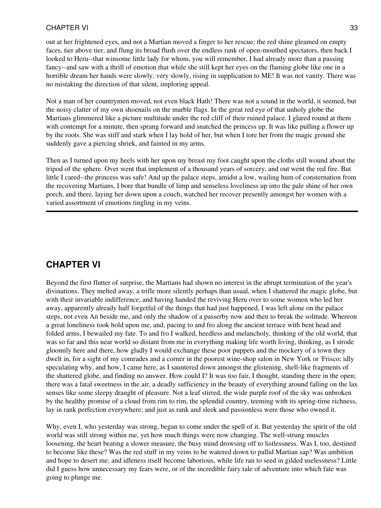out at her frightened eyes, and not a Martian moved a finger to her rescue; the red shine gleamed on empty faces, tier above tier, and flung its broad flush over the endless rank of open-mouthed spectators, then back I looked to Heru--that winsome little lady for whom, you will remember, I had already more than a passing fancy--and saw with a thrill of emotion that while she still kept her eyes on the flaming globe like one in a horrible dream her hands were slowly, very slowly, rising in supplication to ME! It was not vanity. There was no mistaking the direction of that silent, imploring appeal.

Not a man of her countrymen moved, not even black Hath! There was not a sound in the world, it seemed, but the noisy clatter of my own shoenails on the marble flags. In the great red eye of that unholy globe the Martians glimmered like a picture multitude under the red cliff of their ruined palace. I glared round at them with contempt for a minute, then sprang forward and snatched the princess up. It was like pulling a flower up by the roots. She was stiff and stark when I lay hold of her, but when I tore her from the magic ground she suddenly gave a piercing shriek, and fainted in my arms.

Then as I turned upon my heels with her upon my breast my foot caught upon the cloths still wound about the tripod of the sphere. Over went that implement of a thousand years of sorcery, and out went the red fire. But little I cared--the princess was safe! And up the palace steps, amidst a low, wailing hum of consternation from the recovering Martians, I bore that bundle of limp and senseless loveliness up into the pale shine of her own porch, and there, laying her down upon a couch, watched her recover presently amongst her women with a varied assortment of emotions tingling in my veins.

# **CHAPTER VI**

Beyond the first flutter of surprise, the Martians had shown no interest in the abrupt termination of the year's divinations. They melted away, a trifle more silently perhaps than usual, when I shattered the magic globe, but with their invariable indifference, and having handed the reviving Heru over to some women who led her away, apparently already half forgetful of the things that had just happened, I was left alone on the palace steps, not even An beside me, and only the shadow of a passerby now and then to break the solitude. Whereon a great loneliness took hold upon me, and, pacing to and fro along the ancient terrace with bent head and folded arms, I bewailed my fate. To and fro I walked, heedless and melancholy, thinking of the old world, that was so far and this near world so distant from me in everything making life worth living, thinking, as I strode gloomily here and there, how gladly I would exchange these poor puppets and the mockery of a town they dwelt in, for a sight of my comrades and a corner in the poorest wine-shop salon in New York or 'Frisco; idly speculating why, and how, I came here, as I sauntered down amongst the glistening, shell-like fragments of the shattered globe, and finding no answer. How could I? It was too fair, I thought, standing there in the open; there was a fatal sweetness in the air, a deadly sufficiency in the beauty of everything around falling on the lax senses like some sleepy draught of pleasure. Not a leaf stirred, the wide purple roof of the sky was unbroken by the healthy promise of a cloud from rim to rim, the splendid country, teeming with its spring-time richness, lay in rank perfection everywhere; and just as rank and sleek and passionless were those who owned it.

Why, even I, who yesterday was strong, began to come under the spell of it. But yesterday the spirit of the old world was still strong within me, yet how much things were now changing. The well-strung muscles loosening, the heart beating a slower measure, the busy mind drowsing off to listlessness. Was I, too, destined to become like these? Was the red stuff in my veins to be watered down to pallid Martian sap? Was ambition and hope to desert me, and idleness itself become laborious, while life ran to seed in gilded uselessness? Little did I guess how unnecessary my fears were, or of the incredible fairy tale of adventure into which fate was going to plunge me.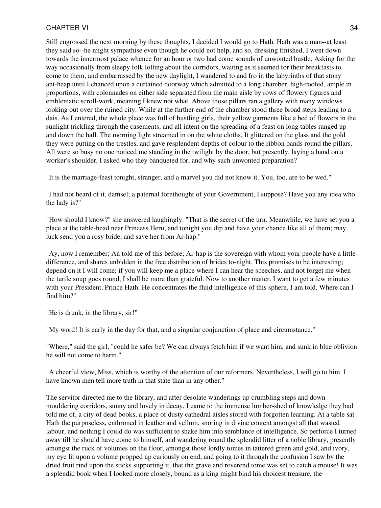Still engrossed the next morning by these thoughts, I decided I would go to Hath. Hath was a man--at least they said so--he might sympathise even though he could not help, and so, dressing finished, I went down towards the innermost palace whence for an hour or two had come sounds of unwonted bustle. Asking for the way occasionally from sleepy folk lolling about the corridors, waiting as it seemed for their breakfasts to come to them, and embarrassed by the new daylight, I wandered to and fro in the labyrinths of that stony ant-heap until I chanced upon a curtained doorway which admitted to a long chamber, high-roofed, ample in proportions, with colonnades on either side separated from the main aisle by rows of flowery figures and emblematic scroll-work, meaning I knew not what. Above those pillars ran a gallery with many windows looking out over the ruined city. While at the further end of the chamber stood three broad steps leading to a dais. As I entered, the whole place was full of bustling girls, their yellow garments like a bed of flowers in the sunlight trickling through the casements, and all intent on the spreading of a feast on long tables ranged up and down the hall. The morning light streamed in on the white cloths. It glittered on the glass and the gold they were putting on the trestles, and gave resplendent depths of colour to the ribbon bands round the pillars. All were so busy no one noticed me standing in the twilight by the door, but presently, laying a hand on a worker's shoulder, I asked who they banqueted for, and why such unwonted preparation?

"It is the marriage-feast tonight, stranger, and a marvel you did not know it. You, too, are to be wed."

"I had not heard of it, damsel; a paternal forethought of your Government, I suppose? Have you any idea who the lady is?"

"How should I know?" she answered laughingly. "That is the secret of the urn. Meanwhile, we have set you a place at the table-head near Princess Heru, and tonight you dip and have your chance like all of them; may luck send you a rosy bride, and save her from Ar-hap."

"Ay, now I remember; An told me of this before; Ar-hap is the sovereign with whom your people have a little difference, and shares unbidden in the free distribution of brides to-night. This promises to be interesting; depend on it I will come; if you will keep me a place where I can hear the speeches, and not forget me when the turtle soup goes round, I shall be more than grateful. Now to another matter. I want to get a few minutes with your President, Prince Hath. He concentrates the fluid intelligence of this sphere, I am told. Where can I find him?"

"He is drunk, in the library, sir!"

"My word! It is early in the day for that, and a singular conjunction of place and circumstance."

"Where," said the girl, "could he safer be? We can always fetch him if we want him, and sunk in blue oblivion he will not come to harm."

"A cheerful view, Miss, which is worthy of the attention of our reformers. Nevertheless, I will go to him. I have known men tell more truth in that state than in any other."

The servitor directed me to the library, and after desolate wanderings up crumbling steps and down mouldering corridors, sunny and lovely in decay, I came to the immense lumber-shed of knowledge they had told me of, a city of dead books, a place of dusty cathedral aisles stored with forgotten learning. At a table sat Hath the purposeless, enthroned in leather and vellum, snoring in divine content amongst all that wasted labour, and nothing I could do was sufficient to shake him into semblance of intelligence. So perforce I turned away till he should have come to himself, and wandering round the splendid litter of a noble library, presently amongst the ruck of volumes on the floor, amongst those lordly tomes in tattered green and gold, and ivory, my eye lit upon a volume propped up curiously on end, and going to it through the confusion I saw by the dried fruit rind upon the sticks supporting it, that the grave and reverend tome was set to catch a mouse! It was a splendid book when I looked more closely, bound as a king might bind his choicest treasure, the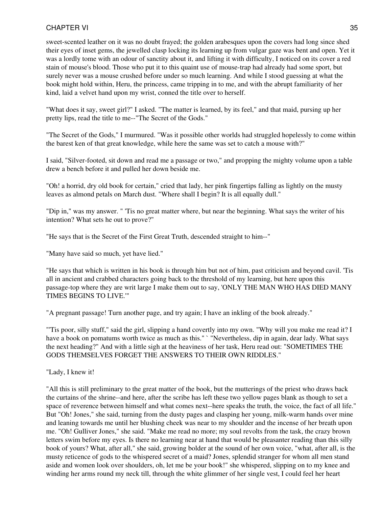sweet-scented leather on it was no doubt frayed; the golden arabesques upon the covers had long since shed their eyes of inset gems, the jewelled clasp locking its learning up from vulgar gaze was bent and open. Yet it was a lordly tome with an odour of sanctity about it, and lifting it with difficulty, I noticed on its cover a red stain of mouse's blood. Those who put it to this quaint use of mouse-trap had already had some sport, but surely never was a mouse crushed before under so much learning. And while I stood guessing at what the book might hold within, Heru, the princess, came tripping in to me, and with the abrupt familiarity of her kind, laid a velvet hand upon my wrist, conned the title over to herself.

"What does it say, sweet girl?" I asked. "The matter is learned, by its feel," and that maid, pursing up her pretty lips, read the title to me--"The Secret of the Gods."

"The Secret of the Gods," I murmured. "Was it possible other worlds had struggled hopelessly to come within the barest ken of that great knowledge, while here the same was set to catch a mouse with?"

I said, "Silver-footed, sit down and read me a passage or two," and propping the mighty volume upon a table drew a bench before it and pulled her down beside me.

"Oh! a horrid, dry old book for certain," cried that lady, her pink fingertips falling as lightly on the musty leaves as almond petals on March dust. "Where shall I begin? It is all equally dull."

"Dip in," was my answer. " 'Tis no great matter where, but near the beginning. What says the writer of his intention? What sets he out to prove?"

"He says that is the Secret of the First Great Truth, descended straight to him--"

"Many have said so much, yet have lied."

"He says that which is written in his book is through him but not of him, past criticism and beyond cavil. 'Tis all in ancient and crabbed characters going back to the threshold of my learning, but here upon this passage-top where they are writ large I make them out to say, 'ONLY THE MAN WHO HAS DIED MANY TIMES BEGINS TO LIVE.'"

"A pregnant passage! Turn another page, and try again; I have an inkling of the book already."

"'Tis poor, silly stuff," said the girl, slipping a hand covertly into my own. "Why will you make me read it? I have a book on pomatums worth twice as much as this." ' "Nevertheless, dip in again, dear lady. What says the next heading?" And with a little sigh at the heaviness of her task, Heru read out: "SOMETIMES THE GODS THEMSELVES FORGET THE ANSWERS TO THEIR OWN RIDDLES."

"Lady, I knew it!

"All this is still preliminary to the great matter of the book, but the mutterings of the priest who draws back the curtains of the shrine--and here, after the scribe has left these two yellow pages blank as though to set a space of reverence between himself and what comes next--here speaks the truth, the voice, the fact of all life." But "Oh! Jones," she said, turning from the dusty pages and clasping her young, milk-warm hands over mine and leaning towards me until her blushing cheek was near to my shoulder and the incense of her breath upon me. "Oh! Gulliver Jones," she said. "Make me read no more; my soul revolts from the task, the crazy brown letters swim before my eyes. Is there no learning near at hand that would be pleasanter reading than this silly book of yours? What, after all," she said, growing bolder at the sound of her own voice, "what, after all, is the musty reticence of gods to the whispered secret of a maid? Jones, splendid stranger for whom all men stand aside and women look over shoulders, oh, let me be your book!" she whispered, slipping on to my knee and winding her arms round my neck till, through the white glimmer of her single vest, I could feel her heart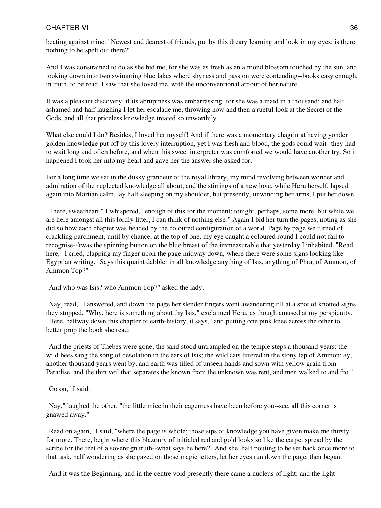beating against mine. "Newest and dearest of friends, put by this dreary learning and look in my eyes; is there nothing to be spelt out there?"

And I was constrained to do as she bid me, for she was as fresh as an almond blossom touched by the sun, and looking down into two swimming blue lakes where shyness and passion were contending--books easy enough, in truth, to be read, I saw that she loved me, with the unconventional ardour of her nature.

It was a pleasant discovery, if its abruptness was embarrassing, for she was a maid in a thousand; and half ashamed and half laughing I let her escalade me, throwing now and then a rueful look at the Secret of the Gods, and all that priceless knowledge treated so unworthily.

What else could I do? Besides, I loved her myself! And if there was a momentary chagrin at having yonder golden knowledge put off by this lovely interruption, yet I was flesh and blood, the gods could wait--they had to wait long and often before, and when this sweet interpreter was comforted we would have another try. So it happened I took her into my heart and gave her the answer she asked for.

For a long time we sat in the dusky grandeur of the royal library, my mind revolving between wonder and admiration of the neglected knowledge all about, and the stirrings of a new love, while Heru herself, lapsed again into Martian calm, lay half sleeping on my shoulder, but presently, unwinding her arms, I put her down.

"There, sweetheart," I whispered, "enough of this for the moment; tonight, perhaps, some more, but while we are here amongst all this lordly litter, I can think of nothing else." Again I bid her turn the pages, noting as she did so how each chapter was headed by the coloured configuration of a world. Page by page we turned of crackling parchment, until by chance, at the top of one, my eye caught a coloured round I could not fail to recognise--'twas the spinning button on the blue breast of the immeasurable that yesterday I inhabited. "Read here," I cried, clapping my finger upon the page midway down, where there were some signs looking like Egyptian writing. "Says this quaint dabbler in all knowledge anything of Isis, anything of Phra, of Ammon, of Ammon Top?"

"And who was Isis? who Ammon Top?" asked the lady.

"Nay, read," I answered, and down the page her slender fingers went awandering till at a spot of knotted signs they stopped. "Why, here is something about thy Isis," exclaimed Heru, as though amused at my perspicuity. "Here, halfway down this chapter of earth-history, it says," and putting one pink knee across the other to better prop the book she read:

"And the priests of Thebes were gone; the sand stood untrampled on the temple steps a thousand years; the wild bees sang the song of desolation in the ears of Isis; the wild cats littered in the stony lap of Ammon; ay, another thousand years went by, and earth was tilled of unseen hands and sown with yellow grain from Paradise, and the thin veil that separates the known from the unknown was rent, and men walked to and fro."

"Go on," I said.

"Nay," laughed the other, "the little mice in their eagerness have been before you--see, all this corner is gnawed away."

"Read on again," I said, "where the page is whole; those sips of knowledge you have given make me thirsty for more. There, begin where this blazonry of initialed red and gold looks so like the carpet spread by the scribe for the feet of a sovereign truth--what says he here?" And she, half pouting to be set back once more to that task, half wondering as she gazed on those magic letters, let her eyes run down the page, then began:

"And it was the Beginning, and in the centre void presently there came a nucleus of light: and the light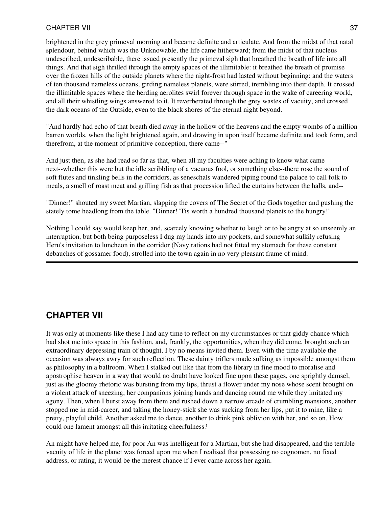brightened in the grey primeval morning and became definite and articulate. And from the midst of that natal splendour, behind which was the Unknowable, the life came hitherward; from the midst of that nucleus undescribed, undescribable, there issued presently the primeval sigh that breathed the breath of life into all things. And that sigh thrilled through the empty spaces of the illimitable: it breathed the breath of promise over the frozen hills of the outside planets where the night-frost had lasted without beginning: and the waters of ten thousand nameless oceans, girding nameless planets, were stirred, trembling into their depth. It crossed the illimitable spaces where the herding aerolites swirl forever through space in the wake of careering world, and all their whistling wings answered to it. It reverberated through the grey wastes of vacuity, and crossed the dark oceans of the Outside, even to the black shores of the eternal night beyond.

"And hardly had echo of that breath died away in the hollow of the heavens and the empty wombs of a million barren worlds, when the light brightened again, and drawing in upon itself became definite and took form, and therefrom, at the moment of primitive conception, there came--"

And just then, as she had read so far as that, when all my faculties were aching to know what came next--whether this were but the idle scribbling of a vacuous fool, or something else--there rose the sound of soft flutes and tinkling bells in the corridors, as seneschals wandered piping round the palace to call folk to meals, a smell of roast meat and grilling fish as that procession lifted the curtains between the halls, and--

"Dinner!" shouted my sweet Martian, slapping the covers of The Secret of the Gods together and pushing the stately tome headlong from the table. "Dinner! 'Tis worth a hundred thousand planets to the hungry!"

Nothing I could say would keep her, and, scarcely knowing whether to laugh or to be angry at so unseemly an interruption, but both being purposeless I dug my hands into my pockets, and somewhat sulkily refusing Heru's invitation to luncheon in the corridor (Navy rations had not fitted my stomach for these constant debauches of gossamer food), strolled into the town again in no very pleasant frame of mind.

# **CHAPTER VII**

It was only at moments like these I had any time to reflect on my circumstances or that giddy chance which had shot me into space in this fashion, and, frankly, the opportunities, when they did come, brought such an extraordinary depressing train of thought, I by no means invited them. Even with the time available the occasion was always awry for such reflection. These dainty triflers made sulking as impossible amongst them as philosophy in a ballroom. When I stalked out like that from the library in fine mood to moralise and apostrophise heaven in a way that would no doubt have looked fine upon these pages, one sprightly damsel, just as the gloomy rhetoric was bursting from my lips, thrust a flower under my nose whose scent brought on a violent attack of sneezing, her companions joining hands and dancing round me while they imitated my agony. Then, when I burst away from them and rushed down a narrow arcade of crumbling mansions, another stopped me in mid-career, and taking the honey-stick she was sucking from her lips, put it to mine, like a pretty, playful child. Another asked me to dance, another to drink pink oblivion with her, and so on. How could one lament amongst all this irritating cheerfulness?

An might have helped me, for poor An was intelligent for a Martian, but she had disappeared, and the terrible vacuity of life in the planet was forced upon me when I realised that possessing no cognomen, no fixed address, or rating, it would be the merest chance if I ever came across her again.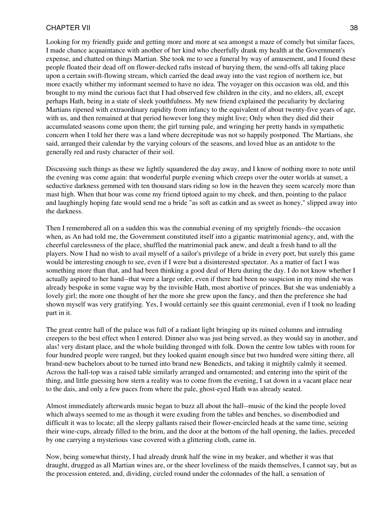Looking for my friendly guide and getting more and more at sea amongst a maze of comely but similar faces, I made chance acquaintance with another of her kind who cheerfully drank my health at the Government's expense, and chatted on things Martian. She took me to see a funeral by way of amusement, and I found these people floated their dead off on flower-decked rafts instead of burying them, the send-offs all taking place upon a certain swift-flowing stream, which carried the dead away into the vast region of northern ice, but more exactly whither my informant seemed to have no idea. The voyager on this occasion was old, and this brought to my mind the curious fact that I had observed few children in the city, and no elders, all, except perhaps Hath, being in a state of sleek youthfulness. My new friend explained the peculiarity by declaring Martians ripened with extraordinary rapidity from infancy to the equivalent of about twenty-five years of age, with us, and then remained at that period however long they might live; Only when they died did their accumulated seasons come upon them; the girl turning pale, and wringing her pretty hands in sympathetic concern when I told her there was a land where decrepitude was not so happily postponed. The Martians, she said, arranged their calendar by the varying colours of the seasons, and loved blue as an antidote to the generally red and rusty character of their soil.

Discussing such things as these we lightly squandered the day away, and I know of nothing more to note until the evening was come again: that wonderful purple evening which creeps over the outer worlds at sunset, a seductive darkness gemmed with ten thousand stars riding so low in the heaven they seem scarcely more than mast high. When that hour was come my friend tiptoed again to my cheek, and then, pointing to the palace and laughingly hoping fate would send me a bride "as soft as catkin and as sweet as honey," slipped away into the darkness.

Then I remembered all on a sudden this was the connubial evening of my sprightly friends--the occasion when, as An had told me, the Government constituted itself into a gigantic matrimonial agency, and, with the cheerful carelessness of the place, shuffled the matrimonial pack anew, and dealt a fresh hand to all the players. Now I had no wish to avail myself of a sailor's privilege of a bride in every port, but surely this game would be interesting enough to see, even if I were but a disinterested spectator. As a matter of fact I was something more than that, and had been thinking a good deal of Heru during the day. I do not know whether I actually aspired to her hand--that were a large order, even if there had been no suspicion in my mind she was already bespoke in some vague way by the invisible Hath, most abortive of princes. But she was undeniably a lovely girl; the more one thought of her the more she grew upon the fancy, and then the preference she had shown myself was very gratifying. Yes, I would certainly see this quaint ceremonial, even if I took no leading part in it.

The great centre hall of the palace was full of a radiant light bringing up its ruined columns and intruding creepers to the best effect when I entered. Dinner also was just being served, as they would say in another, and alas! very distant place, and the whole building thronged with folk. Down the centre low tables with room for four hundred people were ranged, but they looked quaint enough since but two hundred were sitting there, all brand-new bachelors about to be turned into brand new Benedicts, and taking it mightily calmly it seemed. Across the hall-top was a raised table similarly arranged and ornamented; and entering into the spirit of the thing, and little guessing how stern a reality was to come from the evening, I sat down in a vacant place near to the dais, and only a few paces from where the pale, ghost-eyed Hath was already seated.

Almost immediately afterwards music began to buzz all about the hall--music of the kind the people loved which always seemed to me as though it were exuding from the tables and benches, so disembodied and difficult it was to locate; all the sleepy gallants raised their flower-encircled heads at the same time, seizing their wine-cups, already filled to the brim, and the door at the bottom of the hall opening, the ladies, preceded by one carrying a mysterious vase covered with a glittering cloth, came in.

Now, being somewhat thirsty, I had already drunk half the wine in my beaker, and whether it was that draught, drugged as all Martian wines are, or the sheer loveliness of the maids themselves, I cannot say, but as the procession entered, and, dividing, circled round under the colonnades of the hall, a sensation of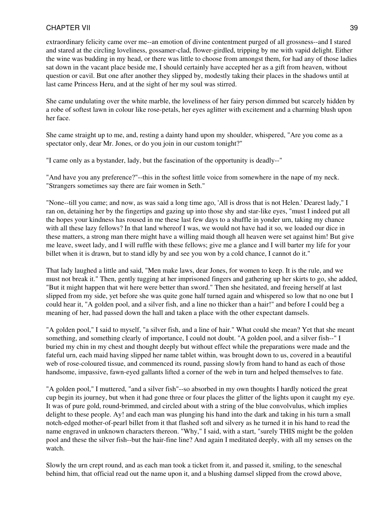extraordinary felicity came over me--an emotion of divine contentment purged of all grossness--and I stared and stared at the circling loveliness, gossamer-clad, flower-girdled, tripping by me with vapid delight. Either the wine was budding in my head, or there was little to choose from amongst them, for had any of those ladies sat down in the vacant place beside me, I should certainly have accepted her as a gift from heaven, without question or cavil. But one after another they slipped by, modestly taking their places in the shadows until at last came Princess Heru, and at the sight of her my soul was stirred.

She came undulating over the white marble, the loveliness of her fairy person dimmed but scarcely hidden by a robe of softest lawn in colour like rose-petals, her eyes aglitter with excitement and a charming blush upon her face.

She came straight up to me, and, resting a dainty hand upon my shoulder, whispered, "Are you come as a spectator only, dear Mr. Jones, or do you join in our custom tonight?"

"I came only as a bystander, lady, but the fascination of the opportunity is deadly--"

"And have you any preference?"--this in the softest little voice from somewhere in the nape of my neck. "Strangers sometimes say there are fair women in Seth."

"None--till you came; and now, as was said a long time ago, 'All is dross that is not Helen.' Dearest lady," I ran on, detaining her by the fingertips and gazing up into those shy and star-like eyes, "must I indeed put all the hopes your kindness has roused in me these last few days to a shuffle in yonder urn, taking my chance with all these lazy fellows? In that land whereof I was, we would not have had it so, we loaded our dice in these matters, a strong man there might have a willing maid though all heaven were set against him! But give me leave, sweet lady, and I will ruffle with these fellows; give me a glance and I will barter my life for your billet when it is drawn, but to stand idly by and see you won by a cold chance, I cannot do it."

That lady laughed a little and said, "Men make laws, dear Jones, for women to keep. It is the rule, and we must not break it." Then, gently tugging at her imprisoned fingers and gathering up her skirts to go, she added, "But it might happen that wit here were better than sword." Then she hesitated, and freeing herself at last slipped from my side, yet before she was quite gone half turned again and whispered so low that no one but I could hear it, "A golden pool, and a silver fish, and a line no thicker than a hair!" and before I could beg a meaning of her, had passed down the hall and taken a place with the other expectant damsels.

"A golden pool," I said to myself, "a silver fish, and a line of hair." What could she mean? Yet that she meant something, and something clearly of importance, I could not doubt. "A golden pool, and a silver fish--" I buried my chin in my chest and thought deeply but without effect while the preparations were made and the fateful urn, each maid having slipped her name tablet within, was brought down to us, covered in a beautiful web of rose-coloured tissue, and commenced its round, passing slowly from hand to hand as each of those handsome, impassive, fawn-eyed gallants lifted a corner of the web in turn and helped themselves to fate.

"A golden pool," I muttered, "and a silver fish"--so absorbed in my own thoughts I hardly noticed the great cup begin its journey, but when it had gone three or four places the glitter of the lights upon it caught my eye. It was of pure gold, round-brimmed, and circled about with a string of the blue convolvulus, which implies delight to these people. Ay! and each man was plunging his hand into the dark and taking in his turn a small notch-edged mother-of-pearl billet from it that flashed soft and silvery as he turned it in his hand to read the name engraved in unknown characters thereon. "Why," I said, with a start, "surely THIS might be the golden pool and these the silver fish--but the hair-fine line? And again I meditated deeply, with all my senses on the watch.

Slowly the urn crept round, and as each man took a ticket from it, and passed it, smiling, to the seneschal behind him, that official read out the name upon it, and a blushing damsel slipped from the crowd above,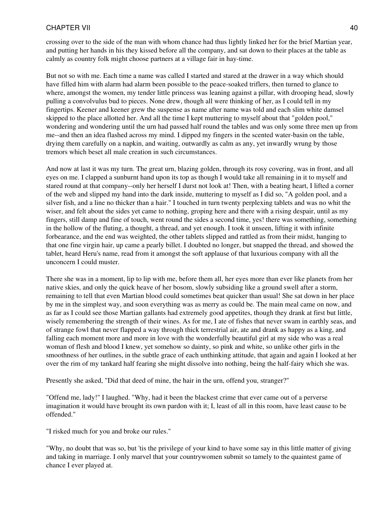crossing over to the side of the man with whom chance had thus lightly linked her for the brief Martian year, and putting her hands in his they kissed before all the company, and sat down to their places at the table as calmly as country folk might choose partners at a village fair in hay-time.

But not so with me. Each time a name was called I started and stared at the drawer in a way which should have filled him with alarm had alarm been possible to the peace-soaked triflers, then turned to glance to where, amongst the women, my tender little princess was leaning against a pillar, with drooping head, slowly pulling a convolvulus bud to pieces. None drew, though all were thinking of her, as I could tell in my fingertips. Keener and keener grew the suspense as name after name was told and each slim white damsel skipped to the place allotted her. And all the time I kept muttering to myself about that "golden pool," wondering and wondering until the urn had passed half round the tables and was only some three men up from me--and then an idea flashed across my mind. I dipped my fingers in the scented water-basin on the table, drying them carefully on a napkin, and waiting, outwardly as calm as any, yet inwardly wrung by those tremors which beset all male creation in such circumstances.

And now at last it was my turn. The great urn, blazing golden, through its rosy covering, was in front, and all eyes on me. I clapped a sunburnt hand upon its top as though I would take all remaining in it to myself and stared round at that company--only her herself I durst not look at! Then, with a beating heart, I lifted a corner of the web and slipped my hand into the dark inside, muttering to myself as I did so, "A golden pool, and a silver fish, and a line no thicker than a hair." I touched in turn twenty perplexing tablets and was no whit the wiser, and felt about the sides yet came to nothing, groping here and there with a rising despair, until as my fingers, still damp and fine of touch, went round the sides a second time, yes! there was something, something in the hollow of the fluting, a thought, a thread, and yet enough. I took it unseen, lifting it with infinite forbearance, and the end was weighted, the other tablets slipped and rattled as from their midst, hanging to that one fine virgin hair, up came a pearly billet. I doubted no longer, but snapped the thread, and showed the tablet, heard Heru's name, read from it amongst the soft applause of that luxurious company with all the unconcern I could muster.

There she was in a moment, lip to lip with me, before them all, her eyes more than ever like planets from her native skies, and only the quick heave of her bosom, slowly subsiding like a ground swell after a storm, remaining to tell that even Martian blood could sometimes beat quicker than usual! She sat down in her place by me in the simplest way, and soon everything was as merry as could be. The main meal came on now, and as far as I could see those Martian gallants had extremely good appetites, though they drank at first but little, wisely remembering the strength of their wines. As for me, I ate of fishes that never swam in earthly seas, and of strange fowl that never flapped a way through thick terrestrial air, ate and drank as happy as a king, and falling each moment more and more in love with the wonderfully beautiful girl at my side who was a real woman of flesh and blood I knew, yet somehow so dainty, so pink and white, so unlike other girls in the smoothness of her outlines, in the subtle grace of each unthinking attitude, that again and again I looked at her over the rim of my tankard half fearing she might dissolve into nothing, being the half-fairy which she was.

Presently she asked, "Did that deed of mine, the hair in the urn, offend you, stranger?"

"Offend me, lady!" I laughed. "Why, had it been the blackest crime that ever came out of a perverse imagination it would have brought its own pardon with it; I, least of all in this room, have least cause to be offended."

"I risked much for you and broke our rules."

"Why, no doubt that was so, but 'tis the privilege of your kind to have some say in this little matter of giving and taking in marriage. I only marvel that your countrywomen submit so tamely to the quaintest game of chance I ever played at.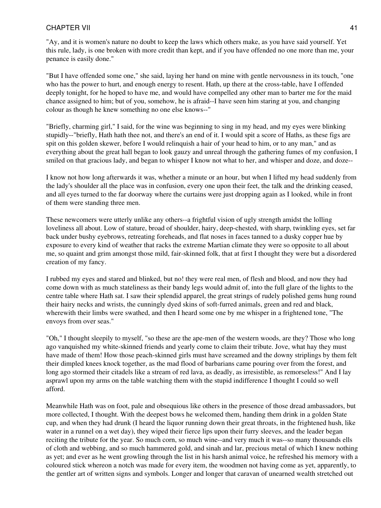"Ay, and it is women's nature no doubt to keep the laws which others make, as you have said yourself. Yet this rule, lady, is one broken with more credit than kept, and if you have offended no one more than me, your penance is easily done."

"But I have offended some one," she said, laying her hand on mine with gentle nervousness in its touch, "one who has the power to hurt, and enough energy to resent. Hath, up there at the cross-table, have I offended deeply tonight, for he hoped to have me, and would have compelled any other man to barter me for the maid chance assigned to him; but of you, somehow, he is afraid--I have seen him staring at you, and changing colour as though he knew something no one else knows--"

"Briefly, charming girl," I said, for the wine was beginning to sing in my head, and my eyes were blinking stupidly--"briefly, Hath hath thee not, and there's an end of it. I would spit a score of Haths, as these figs are spit on this golden skewer, before I would relinquish a hair of your head to him, or to any man," and as everything about the great hall began to look gauzy and unreal through the gathering fumes of my confusion, I smiled on that gracious lady, and began to whisper I know not what to her, and whisper and doze, and doze--

I know not how long afterwards it was, whether a minute or an hour, but when I lifted my head suddenly from the lady's shoulder all the place was in confusion, every one upon their feet, the talk and the drinking ceased, and all eyes turned to the far doorway where the curtains were just dropping again as I looked, while in front of them were standing three men.

These newcomers were utterly unlike any others--a frightful vision of ugly strength amidst the lolling loveliness all about. Low of stature, broad of shoulder, hairy, deep-chested, with sharp, twinkling eyes, set far back under bushy eyebrows, retreating foreheads, and flat noses in faces tanned to a dusky copper hue by exposure to every kind of weather that racks the extreme Martian climate they were so opposite to all about me, so quaint and grim amongst those mild, fair-skinned folk, that at first I thought they were but a disordered creation of my fancy.

I rubbed my eyes and stared and blinked, but no! they were real men, of flesh and blood, and now they had come down with as much stateliness as their bandy legs would admit of, into the full glare of the lights to the centre table where Hath sat. I saw their splendid apparel, the great strings of rudely polished gems hung round their hairy necks and wrists, the cunningly dyed skins of soft-furred animals, green and red and black, wherewith their limbs were swathed, and then I heard some one by me whisper in a frightened tone, "The envoys from over seas."

"Oh," I thought sleepily to myself, "so these are the ape-men of the western woods, are they? Those who long ago vanquished my white-skinned friends and yearly come to claim their tribute. Jove, what hay they must have made of them! How those peach-skinned girls must have screamed and the downy striplings by them felt their dimpled knees knock together, as the mad flood of barbarians came pouring over from the forest, and long ago stormed their citadels like a stream of red lava, as deadly, as irresistible, as remorseless!" And I lay asprawl upon my arms on the table watching them with the stupid indifference I thought I could so well afford.

Meanwhile Hath was on foot, pale and obsequious like others in the presence of those dread ambassadors, but more collected, I thought. With the deepest bows he welcomed them, handing them drink in a golden State cup, and when they had drunk (I heard the liquor running down their great throats, in the frightened hush, like water in a runnel on a wet day), they wiped their fierce lips upon their furry sleeves, and the leader began reciting the tribute for the year. So much corn, so much wine--and very much it was--so many thousands ells of cloth and webbing, and so much hammered gold, and sinah and lar, precious metal of which I knew nothing as yet; and ever as he went growling through the list in his harsh animal voice, he refreshed his memory with a coloured stick whereon a notch was made for every item, the woodmen not having come as yet, apparently, to the gentler art of written signs and symbols. Longer and longer that caravan of unearned wealth stretched out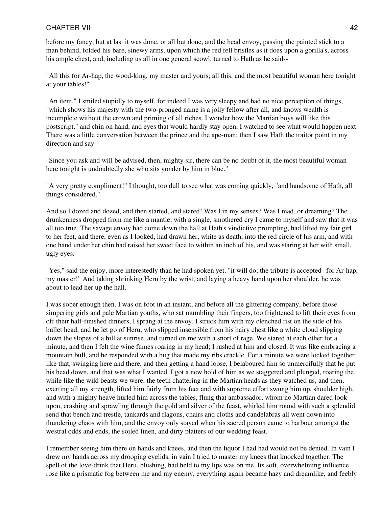before my fancy, but at last it was done, or all but done, and the head envoy, passing the painted stick to a man behind, folded his bare, sinewy arms, upon which the red fell bristles as it does upon a gorilla's, across his ample chest, and, including us all in one general scowl, turned to Hath as he said--

"All this for Ar-hap, the wood-king, my master and yours; all this, and the most beautiful woman here tonight at your tables!"

"An item," I smiled stupidly to myself, for indeed I was very sleepy and had no nice perception of things, "which shows his majesty with the two-pronged name is a jolly fellow after all, and knows wealth is incomplete without the crown and priming of all riches. I wonder how the Martian boys will like this postscript," and chin on hand, and eyes that would hardly stay open, I watched to see what would happen next. There was a little conversation between the prince and the ape-man; then I saw Hath the traitor point in my direction and say--

"Since you ask and will be advised, then, mighty sir, there can be no doubt of it, the most beautiful woman here tonight is undoubtedly she who sits yonder by him in blue."

"A very pretty compliment!" I thought, too dull to see what was coming quickly, "and handsome of Hath, all things considered."

And so I dozed and dozed, and then started, and stared! Was I in my senses? Was I mad, or dreaming? The drunkenness dropped from me like a mantle; with a single, smothered cry I came to myself and saw that it was all too true. The savage envoy had come down the hall at Hath's vindictive prompting, had lifted my fair girl to her feet, and there, even as I looked, had drawn her, white as death, into the red circle of his arm, and with one hand under her chin had raised her sweet face to within an inch of his, and was staring at her with small, ugly eyes.

"Yes," said the enjoy, more interestedly than he had spoken yet, "it will do; the tribute is accepted--for Ar-hap, my master!" And taking shrinking Heru by the wrist, and laying a heavy hand upon her shoulder, he was about to lead her up the hall.

I was sober enough then. I was on foot in an instant, and before all the glittering company, before those simpering girls and pale Martian youths, who sat mumbling their fingers, too frightened to lift their eyes from off their half-finished dinners, I sprang at the envoy. I struck him with my clenched fist on the side of his bullet head, and he let go of Heru, who slipped insensible from his hairy chest like a white cloud slipping down the slopes of a hill at sunrise, and turned on me with a snort of rage. We stared at each other for a minute, and then I felt the wine fumes roaring in my head; I rushed at him and closed. It was like embracing a mountain bull, and he responded with a hug that made my ribs crackle. For a minute we were locked together like that, swinging here and there, and then getting a hand loose, I belaboured him so unmercifully that he put his head down, and that was what I wanted. I got a new hold of him as we staggered and plunged, roaring the while like the wild beasts we were, the teeth chattering in the Martian heads as they watched us, and then, exerting all my strength, lifted him fairly from his feet and with supreme effort swung him up, shoulder high, and with a mighty heave hurled him across the tables, flung that ambassador, whom no Martian dared look upon, crashing and sprawling through the gold and silver of the feast, whirled him round with such a splendid send that bench and trestle, tankards and flagons, chairs and cloths and candelabras all went down into thundering chaos with him, and the envoy only stayed when his sacred person came to harbour amongst the westral odds and ends, the soiled linen, and dirty platters of our wedding feast.

I remember seeing him there on hands and knees, and then the liquor I had had would not be denied. In vain I drew my hands across my drooping eyelids, in vain I tried to master my knees that knocked together. The spell of the love-drink that Heru, blushing, had held to my lips was on me. Its soft, overwhelming influence rose like a prismatic fog between me and my enemy, everything again became hazy and dreamlike, and feebly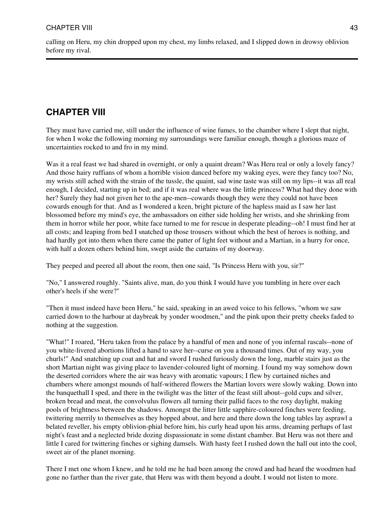calling on Heru, my chin dropped upon my chest, my limbs relaxed, and I slipped down in drowsy oblivion before my rival.

# **CHAPTER VIII**

They must have carried me, still under the influence of wine fumes, to the chamber where I slept that night, for when I woke the following morning my surroundings were familiar enough, though a glorious maze of uncertainties rocked to and fro in my mind.

Was it a real feast we had shared in overnight, or only a quaint dream? Was Heru real or only a lovely fancy? And those hairy ruffians of whom a horrible vision danced before my waking eyes, were they fancy too? No, my wrists still ached with the strain of the tussle, the quaint, sad wine taste was still on my lips--it was all real enough, I decided, starting up in bed; and if it was real where was the little princess? What had they done with her? Surely they had not given her to the ape-men--cowards though they were they could not have been cowards enough for that. And as I wondered a keen, bright picture of the hapless maid as I saw her last blossomed before my mind's eye, the ambassadors on either side holding her wrists, and she shrinking from them in horror while her poor, white face turned to me for rescue in desperate pleading--oh! I must find her at all costs; and leaping from bed I snatched up those trousers without which the best of heroes is nothing, and had hardly got into them when there came the patter of light feet without and a Martian, in a hurry for once, with half a dozen others behind him, swept aside the curtains of my doorway.

They peeped and peered all about the room, then one said, "Is Princess Heru with you, sir?"

"No," I answered roughly. "Saints alive, man, do you think I would have you tumbling in here over each other's heels if she were?"

"Then it must indeed have been Heru," he said, speaking in an awed voice to his fellows, "whom we saw carried down to the harbour at daybreak by yonder woodmen," and the pink upon their pretty cheeks faded to nothing at the suggestion.

"What!" I roared, "Heru taken from the palace by a handful of men and none of you infernal rascals--none of you white-livered abortions lifted a hand to save her--curse on you a thousand times. Out of my way, you churls!" And snatching up coat and hat and sword I rushed furiously down the long, marble stairs just as the short Martian night was giving place to lavender-coloured light of morning. I found my way somehow down the deserted corridors where the air was heavy with aromatic vapours; I flew by curtained niches and chambers where amongst mounds of half-withered flowers the Martian lovers were slowly waking. Down into the banquethall I sped, and there in the twilight was the litter of the feast still about--gold cups and silver, broken bread and meat, the convolvulus flowers all turning their pallid faces to the rosy daylight, making pools of brightness between the shadows. Amongst the litter little sapphire-coloured finches were feeding, twittering merrily to themselves as they hopped about, and here and there down the long tables lay asprawl a belated reveller, his empty oblivion-phial before him, his curly head upon his arms, dreaming perhaps of last night's feast and a neglected bride dozing dispassionate in some distant chamber. But Heru was not there and little I cared for twittering finches or sighing damsels. With hasty feet I rushed down the hall out into the cool, sweet air of the planet morning.

There I met one whom I knew, and he told me he had been among the crowd and had heard the woodmen had gone no farther than the river gate, that Heru was with them beyond a doubt. I would not listen to more.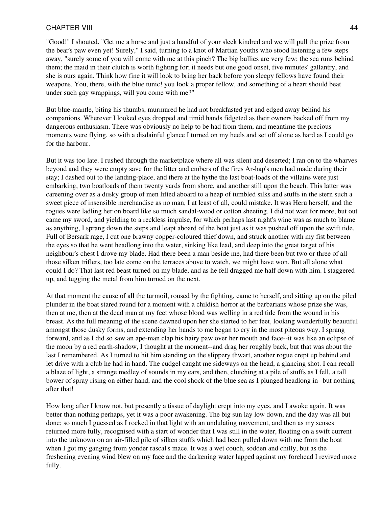"Good!" I shouted. "Get me a horse and just a handful of your sleek kindred and we will pull the prize from the bear's paw even yet! Surely," I said, turning to a knot of Martian youths who stood listening a few steps away, "surely some of you will come with me at this pinch? The big bullies are very few; the sea runs behind them; the maid in their clutch is worth fighting for; it needs but one good onset, five minutes' gallantry, and she is ours again. Think how fine it will look to bring her back before yon sleepy fellows have found their weapons. You, there, with the blue tunic! you look a proper fellow, and something of a heart should beat under such gay wrappings, will you come with me?"

But blue-mantle, biting his thumbs, murmured he had not breakfasted yet and edged away behind his companions. Wherever I looked eyes dropped and timid hands fidgeted as their owners backed off from my dangerous enthusiasm. There was obviously no help to be had from them, and meantime the precious moments were flying, so with a disdainful glance I turned on my heels and set off alone as hard as I could go for the harbour.

But it was too late. I rushed through the marketplace where all was silent and deserted; I ran on to the wharves beyond and they were empty save for the litter and embers of the fires Ar-hap's men had made during their stay; I dashed out to the landing-place, and there at the hythe the last boat-loads of the villains were just embarking, two boatloads of them twenty yards from shore, and another still upon the beach. This latter was careening over as a dusky group of men lifted aboard to a heap of tumbled silks and stuffs in the stern such a sweet piece of insensible merchandise as no man, I at least of all, could mistake. It was Heru herself, and the rogues were ladling her on board like so much sandal-wood or cotton sheeting. I did not wait for more, but out came my sword, and yielding to a reckless impulse, for which perhaps last night's wine was as much to blame as anything, I sprang down the steps and leapt aboard of the boat just as it was pushed off upon the swift tide. Full of Bersark rage, I cut one brawny copper-coloured thief down, and struck another with my fist between the eyes so that he went headlong into the water, sinking like lead, and deep into the great target of his neighbour's chest I drove my blade. Had there been a man beside me, had there been but two or three of all those silken triflers, too late come on the terraces above to watch, we might have won. But all alone what could I do? That last red beast turned on my blade, and as he fell dragged me half down with him. I staggered up, and tugging the metal from him turned on the next.

At that moment the cause of all the turmoil, roused by the fighting, came to herself, and sitting up on the piled plunder in the boat stared round for a moment with a childish horror at the barbarians whose prize she was, then at me, then at the dead man at my feet whose blood was welling in a red tide from the wound in his breast. As the full meaning of the scene dawned upon her she started to her feet, looking wonderfully beautiful amongst those dusky forms, and extending her hands to me began to cry in the most piteous way. I sprang forward, and as I did so saw an ape-man clap his hairy paw over her mouth and face--it was like an eclipse of the moon by a red earth-shadow, I thought at the moment--and drag her roughly back, but that was about the last I remembered. As I turned to hit him standing on the slippery thwart, another rogue crept up behind and let drive with a club he had in hand. The cudgel caught me sideways on the head, a glancing shot. I can recall a blaze of light, a strange medley of sounds in my ears, and then, clutching at a pile of stuffs as I fell, a tall bower of spray rising on either hand, and the cool shock of the blue sea as I plunged headlong in--but nothing after that!

How long after I know not, but presently a tissue of daylight crept into my eyes, and I awoke again. It was better than nothing perhaps, yet it was a poor awakening. The big sun lay low down, and the day was all but done; so much I guessed as I rocked in that light with an undulating movement, and then as my senses returned more fully, recognised with a start of wonder that I was still in the water, floating on a swift current into the unknown on an air-filled pile of silken stuffs which had been pulled down with me from the boat when I got my ganging from yonder rascal's mace. It was a wet couch, sodden and chilly, but as the freshening evening wind blew on my face and the darkening water lapped against my forehead I revived more fully.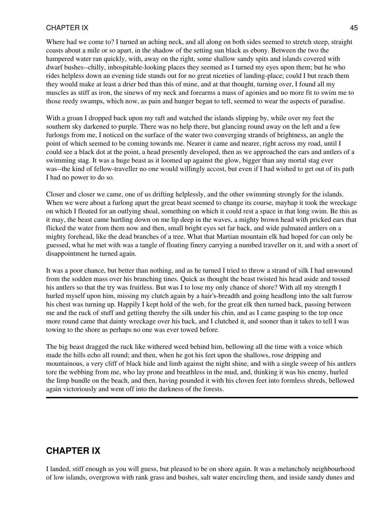Where had we come to? I turned an aching neck, and all along on both sides seemed to stretch steep, straight coasts about a mile or so apart, in the shadow of the setting sun black as ebony. Between the two the hampered water ran quickly, with, away on the right, some shallow sandy spits and islands covered with dwarf bushes--chilly, inhospitable-looking places they seemed as I turned my eyes upon them; but he who rides helpless down an evening tide stands out for no great niceties of landing-place; could I but reach them they would make at least a drier bed than this of mine, and at that thought, turning over, I found all my muscles as stiff as iron, the sinews of my neck and forearms a mass of agonies and no more fit to swim me to those reedy swamps, which now, as pain and hunger began to tell, seemed to wear the aspects of paradise.

With a groan I dropped back upon my raft and watched the islands slipping by, while over my feet the southern sky darkened to purple. There was no help there, but glancing round away on the left and a few furlongs from me, I noticed on the surface of the water two converging strands of brightness, an angle the point of which seemed to be coming towards me. Nearer it came and nearer, right across my road, until I could see a black dot at the point, a head presently developed, then as we approached the ears and antlers of a swimming stag. It was a huge beast as it loomed up against the glow, bigger than any mortal stag ever was--the kind of fellow-traveller no one would willingly accost, but even if I had wished to get out of its path I had no power to do so.

Closer and closer we came, one of us drifting helplessly, and the other swimming strongly for the islands. When we were about a furlong apart the great beast seemed to change its course, mayhap it took the wreckage on which I floated for an outlying shoal, something on which it could rest a space in that long swim. Be this as it may, the beast came hurtling down on me lip deep in the waves, a mighty brown head with pricked ears that flicked the water from them now and then, small bright eyes set far back, and wide palmated antlers on a mighty forehead, like the dead branches of a tree. What that Martian mountain elk had hoped for can only be guessed, what he met with was a tangle of floating finery carrying a numbed traveller on it, and with a snort of disappointment he turned again.

It was a poor chance, but better than nothing, and as he turned I tried to throw a strand of silk I had unwound from the sodden mass over his branching tines. Quick as thought the beast twisted his head aside and tossed his antlers so that the try was fruitless. But was I to lose my only chance of shore? With all my strength I hurled myself upon him, missing my clutch again by a hair's-breadth and going headlong into the salt furrow his chest was turning up. Happily I kept hold of the web, for the great elk then turned back, passing between me and the ruck of stuff and getting thereby the silk under his chin, and as I came gasping to the top once more round came that dainty wreckage over his back, and I clutched it, and sooner than it takes to tell I was towing to the shore as perhaps no one was ever towed before.

The big beast dragged the ruck like withered weed behind him, bellowing all the time with a voice which made the hills echo all round; and then, when he got his feet upon the shallows, rose dripping and mountainous, a very cliff of black hide and limb against the night shine, and with a single sweep of his antlers tore the webbing from me, who lay prone and breathless in the mud, and, thinking it was his enemy, hurled the limp bundle on the beach, and then, having pounded it with his cloven feet into formless shreds, bellowed again victoriously and went off into the darkness of the forests.

# **CHAPTER IX**

I landed, stiff enough as you will guess, but pleased to be on shore again. It was a melancholy neighbourhood of low islands, overgrown with rank grass and bushes, salt water encircling them, and inside sandy dunes and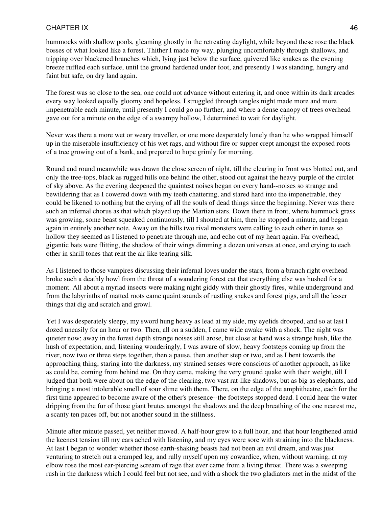hummocks with shallow pools, gleaming ghostly in the retreating daylight, while beyond these rose the black bosses of what looked like a forest. Thither I made my way, plunging uncomfortably through shallows, and tripping over blackened branches which, lying just below the surface, quivered like snakes as the evening breeze ruffled each surface, until the ground hardened under foot, and presently I was standing, hungry and faint but safe, on dry land again.

The forest was so close to the sea, one could not advance without entering it, and once within its dark arcades every way looked equally gloomy and hopeless. I struggled through tangles night made more and more impenetrable each minute, until presently I could go no further, and where a dense canopy of trees overhead gave out for a minute on the edge of a swampy hollow, I determined to wait for daylight.

Never was there a more wet or weary traveller, or one more desperately lonely than he who wrapped himself up in the miserable insufficiency of his wet rags, and without fire or supper crept amongst the exposed roots of a tree growing out of a bank, and prepared to hope grimly for morning.

Round and round meanwhile was drawn the close screen of night, till the clearing in front was blotted out, and only the tree-tops, black as rugged hills one behind the other, stood out against the heavy purple of the circlet of sky above. As the evening deepened the quaintest noises began on every hand--noises so strange and bewildering that as I cowered down with my teeth chattering, and stared hard into the impenetrable, they could be likened to nothing but the crying of all the souls of dead things since the beginning. Never was there such an infernal chorus as that which played up the Martian stars. Down there in front, where hummock grass was growing, some beast squeaked continuously, till I shouted at him, then he stopped a minute, and began again in entirely another note. Away on the hills two rival monsters were calling to each other in tones so hollow they seemed as I listened to penetrate through me, and echo out of my heart again. Far overhead, gigantic bats were flitting, the shadow of their wings dimming a dozen universes at once, and crying to each other in shrill tones that rent the air like tearing silk.

As I listened to those vampires discussing their infernal loves under the stars, from a branch right overhead broke such a deathly howl from the throat of a wandering forest cat that everything else was hushed for a moment. All about a myriad insects were making night giddy with their ghostly fires, while underground and from the labyrinths of matted roots came quaint sounds of rustling snakes and forest pigs, and all the lesser things that dig and scratch and growl.

Yet I was desperately sleepy, my sword hung heavy as lead at my side, my eyelids drooped, and so at last I dozed uneasily for an hour or two. Then, all on a sudden, I came wide awake with a shock. The night was quieter now; away in the forest depth strange noises still arose, but close at hand was a strange hush, like the hush of expectation, and, listening wonderingly, I was aware of slow, heavy footsteps coming up from the river, now two or three steps together, then a pause, then another step or two, and as I bent towards the approaching thing, staring into the darkness, my strained senses were conscious of another approach, as like as could be, coming from behind me. On they came, making the very ground quake with their weight, till I judged that both were about on the edge of the clearing, two vast rat-like shadows, but as big as elephants, and bringing a most intolerable smell of sour slime with them. There, on the edge of the amphitheatre, each for the first time appeared to become aware of the other's presence--the footsteps stopped dead. I could hear the water dripping from the fur of those giant brutes amongst the shadows and the deep breathing of the one nearest me, a scanty ten paces off, but not another sound in the stillness.

Minute after minute passed, yet neither moved. A half-hour grew to a full hour, and that hour lengthened amid the keenest tension till my ears ached with listening, and my eyes were sore with straining into the blackness. At last I began to wonder whether those earth-shaking beasts had not been an evil dream, and was just venturing to stretch out a cramped leg, and rally myself upon my cowardice, when, without warning, at my elbow rose the most ear-piercing scream of rage that ever came from a living throat. There was a sweeping rush in the darkness which I could feel but not see, and with a shock the two gladiators met in the midst of the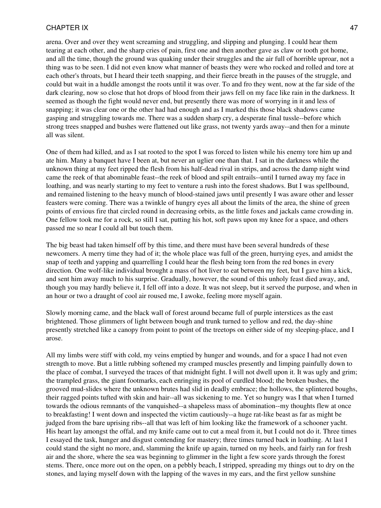arena. Over and over they went screaming and struggling, and slipping and plunging. I could hear them tearing at each other, and the sharp cries of pain, first one and then another gave as claw or tooth got home, and all the time, though the ground was quaking under their struggles and the air full of horrible uproar, not a thing was to be seen. I did not even know what manner of beasts they were who rocked and rolled and tore at each other's throats, but I heard their teeth snapping, and their fierce breath in the pauses of the struggle, and could but wait in a huddle amongst the roots until it was over. To and fro they went, now at the far side of the dark clearing, now so close that hot drops of blood from their jaws fell on my face like rain in the darkness. It seemed as though the fight would never end, but presently there was more of worrying in it and less of snapping; it was clear one or the other had had enough and as I marked this those black shadows came gasping and struggling towards me. There was a sudden sharp cry, a desperate final tussle--before which strong trees snapped and bushes were flattened out like grass, not twenty yards away--and then for a minute all was silent.

One of them had killed, and as I sat rooted to the spot I was forced to listen while his enemy tore him up and ate him. Many a banquet have I been at, but never an uglier one than that. I sat in the darkness while the unknown thing at my feet ripped the flesh from his half-dead rival in strips, and across the damp night wind came the reek of that abominable feast--the reek of blood and spilt entrails--until I turned away my face in loathing, and was nearly starting to my feet to venture a rush into the forest shadows. But I was spellbound, and remained listening to the heavy munch of blood-stained jaws until presently I was aware other and lesser feasters were coming. There was a twinkle of hungry eyes all about the limits of the area, the shine of green points of envious fire that circled round in decreasing orbits, as the little foxes and jackals came crowding in. One fellow took me for a rock, so still I sat, putting his hot, soft paws upon my knee for a space, and others passed me so near I could all but touch them.

The big beast had taken himself off by this time, and there must have been several hundreds of these newcomers. A merry time they had of it; the whole place was full of the green, hurrying eyes, and amidst the snap of teeth and yapping and quarrelling I could hear the flesh being torn from the red bones in every direction. One wolf-like individual brought a mass of hot liver to eat between my feet, but I gave him a kick, and sent him away much to his surprise. Gradually, however, the sound of this unholy feast died away, and, though you may hardly believe it, I fell off into a doze. It was not sleep, but it served the purpose, and when in an hour or two a draught of cool air roused me, I awoke, feeling more myself again.

Slowly morning came, and the black wall of forest around became full of purple interstices as the east brightened. Those glimmers of light between bough and trunk turned to yellow and red, the day-shine presently stretched like a canopy from point to point of the treetops on either side of my sleeping-place, and I arose.

All my limbs were stiff with cold, my veins emptied by hunger and wounds, and for a space I had not even strength to move. But a little rubbing softened my cramped muscles presently and limping painfully down to the place of combat, I surveyed the traces of that midnight fight. I will not dwell upon it. It was ugly and grim; the trampled grass, the giant footmarks, each enringing its pool of curdled blood; the broken bushes, the grooved mud-slides where the unknown brutes had slid in deadly embrace; the hollows, the splintered boughs, their ragged points tufted with skin and hair--all was sickening to me. Yet so hungry was I that when I turned towards the odious remnants of the vanquished--a shapeless mass of abomination--my thoughts flew at once to breakfasting! I went down and inspected the victim cautiously--a huge rat-like beast as far as might be judged from the bare uprising ribs--all that was left of him looking like the framework of a schooner yacht. His heart lay amongst the offal, and my knife came out to cut a meal from it, but I could not do it. Three times I essayed the task, hunger and disgust contending for mastery; three times turned back in loathing. At last I could stand the sight no more, and, slamming the knife up again, turned on my heels, and fairly ran for fresh air and the shore, where the sea was beginning to glimmer in the light a few score yards through the forest stems. There, once more out on the open, on a pebbly beach, I stripped, spreading my things out to dry on the stones, and laying myself down with the lapping of the waves in my ears, and the first yellow sunshine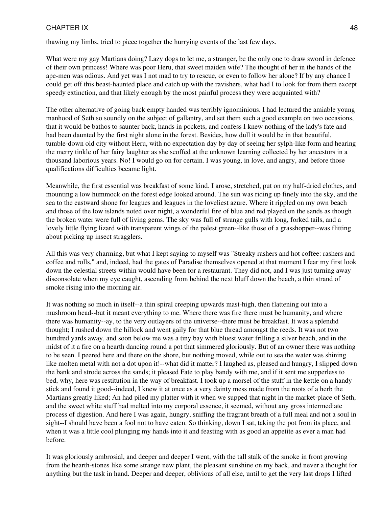thawing my limbs, tried to piece together the hurrying events of the last few days.

What were my gay Martians doing? Lazy dogs to let me, a stranger, be the only one to draw sword in defence of their own princess! Where was poor Heru, that sweet maiden wife? The thought of her in the hands of the ape-men was odious. And yet was I not mad to try to rescue, or even to follow her alone? If by any chance I could get off this beast-haunted place and catch up with the ravishers, what had I to look for from them except speedy extinction, and that likely enough by the most painful process they were acquainted with?

The other alternative of going back empty handed was terribly ignominious. I had lectured the amiable young manhood of Seth so soundly on the subject of gallantry, and set them such a good example on two occasions, that it would be bathos to saunter back, hands in pockets, and confess I knew nothing of the lady's fate and had been daunted by the first night alone in the forest. Besides, how dull it would be in that beautiful, tumble-down old city without Heru, with no expectation day by day of seeing her sylph-like form and hearing the merry tinkle of her fairy laughter as she scoffed at the unknown learning collected by her ancestors in a thousand laborious years. No! I would go on for certain. I was young, in love, and angry, and before those qualifications difficulties became light.

Meanwhile, the first essential was breakfast of some kind. I arose, stretched, put on my half-dried clothes, and mounting a low hummock on the forest edge looked around. The sun was riding up finely into the sky, and the sea to the eastward shone for leagues and leagues in the loveliest azure. Where it rippled on my own beach and those of the low islands noted over night, a wonderful fire of blue and red played on the sands as though the broken water were full of living gems. The sky was full of strange gulls with long, forked tails, and a lovely little flying lizard with transparent wings of the palest green--like those of a grasshopper--was flitting about picking up insect stragglers.

All this was very charming, but what I kept saying to myself was "Streaky rashers and hot coffee: rashers and coffee and rolls," and, indeed, had the gates of Paradise themselves opened at that moment I fear my first look down the celestial streets within would have been for a restaurant. They did not, and I was just turning away disconsolate when my eye caught, ascending from behind the next bluff down the beach, a thin strand of smoke rising into the morning air.

It was nothing so much in itself--a thin spiral creeping upwards mast-high, then flattening out into a mushroom head--but it meant everything to me. Where there was fire there must be humanity, and where there was humanity--ay, to the very outlayers of the universe--there must be breakfast. It was a splendid thought; I rushed down the hillock and went gaily for that blue thread amongst the reeds. It was not two hundred yards away, and soon below me was a tiny bay with bluest water frilling a silver beach, and in the midst of it a fire on a hearth dancing round a pot that simmered gloriously. But of an owner there was nothing to be seen. I peered here and there on the shore, but nothing moved, while out to sea the water was shining like molten metal with not a dot upon it!--what did it matter? I laughed as, pleased and hungry, I slipped down the bank and strode across the sands; it pleased Fate to play bandy with me, and if it sent me supperless to bed, why, here was restitution in the way of breakfast. I took up a morsel of the stuff in the kettle on a handy stick and found it good--indeed, I knew it at once as a very dainty mess made from the roots of a herb the Martians greatly liked; An had piled my platter with it when we supped that night in the market-place of Seth, and the sweet white stuff had melted into my corporal essence, it seemed, without any gross intermediate process of digestion. And here I was again, hungry, sniffing the fragrant breath of a full meal and not a soul in sight--I should have been a fool not to have eaten. So thinking, down I sat, taking the pot from its place, and when it was a little cool plunging my hands into it and feasting with as good an appetite as ever a man had before.

It was gloriously ambrosial, and deeper and deeper I went, with the tall stalk of the smoke in front growing from the hearth-stones like some strange new plant, the pleasant sunshine on my back, and never a thought for anything but the task in hand. Deeper and deeper, oblivious of all else, until to get the very last drops I lifted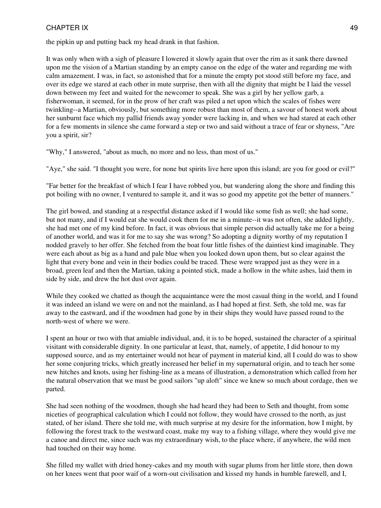the pipkin up and putting back my head drank in that fashion.

It was only when with a sigh of pleasure I lowered it slowly again that over the rim as it sank there dawned upon me the vision of a Martian standing by an empty canoe on the edge of the water and regarding me with calm amazement. I was, in fact, so astonished that for a minute the empty pot stood still before my face, and over its edge we stared at each other in mute surprise, then with all the dignity that might be I laid the vessel down between my feet and waited for the newcomer to speak. She was a girl by her yellow garb, a fisherwoman, it seemed, for in the prow of her craft was piled a net upon which the scales of fishes were twinkling--a Martian, obviously, but something more robust than most of them, a savour of honest work about her sunburnt face which my pallid friends away yonder were lacking in, and when we had stared at each other for a few moments in silence she came forward a step or two and said without a trace of fear or shyness, "Are you a spirit, sir?

"Why," I answered, "about as much, no more and no less, than most of us."

"Aye," she said. "I thought you were, for none but spirits live here upon this island; are you for good or evil?"

"Far better for the breakfast of which I fear I have robbed you, but wandering along the shore and finding this pot boiling with no owner, I ventured to sample it, and it was so good my appetite got the better of manners."

The girl bowed, and standing at a respectful distance asked if I would like some fish as well; she had some, but not many, and if I would eat she would cook them for me in a minute--it was not often, she added lightly, she had met one of my kind before. In fact, it was obvious that simple person did actually take me for a being of another world, and was it for me to say she was wrong? So adopting a dignity worthy of my reputation I nodded gravely to her offer. She fetched from the boat four little fishes of the daintiest kind imaginable. They were each about as big as a hand and pale blue when you looked down upon them, but so clear against the light that every bone and vein in their bodies could be traced. These were wrapped just as they were in a broad, green leaf and then the Martian, taking a pointed stick, made a hollow in the white ashes, laid them in side by side, and drew the hot dust over again.

While they cooked we chatted as though the acquaintance were the most casual thing in the world, and I found it was indeed an island we were on and not the mainland, as I had hoped at first. Seth, she told me, was far away to the eastward, and if the woodmen had gone by in their ships they would have passed round to the north-west of where we were.

I spent an hour or two with that amiable individual, and, it is to be hoped, sustained the character of a spiritual visitant with considerable dignity. In one particular at least, that, namely, of appetite, I did honour to my supposed source, and as my entertainer would not hear of payment in material kind, all I could do was to show her some conjuring tricks, which greatly increased her belief in my supernatural origin, and to teach her some new hitches and knots, using her fishing-line as a means of illustration, a demonstration which called from her the natural observation that we must be good sailors "up aloft" since we knew so much about cordage, then we parted.

She had seen nothing of the woodmen, though she had heard they had been to Seth and thought, from some niceties of geographical calculation which I could not follow, they would have crossed to the north, as just stated, of her island. There she told me, with much surprise at my desire for the information, how I might, by following the forest track to the westward coast, make my way to a fishing village, where they would give me a canoe and direct me, since such was my extraordinary wish, to the place where, if anywhere, the wild men had touched on their way home.

She filled my wallet with dried honey-cakes and my mouth with sugar plums from her little store, then down on her knees went that poor waif of a worn-out civilisation and kissed my hands in humble farewell, and I,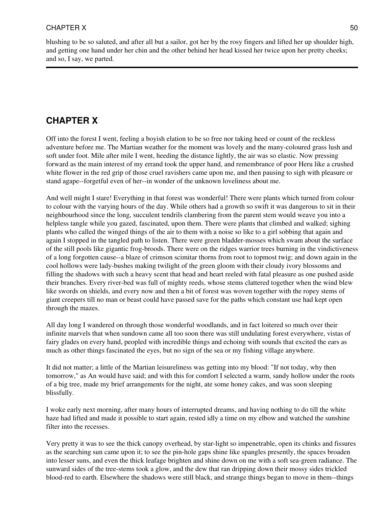blushing to be so saluted, and after all but a sailor, got her by the rosy fingers and lifted her up shoulder high, and getting one hand under her chin and the other behind her head kissed her twice upon her pretty cheeks; and so, I say, we parted.

# **CHAPTER X**

Off into the forest I went, feeling a boyish elation to be so free nor taking heed or count of the reckless adventure before me. The Martian weather for the moment was lovely and the many-coloured grass lush and soft under foot. Mile after mile I went, heeding the distance lightly, the air was so elastic. Now pressing forward as the main interest of my errand took the upper hand, and remembrance of poor Heru like a crushed white flower in the red grip of those cruel ravishers came upon me, and then pausing to sigh with pleasure or stand agape--forgetful even of her--in wonder of the unknown loveliness about me.

And well might I stare! Everything in that forest was wonderful! There were plants which turned from colour to colour with the varying hours of the day. While others had a growth so swift it was dangerous to sit in their neighbourhood since the long, succulent tendrils clambering from the parent stem would weave you into a helpless tangle while you gazed, fascinated, upon them. There were plants that climbed and walked; sighing plants who called the winged things of the air to them with a noise so like to a girl sobbing that again and again I stopped in the tangled path to listen. There were green bladder-mosses which swam about the surface of the still pools like gigantic frog-broods. There were on the ridges warrior trees burning in the vindictiveness of a long forgotten cause--a blaze of crimson scimitar thorns from root to topmost twig; and down again in the cool hollows were lady-bushes making twilight of the green gloom with their cloudy ivory blossoms and filling the shadows with such a heavy scent that head and heart reeled with fatal pleasure as one pushed aside their branches. Every river-bed was full of mighty reeds, whose stems clattered together when the wind blew like swords on shields, and every now and then a bit of forest was woven together with the ropey stems of giant creepers till no man or beast could have passed save for the paths which constant use had kept open through the mazes.

All day long I wandered on through those wonderful woodlands, and in fact loitered so much over their infinite marvels that when sundown came all too soon there was still undulating forest everywhere, vistas of fairy glades on every hand, peopled with incredible things and echoing with sounds that excited the ears as much as other things fascinated the eyes, but no sign of the sea or my fishing village anywhere.

It did not matter; a little of the Martian leisureliness was getting into my blood: "If not today, why then tomorrow," as An would have said; and with this for comfort I selected a warm, sandy hollow under the roots of a big tree, made my brief arrangements for the night, ate some honey cakes, and was soon sleeping blissfully.

I woke early next morning, after many hours of interrupted dreams, and having nothing to do till the white haze had lifted and made it possible to start again, rested idly a time on my elbow and watched the sunshine filter into the recesses.

Very pretty it was to see the thick canopy overhead, by star-light so impenetrable, open its chinks and fissures as the searching sun came upon it; to see the pin-hole gaps shine like spangles presently, the spaces broaden into lesser suns, and even the thick leafage brighten and shine down on me with a soft sea-green radiance. The sunward sides of the tree-stems took a glow, and the dew that ran dripping down their mossy sides trickled blood-red to earth. Elsewhere the shadows were still black, and strange things began to move in them--things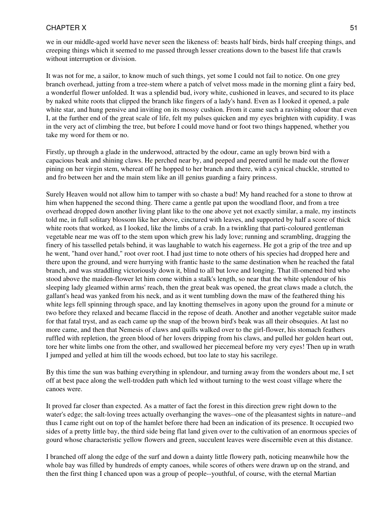we in our middle-aged world have never seen the likeness of: beasts half birds, birds half creeping things, and creeping things which it seemed to me passed through lesser creations down to the basest life that crawls without interruption or division.

It was not for me, a sailor, to know much of such things, yet some I could not fail to notice. On one grey branch overhead, jutting from a tree-stem where a patch of velvet moss made in the morning glint a fairy bed, a wonderful flower unfolded. It was a splendid bud, ivory white, cushioned in leaves, and secured to its place by naked white roots that clipped the branch like fingers of a lady's hand. Even as I looked it opened, a pale white star, and hung pensive and inviting on its mossy cushion. From it came such a ravishing odour that even I, at the further end of the great scale of life, felt my pulses quicken and my eyes brighten with cupidity. I was in the very act of climbing the tree, but before I could move hand or foot two things happened, whether you take my word for them or no.

Firstly, up through a glade in the underwood, attracted by the odour, came an ugly brown bird with a capacious beak and shining claws. He perched near by, and peeped and peered until he made out the flower pining on her virgin stem, whereat off he hopped to her branch and there, with a cynical chuckle, strutted to and fro between her and the main stem like an ill genius guarding a fairy princess.

Surely Heaven would not allow him to tamper with so chaste a bud! My hand reached for a stone to throw at him when happened the second thing. There came a gentle pat upon the woodland floor, and from a tree overhead dropped down another living plant like to the one above yet not exactly similar, a male, my instincts told me, in full solitary blossom like her above, cinctured with leaves, and supported by half a score of thick white roots that worked, as I looked, like the limbs of a crab. In a twinkling that parti-coloured gentleman vegetable near me was off to the stem upon which grew his lady love; running and scrambling, dragging the finery of his tasselled petals behind, it was laughable to watch his eagerness. He got a grip of the tree and up he went, "hand over hand," root over root. I had just time to note others of his species had dropped here and there upon the ground, and were hurrying with frantic haste to the same destination when he reached the fatal branch, and was straddling victoriously down it, blind to all but love and longing. That ill-omened bird who stood above the maiden-flower let him come within a stalk's length, so near that the white splendour of his sleeping lady gleamed within arms' reach, then the great beak was opened, the great claws made a clutch, the gallant's head was yanked from his neck, and as it went tumbling down the maw of the feathered thing his white legs fell spinning through space, and lay knotting themselves in agony upon the ground for a minute or two before they relaxed and became flaccid in the repose of death. Another and another vegetable suitor made for that fatal tryst, and as each came up the snap of the brown bird's beak was all their obsequies. At last no more came, and then that Nemesis of claws and quills walked over to the girl-flower, his stomach feathers ruffled with repletion, the green blood of her lovers dripping from his claws, and pulled her golden heart out, tore her white limbs one from the other, and swallowed her piecemeal before my very eyes! Then up in wrath I jumped and yelled at him till the woods echoed, but too late to stay his sacrilege.

By this time the sun was bathing everything in splendour, and turning away from the wonders about me, I set off at best pace along the well-trodden path which led without turning to the west coast village where the canoes were.

It proved far closer than expected. As a matter of fact the forest in this direction grew right down to the water's edge; the salt-loving trees actually overhanging the waves--one of the pleasantest sights in nature--and thus I came right out on top of the hamlet before there had been an indication of its presence. It occupied two sides of a pretty little bay, the third side being flat land given over to the cultivation of an enormous species of gourd whose characteristic yellow flowers and green, succulent leaves were discernible even at this distance.

I branched off along the edge of the surf and down a dainty little flowery path, noticing meanwhile how the whole bay was filled by hundreds of empty canoes, while scores of others were drawn up on the strand, and then the first thing I chanced upon was a group of people--youthful, of course, with the eternal Martian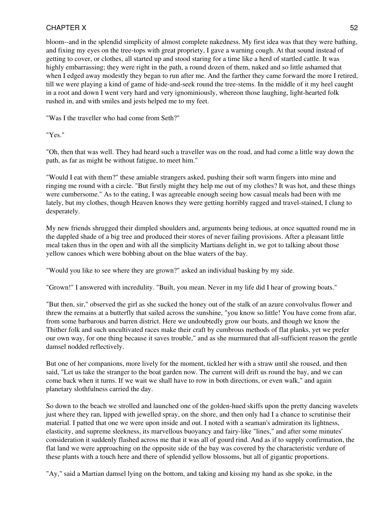bloom--and in the splendid simplicity of almost complete nakedness. My first idea was that they were bathing, and fixing my eyes on the tree-tops with great propriety, I gave a warning cough. At that sound instead of getting to cover, or clothes, all started up and stood staring for a time like a herd of startled cattle. It was highly embarrassing; they were right in the path, a round dozen of them, naked and so little ashamed that when I edged away modestly they began to run after me. And the farther they came forward the more I retired, till we were playing a kind of game of hide-and-seek round the tree-stems. In the middle of it my heel caught in a root and down I went very hard and very ignominiously, whereon those laughing, light-hearted folk rushed in, and with smiles and jests helped me to my feet.

"Was I the traveller who had come from Seth?"

"Yes."

"Oh, then that was well. They had heard such a traveller was on the road, and had come a little way down the path, as far as might be without fatigue, to meet him."

"Would I eat with them?" these amiable strangers asked, pushing their soft warm fingers into mine and ringing me round with a circle. "But firstly might they help me out of my clothes? It was hot, and these things were cumbersome." As to the eating, I was agreeable enough seeing how casual meals had been with me lately, but my clothes, though Heaven knows they were getting horribly ragged and travel-stained, I clung to desperately.

My new friends shrugged their dimpled shoulders and, arguments being tedious, at once squatted round me in the dappled shade of a big tree and produced their stores of never failing provisions. After a pleasant little meal taken thus in the open and with all the simplicity Martians delight in, we got to talking about those yellow canoes which were bobbing about on the blue waters of the bay.

"Would you like to see where they are grown?" asked an individual basking by my side.

"Grown!" I answered with incredulity. "Built, you mean. Never in my life did I hear of growing boats."

"But then, sir," observed the girl as she sucked the honey out of the stalk of an azure convolvulus flower and threw the remains at a butterfly that sailed across the sunshine, "you know so little! You have come from afar, from some barbarous and barren district. Here we undoubtedly grow our boats, and though we know the Thither folk and such uncultivated races make their craft by cumbrous methods of flat planks, yet we prefer our own way, for one thing because it saves trouble," and as she murmured that all-sufficient reason the gentle damsel nodded reflectively.

But one of her companions, more lively for the moment, tickled her with a straw until she roused, and then said, "Let us take the stranger to the boat garden now. The current will drift us round the bay, and we can come back when it turns. If we wait we shall have to row in both directions, or even walk," and again planetary slothfulness carried the day.

So down to the beach we strolled and launched one of the golden-hued skiffs upon the pretty dancing wavelets just where they ran, lipped with jewelled spray, on the shore, and then only had I a chance to scrutinise their material. I patted that one we were upon inside and out. I noted with a seaman's admiration its lightness, elasticity, and supreme sleekness, its marvellous buoyancy and fairy-like "lines," and after some minutes' consideration it suddenly flashed across me that it was all of gourd rind. And as if to supply confirmation, the flat land we were approaching on the opposite side of the bay was covered by the characteristic verdure of these plants with a touch here and there of splendid yellow blossoms, but all of gigantic proportions.

"Ay," said a Martian damsel lying on the bottom, and taking and kissing my hand as she spoke, in the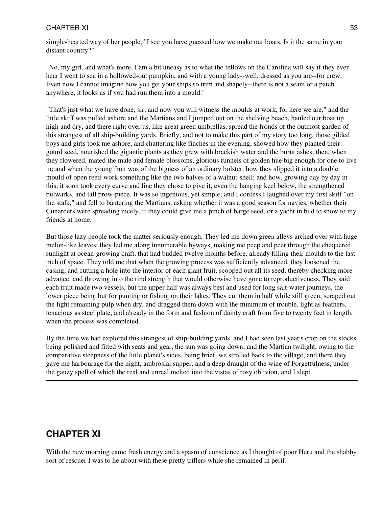simple-hearted way of her people, "I see you have guessed how we make our boats. Is it the same in your distant country?"

"No, my girl, and what's more, I am a bit uneasy as to what the fellows on the Carolina will say if they ever hear I went to sea in a hollowed-out pumpkin, and with a young lady--well, dressed as you are--for crew. Even now I cannot imagine how you get your ships so trim and shapely--there is not a seam or a patch anywhere, it looks as if you had run them into a mould."

"That's just what we have done, sir, and now you will witness the moulds at work, for here we are," and the little skiff was pulled ashore and the Martians and I jumped out on the shelving beach, hauled our boat up high and dry, and there right over us, like great green umbrellas, spread the fronds of the outmost garden of this strangest of all ship-building yards. Briefly, and not to make this part of my story too long, those gilded boys and girls took me ashore, and chattering like finches in the evening, showed how they planted their gourd seed, nourished the gigantic plants as they grew with brackish water and the burnt ashes; then, when they flowered, mated the male and female blossoms, glorious funnels of golden hue big enough for one to live in; and when the young fruit was of the bigness of an ordinary bolster, how they slipped it into a double mould of open reed-work something like the two halves of a walnut-shell; and how, growing day by day in this, it soon took every curve and line they chose to give it, even the hanging keel below, the strengthened bulwarks, and tall prow-piece. It was so ingenious, yet simple; and I confess I laughed over my first skiff "on the stalk," and fell to bantering the Martians, asking whether it was a good season for navies, whether their Cunarders were spreading nicely, if they could give me a pinch of barge seed, or a yacht in bud to show to my friends at home.

But those lazy people took the matter seriously enough. They led me down green alleys arched over with huge melon-like leaves; they led me along innumerable byways, making me peep and peer through the chequered sunlight at ocean-growing craft, that had budded twelve months before, already filling their moulds to the last inch of space. They told me that when the growing process was sufficiently advanced, they loosened the casing, and cutting a hole into the interior of each giant fruit, scooped out all its seed, thereby checking more advance, and throwing into the rind strength that would otherwise have gone to reproductiveness. They said each fruit made two vessels, but the upper half was always best and used for long salt-water journeys, the lower piece being but for punting or fishing on their lakes. They cut them in half while still green, scraped out the light remaining pulp when dry, and dragged them down with the minimum of trouble, light as feathers, tenacious as steel plate, and already in the form and fashion of dainty craft from five to twenty feet in length, when the process was completed.

By the time we had explored this strangest of ship-building yards, and I had seen last year's crop on the stocks being polished and fitted with seats and gear, the sun was going down; and the Martian twilight, owing to the comparative steepness of the little planet's sides, being brief, we strolled back to the village, and there they gave me harbourage for the night, ambrosial supper, and a deep draught of the wine of Forgetfulness, under the gauzy spell of which the real and unreal melted into the vistas of rosy oblivion, and I slept.

# **CHAPTER XI**

With the new morning came fresh energy and a spasm of conscience as I thought of poor Heru and the shabby sort of rescuer I was to lie about with these pretty triflers while she remained in peril.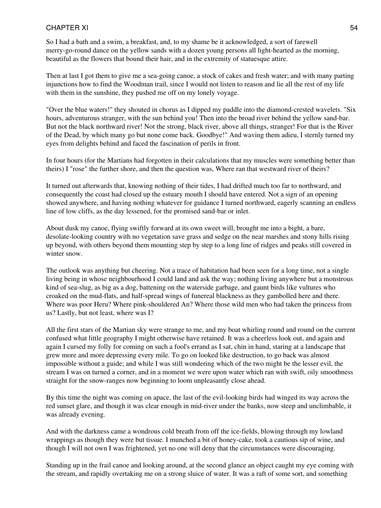So I had a bath and a swim, a breakfast, and, to my shame be it acknowledged, a sort of farewell merry-go-round dance on the yellow sands with a dozen young persons all light-hearted as the morning, beautiful as the flowers that bound their hair, and in the extremity of statuesque attire.

Then at last I got them to give me a sea-going canoe, a stock of cakes and fresh water; and with many parting injunctions how to find the Woodman trail, since I would not listen to reason and lie all the rest of my life with them in the sunshine, they pushed me off on my lonely voyage.

"Over the blue waters!" they shouted in chorus as I dipped my paddle into the diamond-crested wavelets. "Six hours, adventurous stranger, with the sun behind you! Then into the broad river behind the yellow sand-bar. But not the black northward river! Not the strong, black river, above all things, stranger! For that is the River of the Dead, by which many go but none come back. Goodbye!" And waving them adieu, I sternly turned my eyes from delights behind and faced the fascination of perils in front.

In four hours (for the Martians had forgotten in their calculations that my muscles were something better than theirs) I "rose" the further shore, and then the question was, Where ran that westward river of theirs?

It turned out afterwards that, knowing nothing of their tides, I had drifted much too far to northward, and consequently the coast had closed up the estuary mouth I should have entered. Not a sign of an opening showed anywhere, and having nothing whatever for guidance I turned northward, eagerly scanning an endless line of low cliffs, as the day lessened, for the promised sand-bar or inlet.

About dusk my canoe, flying swiftly forward at its own sweet will, brought me into a bight, a bare, desolate-looking country with no vegetation save grass and sedge on the near marshes and stony hills rising up beyond, with others beyond them mounting step by step to a long line of ridges and peaks still covered in winter snow.

The outlook was anything but cheering. Not a trace of habitation had been seen for a long time, not a single living being in whose neighbourhood I could land and ask the way; nothing living anywhere but a monstrous kind of sea-slug, as big as a dog, battening on the waterside garbage, and gaunt birds like vultures who croaked on the mud-flats, and half-spread wings of funereal blackness as they gambolled here and there. Where was poor Heru? Where pink-shouldered An? Where those wild men who had taken the princess from us? Lastly, but not least, where was I?

All the first stars of the Martian sky were strange to me, and my boat whirling round and round on the current confused what little geography I might otherwise have retained. It was a cheerless look out, and again and again I cursed my folly for coming on such a fool's errand as I sat, chin in hand, staring at a landscape that grew more and more depressing every mile. To go on looked like destruction, to go back was almost impossible without a guide; and while I was still wondering which of the two might be the lesser evil, the stream I was on turned a corner, and in a moment we were upon water which ran with swift, oily smoothness straight for the snow-ranges now beginning to loom unpleasantly close ahead.

By this time the night was coming on apace, the last of the evil-looking birds had winged its way across the red sunset glare, and though it was clear enough in mid-river under the banks, now steep and unclimbable, it was already evening.

And with the darkness came a wondrous cold breath from off the ice-fields, blowing through my lowland wrappings as though they were but tissue. I munched a bit of honey-cake, took a cautious sip of wine, and though I will not own I was frightened, yet no one will deny that the circumstances were discouraging.

Standing up in the frail canoe and looking around, at the second glance an object caught my eye coming with the stream, and rapidly overtaking me on a strong sluice of water. It was a raft of some sort, and something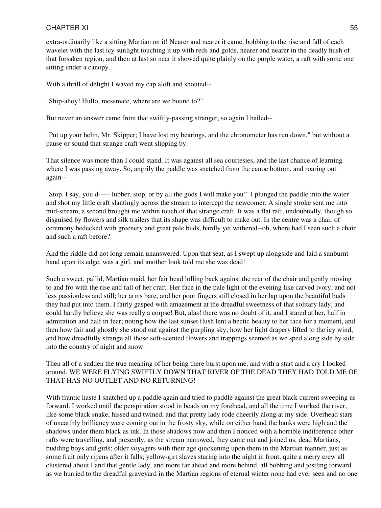extra-ordinarily like a sitting Martian on it! Nearer and nearer it came, bobbing to the rise and fall of each wavelet with the last icy sunlight touching it up with reds and golds, nearer and nearer in the deadly hush of that forsaken region, and then at last so near it showed quite plainly on the purple water, a raft with some one sitting under a canopy.

With a thrill of delight I waved my cap aloft and shouted--

"Ship-ahoy! Hullo, messmate, where are we bound to?"

But never an answer came from that swiftly-passing stranger, so again I hailed--

"Put up your helm, Mr. Skipper; I have lost my bearings, and the chronometer has run down," but without a pause or sound that strange craft went slipping by.

That silence was more than I could stand. It was against all sea courtesies, and the last chance of learning where I was passing away. So, angrily the paddle was snatched from the canoe bottom, and roaring out again--

"Stop, I say, you d----- lubber, stop, or by all the gods I will make you!" I plunged the paddle into the water and shot my little craft slantingly across the stream to intercept the newcomer. A single stroke sent me into mid-stream, a second brought me within touch of that strange craft. It was a flat raft, undoubtedly, though so disguised by flowers and silk trailers that its shape was difficult to make out. In the centre was a chair of ceremony bedecked with greenery and great pale buds, hardly yet withered--oh, where had I seen such a chair and such a raft before?

And the riddle did not long remain unanswered. Upon that seat, as I swept up alongside and laid a sunburnt hand upon its edge, was a girl, and another look told me she was dead!

Such a sweet, pallid, Martian maid, her fair head lolling back against the rear of the chair and gently moving to and fro with the rise and fall of her craft. Her face in the pale light of the evening like carved ivory, and not less passionless and still; her arms bare, and her poor fingers still closed in her lap upon the beautiful buds they had put into them. I fairly gasped with amazement at the dreadful sweetness of that solitary lady, and could hardly believe she was really a corpse! But, alas! there was no doubt of it, and I stared at her, half in admiration and half in fear; noting how the last sunset flush lent a hectic beauty to her face for a moment, and then how fair and ghostly she stood out against the purpling sky; how her light drapery lifted to the icy wind, and how dreadfully strange all those soft-scented flowers and trappings seemed as we sped along side by side into the country of night and snow.

Then all of a sudden the true meaning of her being there burst upon me, and with a start and a cry I looked around. WE WERE FLYING SWIFTLY DOWN THAT RIVER OF THE DEAD THEY HAD TOLD ME OF THAT HAS NO OUTLET AND NO RETURNING!

With frantic haste I snatched up a paddle again and tried to paddle against the great black current sweeping us forward. I worked until the perspiration stood in beads on my forehead, and all the time I worked the river, like some black snake, hissed and twined, and that pretty lady rode cheerily along at my side. Overhead stars of unearthly brilliancy were coming out in the frosty sky, while on either hand the banks were high and the shadows under them black as ink. In those shadows now and then I noticed with a horrible indifference other rafts were travelling, and presently, as the stream narrowed, they came out and joined us, dead Martians, budding boys and girls; older voyagers with their age quickening upon them in the Martian manner, just as some fruit only ripens after it falls; yellow-girt slaves staring into the night in front, quite a merry crew all clustered about I and that gentle lady, and more far ahead and more behind, all bobbing and jostling forward as we hurried to the dreadful graveyard in the Martian regions of eternal winter none had ever seen and no one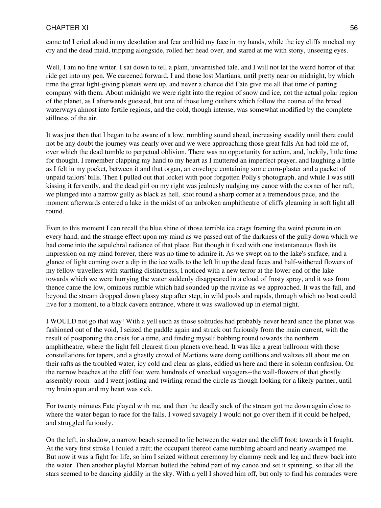came to! I cried aloud in my desolation and fear and hid my face in my hands, while the icy cliffs mocked my cry and the dead maid, tripping alongside, rolled her head over, and stared at me with stony, unseeing eyes.

Well, I am no fine writer. I sat down to tell a plain, unvarnished tale, and I will not let the weird horror of that ride get into my pen. We careened forward, I and those lost Martians, until pretty near on midnight, by which time the great light-giving planets were up, and never a chance did Fate give me all that time of parting company with them. About midnight we were right into the region of snow and ice, not the actual polar region of the planet, as I afterwards guessed, but one of those long outliers which follow the course of the broad waterways almost into fertile regions, and the cold, though intense, was somewhat modified by the complete stillness of the air.

It was just then that I began to be aware of a low, rumbling sound ahead, increasing steadily until there could not be any doubt the journey was nearly over and we were approaching those great falls An had told me of, over which the dead tumble to perpetual oblivion. There was no opportunity for action, and, luckily, little time for thought. I remember clapping my hand to my heart as I muttered an imperfect prayer, and laughing a little as I felt in my pocket, between it and that organ, an envelope containing some corn-plaster and a packet of unpaid tailors' bills. Then I pulled out that locket with poor forgotten Polly's photograph, and while I was still kissing it fervently, and the dead girl on my right was jealously nudging my canoe with the corner of her raft, we plunged into a narrow gully as black as hell, shot round a sharp corner at a tremendous pace, and the moment afterwards entered a lake in the midst of an unbroken amphitheatre of cliffs gleaming in soft light all round.

Even to this moment I can recall the blue shine of those terrible ice crags framing the weird picture in on every hand, and the strange effect upon my mind as we passed out of the darkness of the gully down which we had come into the sepulchral radiance of that place. But though it fixed with one instantaneous flash its impression on my mind forever, there was no time to admire it. As we swept on to the lake's surface, and a glance of light coming over a dip in the ice walls to the left lit up the dead faces and half-withered flowers of my fellow-travellers with startling distinctness, I noticed with a new terror at the lower end of the lake towards which we were hurrying the water suddenly disappeared in a cloud of frosty spray, and it was from thence came the low, ominous rumble which had sounded up the ravine as we approached. It was the fall, and beyond the stream dropped down glassy step after step, in wild pools and rapids, through which no boat could live for a moment, to a black cavern entrance, where it was swallowed up in eternal night.

I WOULD not go that way! With a yell such as those solitudes had probably never heard since the planet was fashioned out of the void, I seized the paddle again and struck out furiously from the main current, with the result of postponing the crisis for a time, and finding myself bobbing round towards the northern amphitheatre, where the light fell clearest from planets overhead. It was like a great ballroom with those constellations for tapers, and a ghastly crowd of Martians were doing cotillions and waltzes all about me on their rafts as the troubled water, icy cold and clear as glass, eddied us here and there in solemn confusion. On the narrow beaches at the cliff foot were hundreds of wrecked voyagers--the wall-flowers of that ghostly assembly-room--and I went jostling and twirling round the circle as though looking for a likely partner, until my brain spun and my heart was sick.

For twenty minutes Fate played with me, and then the deadly suck of the stream got me down again close to where the water began to race for the falls. I vowed savagely I would not go over them if it could be helped, and struggled furiously.

On the left, in shadow, a narrow beach seemed to lie between the water and the cliff foot; towards it I fought. At the very first stroke I fouled a raft; the occupant thereof came tumbling aboard and nearly swamped me. But now it was a fight for life, so him I seized without ceremony by clammy neck and leg and threw back into the water. Then another playful Martian butted the behind part of my canoe and set it spinning, so that all the stars seemed to be dancing giddily in the sky. With a yell I shoved him off, but only to find his comrades were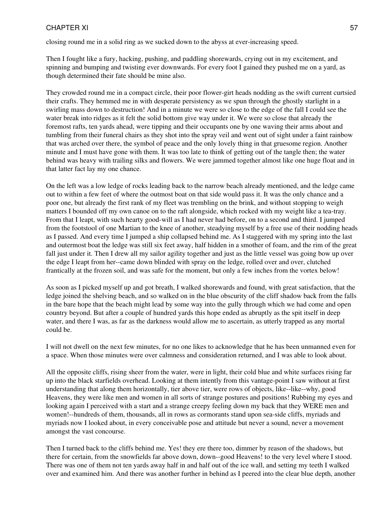closing round me in a solid ring as we sucked down to the abyss at ever-increasing speed.

Then I fought like a fury, hacking, pushing, and paddling shorewards, crying out in my excitement, and spinning and bumping and twisting ever downwards. For every foot I gained they pushed me on a yard, as though determined their fate should be mine also.

They crowded round me in a compact circle, their poor flower-girt heads nodding as the swift current curtsied their crafts. They hemmed me in with desperate persistency as we spun through the ghostly starlight in a swirling mass down to destruction! And in a minute we were so close to the edge of the fall I could see the water break into ridges as it felt the solid bottom give way under it. We were so close that already the foremost rafts, ten yards ahead, were tipping and their occupants one by one waving their arms about and tumbling from their funeral chairs as they shot into the spray veil and went out of sight under a faint rainbow that was arched over there, the symbol of peace and the only lovely thing in that gruesome region. Another minute and I must have gone with them. It was too late to think of getting out of the tangle then; the water behind was heavy with trailing silks and flowers. We were jammed together almost like one huge float and in that latter fact lay my one chance.

On the left was a low ledge of rocks leading back to the narrow beach already mentioned, and the ledge came out to within a few feet of where the outmost boat on that side would pass it. It was the only chance and a poor one, but already the first rank of my fleet was trembling on the brink, and without stopping to weigh matters I bounded off my own canoe on to the raft alongside, which rocked with my weight like a tea-tray. From that I leapt, with such hearty good-will as I had never had before, on to a second and third. I jumped from the footstool of one Martian to the knee of another, steadying myself by a free use of their nodding heads as I passed. And every time I jumped a ship collapsed behind me. As I staggered with my spring into the last and outermost boat the ledge was still six feet away, half hidden in a smother of foam, and the rim of the great fall just under it. Then I drew all my sailor agility together and just as the little vessel was going bow up over the edge I leapt from her--came down blinded with spray on the ledge, rolled over and over, clutched frantically at the frozen soil, and was safe for the moment, but only a few inches from the vortex below!

As soon as I picked myself up and got breath, I walked shorewards and found, with great satisfaction, that the ledge joined the shelving beach, and so walked on in the blue obscurity of the cliff shadow back from the falls in the bare hope that the beach might lead by some way into the gully through which we had come and open country beyond. But after a couple of hundred yards this hope ended as abruptly as the spit itself in deep water, and there I was, as far as the darkness would allow me to ascertain, as utterly trapped as any mortal could be.

I will not dwell on the next few minutes, for no one likes to acknowledge that he has been unmanned even for a space. When those minutes were over calmness and consideration returned, and I was able to look about.

All the opposite cliffs, rising sheer from the water, were in light, their cold blue and white surfaces rising far up into the black starfields overhead. Looking at them intently from this vantage-point I saw without at first understanding that along them horizontally, tier above tier, were rows of objects, like--like--why, good Heavens, they were like men and women in all sorts of strange postures and positions! Rubbing my eyes and looking again I perceived with a start and a strange creepy feeling down my back that they WERE men and women!--hundreds of them, thousands, all in rows as cormorants stand upon sea-side cliffs, myriads and myriads now I looked about, in every conceivable pose and attitude but never a sound, never a movement amongst the vast concourse.

Then I turned back to the cliffs behind me. Yes! they ere there too, dimmer by reason of the shadows, but there for certain, from the snowfields far above down, down--good Heavens! to the very level where I stood. There was one of them not ten yards away half in and half out of the ice wall, and setting my teeth I walked over and examined him. And there was another further in behind as I peered into the clear blue depth, another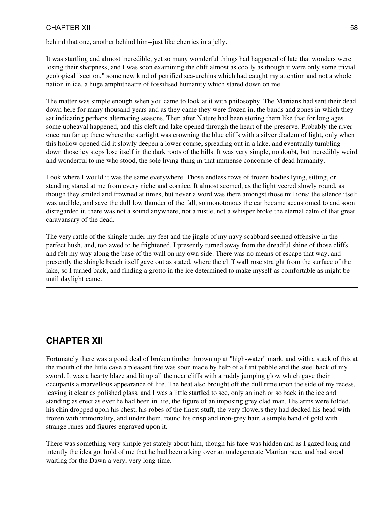behind that one, another behind him--just like cherries in a jelly.

It was startling and almost incredible, yet so many wonderful things had happened of late that wonders were losing their sharpness, and I was soon examining the cliff almost as coolly as though it were only some trivial geological "section," some new kind of petrified sea-urchins which had caught my attention and not a whole nation in ice, a huge amphitheatre of fossilised humanity which stared down on me.

The matter was simple enough when you came to look at it with philosophy. The Martians had sent their dead down here for many thousand years and as they came they were frozen in, the bands and zones in which they sat indicating perhaps alternating seasons. Then after Nature had been storing them like that for long ages some upheaval happened, and this cleft and lake opened through the heart of the preserve. Probably the river once ran far up there where the starlight was crowning the blue cliffs with a silver diadem of light, only when this hollow opened did it slowly deepen a lower course, spreading out in a lake, and eventually tumbling down those icy steps lose itself in the dark roots of the hills. It was very simple, no doubt, but incredibly weird and wonderful to me who stood, the sole living thing in that immense concourse of dead humanity.

Look where I would it was the same everywhere. Those endless rows of frozen bodies lying, sitting, or standing stared at me from every niche and cornice. It almost seemed, as the light veered slowly round, as though they smiled and frowned at times, but never a word was there amongst those millions; the silence itself was audible, and save the dull low thunder of the fall, so monotonous the ear became accustomed to and soon disregarded it, there was not a sound anywhere, not a rustle, not a whisper broke the eternal calm of that great caravansary of the dead.

The very rattle of the shingle under my feet and the jingle of my navy scabbard seemed offensive in the perfect hush, and, too awed to be frightened, I presently turned away from the dreadful shine of those cliffs and felt my way along the base of the wall on my own side. There was no means of escape that way, and presently the shingle beach itself gave out as stated, where the cliff wall rose straight from the surface of the lake, so I turned back, and finding a grotto in the ice determined to make myself as comfortable as might be until daylight came.

# **CHAPTER XII**

Fortunately there was a good deal of broken timber thrown up at "high-water" mark, and with a stack of this at the mouth of the little cave a pleasant fire was soon made by help of a flint pebble and the steel back of my sword. It was a hearty blaze and lit up all the near cliffs with a ruddy jumping glow which gave their occupants a marvellous appearance of life. The heat also brought off the dull rime upon the side of my recess, leaving it clear as polished glass, and I was a little startled to see, only an inch or so back in the ice and standing as erect as ever he had been in life, the figure of an imposing grey clad man. His arms were folded, his chin dropped upon his chest, his robes of the finest stuff, the very flowers they had decked his head with frozen with immortality, and under them, round his crisp and iron-grey hair, a simple band of gold with strange runes and figures engraved upon it.

There was something very simple yet stately about him, though his face was hidden and as I gazed long and intently the idea got hold of me that he had been a king over an undegenerate Martian race, and had stood waiting for the Dawn a very, very long time.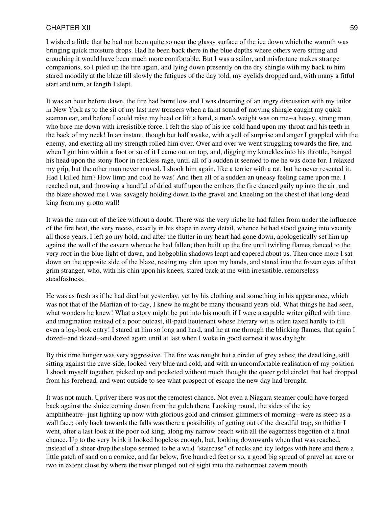I wished a little that he had not been quite so near the glassy surface of the ice down which the warmth was bringing quick moisture drops. Had he been back there in the blue depths where others were sitting and crouching it would have been much more comfortable. But I was a sailor, and misfortune makes strange companions, so I piled up the fire again, and lying down presently on the dry shingle with my back to him stared moodily at the blaze till slowly the fatigues of the day told, my eyelids dropped and, with many a fitful start and turn, at length I slept.

It was an hour before dawn, the fire had burnt low and I was dreaming of an angry discussion with my tailor in New York as to the sit of my last new trousers when a faint sound of moving shingle caught my quick seaman ear, and before I could raise my head or lift a hand, a man's weight was on me--a heavy, strong man who bore me down with irresistible force. I felt the slap of his ice-cold hand upon my throat and his teeth in the back of my neck! In an instant, though but half awake, with a yell of surprise and anger I grappled with the enemy, and exerting all my strength rolled him over. Over and over we went struggling towards the fire, and when I got him within a foot or so of it I came out on top, and, digging my knuckles into his throttle, banged his head upon the stony floor in reckless rage, until all of a sudden it seemed to me he was done for. I relaxed my grip, but the other man never moved. I shook him again, like a terrier with a rat, but he never resented it. Had I killed him? How limp and cold he was! And then all of a sudden an uneasy feeling came upon me. I reached out, and throwing a handful of dried stuff upon the embers the fire danced gaily up into the air, and the blaze showed me I was savagely holding down to the gravel and kneeling on the chest of that long-dead king from my grotto wall!

It was the man out of the ice without a doubt. There was the very niche he had fallen from under the influence of the fire heat, the very recess, exactly in his shape in every detail, whence he had stood gazing into vacuity all those years. I left go my hold, and after the flutter in my heart had gone down, apologetically set him up against the wall of the cavern whence he had fallen; then built up the fire until twirling flames danced to the very roof in the blue light of dawn, and hobgoblin shadows leapt and capered about us. Then once more I sat down on the opposite side of the blaze, resting my chin upon my hands, and stared into the frozen eyes of that grim stranger, who, with his chin upon his knees, stared back at me with irresistible, remorseless steadfastness.

He was as fresh as if he had died but yesterday, yet by his clothing and something in his appearance, which was not that of the Martian of to-day, I knew he might be many thousand years old. What things he had seen, what wonders he knew! What a story might be put into his mouth if I were a capable writer gifted with time and imagination instead of a poor outcast, ill-paid lieutenant whose literary wit is often taxed hardly to fill even a log-book entry! I stared at him so long and hard, and he at me through the blinking flames, that again I dozed--and dozed--and dozed again until at last when I woke in good earnest it was daylight.

By this time hunger was very aggressive. The fire was naught but a circlet of grey ashes; the dead king, still sitting against the cave-side, looked very blue and cold, and with an uncomfortable realisation of my position I shook myself together, picked up and pocketed without much thought the queer gold circlet that had dropped from his forehead, and went outside to see what prospect of escape the new day had brought.

It was not much. Upriver there was not the remotest chance. Not even a Niagara steamer could have forged back against the sluice coming down from the gulch there. Looking round, the sides of the icy amphitheatre--just lighting up now with glorious gold and crimson glimmers of morning--were as steep as a wall face; only back towards the falls was there a possibility of getting out of the dreadful trap, so thither I went, after a last look at the poor old king, along my narrow beach with all the eagerness begotten of a final chance. Up to the very brink it looked hopeless enough, but, looking downwards when that was reached, instead of a sheer drop the slope seemed to be a wild "staircase" of rocks and icy ledges with here and there a little patch of sand on a cornice, and far below, five hundred feet or so, a good big spread of gravel an acre or two in extent close by where the river plunged out of sight into the nethermost cavern mouth.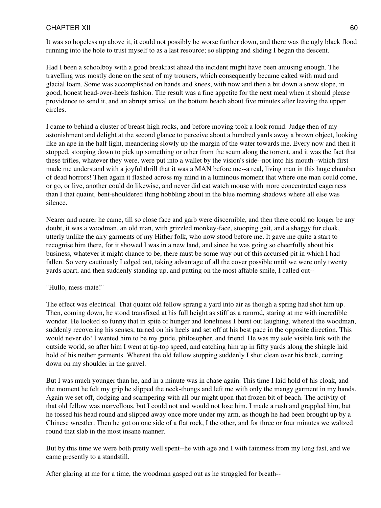It was so hopeless up above it, it could not possibly be worse further down, and there was the ugly black flood running into the hole to trust myself to as a last resource; so slipping and sliding I began the descent.

Had I been a schoolboy with a good breakfast ahead the incident might have been amusing enough. The travelling was mostly done on the seat of my trousers, which consequently became caked with mud and glacial loam. Some was accomplished on hands and knees, with now and then a bit down a snow slope, in good, honest head-over-heels fashion. The result was a fine appetite for the next meal when it should please providence to send it, and an abrupt arrival on the bottom beach about five minutes after leaving the upper circles.

I came to behind a cluster of breast-high rocks, and before moving took a look round. Judge then of my astonishment and delight at the second glance to perceive about a hundred yards away a brown object, looking like an ape in the half light, meandering slowly up the margin of the water towards me. Every now and then it stopped, stooping down to pick up something or other from the scum along the torrent, and it was the fact that these trifles, whatever they were, were put into a wallet by the vision's side--not into his mouth--which first made me understand with a joyful thrill that it was a MAN before me--a real, living man in this huge chamber of dead horrors! Then again it flashed across my mind in a luminous moment that where one man could come, or go, or live, another could do likewise, and never did cat watch mouse with more concentrated eagerness than I that quaint, bent-shouldered thing hobbling about in the blue morning shadows where all else was silence.

Nearer and nearer he came, till so close face and garb were discernible, and then there could no longer be any doubt, it was a woodman, an old man, with grizzled monkey-face, stooping gait, and a shaggy fur cloak, utterly unlike the airy garments of my Hither folk, who now stood before me. It gave me quite a start to recognise him there, for it showed I was in a new land, and since he was going so cheerfully about his business, whatever it might chance to be, there must be some way out of this accursed pit in which I had fallen. So very cautiously I edged out, taking advantage of all the cover possible until we were only twenty yards apart, and then suddenly standing up, and putting on the most affable smile, I called out--

#### "Hullo, mess-mate!"

The effect was electrical. That quaint old fellow sprang a yard into air as though a spring had shot him up. Then, coming down, he stood transfixed at his full height as stiff as a ramrod, staring at me with incredible wonder. He looked so funny that in spite of hunger and loneliness I burst out laughing, whereat the woodman, suddenly recovering his senses, turned on his heels and set off at his best pace in the opposite direction. This would never do! I wanted him to be my guide, philosopher, and friend. He was my sole visible link with the outside world, so after him I went at tip-top speed, and catching him up in fifty yards along the shingle laid hold of his nether garments. Whereat the old fellow stopping suddenly I shot clean over his back, coming down on my shoulder in the gravel.

But I was much younger than he, and in a minute was in chase again. This time I laid hold of his cloak, and the moment he felt my grip he slipped the neck-thongs and left me with only the mangy garment in my hands. Again we set off, dodging and scampering with all our might upon that frozen bit of beach. The activity of that old fellow was marvellous, but I could not and would not lose him. I made a rush and grappled him, but he tossed his head round and slipped away once more under my arm, as though he had been brought up by a Chinese wrestler. Then he got on one side of a flat rock, I the other, and for three or four minutes we waltzed round that slab in the most insane manner.

But by this time we were both pretty well spent--he with age and I with faintness from my long fast, and we came presently to a standstill.

After glaring at me for a time, the woodman gasped out as he struggled for breath--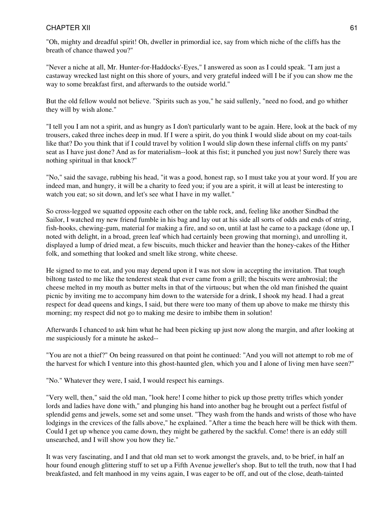"Oh, mighty and dreadful spirit! Oh, dweller in primordial ice, say from which niche of the cliffs has the breath of chance thawed you?"

"Never a niche at all, Mr. Hunter-for-Haddocks'-Eyes," I answered as soon as I could speak. "I am just a castaway wrecked last night on this shore of yours, and very grateful indeed will I be if you can show me the way to some breakfast first, and afterwards to the outside world."

But the old fellow would not believe. "Spirits such as you," he said sullenly, "need no food, and go whither they will by wish alone."

"I tell you I am not a spirit, and as hungry as I don't particularly want to be again. Here, look at the back of my trousers, caked three inches deep in mud. If I were a spirit, do you think I would slide about on my coat-tails like that? Do you think that if I could travel by volition I would slip down these infernal cliffs on my pants' seat as I have just done? And as for materialism--look at this fist; it punched you just now! Surely there was nothing spiritual in that knock?''

"No," said the savage, rubbing his head, "it was a good, honest rap, so I must take you at your word. If you are indeed man, and hungry, it will be a charity to feed you; if you are a spirit, it will at least be interesting to watch you eat; so sit down, and let's see what I have in my wallet."

So cross-legged we squatted opposite each other on the table rock, and, feeling like another Sindbad the Sailor, I watched my new friend fumble in his bag and lay out at his side all sorts of odds and ends of string, fish-hooks, chewing-gum, material for making a fire, and so on, until at last he came to a package (done up, I noted with delight, in a broad, green leaf which had certainly been growing that morning), and unrolling it, displayed a lump of dried meat, a few biscuits, much thicker and heavier than the honey-cakes of the Hither folk, and something that looked and smelt like strong, white cheese.

He signed to me to eat, and you may depend upon it I was not slow in accepting the invitation. That tough biltong tasted to me like the tenderest steak that ever came from a grill; the biscuits were ambrosial; the cheese melted in my mouth as butter melts in that of the virtuous; but when the old man finished the quaint picnic by inviting me to accompany him down to the waterside for a drink, I shook my head. I had a great respect for dead queens and kings, I said, but there were too many of them up above to make me thirsty this morning; my respect did not go to making me desire to imbibe them in solution!

Afterwards I chanced to ask him what he had been picking up just now along the margin, and after looking at me suspiciously for a minute he asked--

"You are not a thief?" On being reassured on that point he continued: "And you will not attempt to rob me of the harvest for which I venture into this ghost-haunted glen, which you and I alone of living men have seen?"

"No." Whatever they were, I said, I would respect his earnings.

"Very well, then," said the old man, "look here! I come hither to pick up those pretty trifles which yonder lords and ladies have done with," and plunging his hand into another bag he brought out a perfect fistful of splendid gems and jewels, some set and some unset. "They wash from the hands and wrists of those who have lodgings in the crevices of the falls above," he explained. "After a time the beach here will be thick with them. Could I get up whence you came down, they might be gathered by the sackful. Come! there is an eddy still unsearched, and I will show you how they lie."

It was very fascinating, and I and that old man set to work amongst the gravels, and, to be brief, in half an hour found enough glittering stuff to set up a Fifth Avenue jeweller's shop. But to tell the truth, now that I had breakfasted, and felt manhood in my veins again, I was eager to be off, and out of the close, death-tainted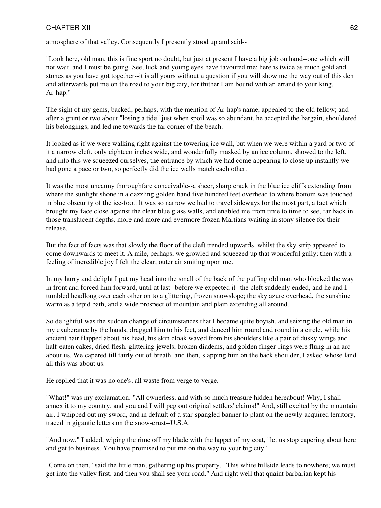atmosphere of that valley. Consequently I presently stood up and said--

"Look here, old man, this is fine sport no doubt, but just at present I have a big job on hand--one which will not wait, and I must be going. See, luck and young eyes have favoured me; here is twice as much gold and stones as you have got together--it is all yours without a question if you will show me the way out of this den and afterwards put me on the road to your big city, for thither I am bound with an errand to your king, Ar-hap."

The sight of my gems, backed, perhaps, with the mention of Ar-hap's name, appealed to the old fellow; and after a grunt or two about "losing a tide" just when spoil was so abundant, he accepted the bargain, shouldered his belongings, and led me towards the far corner of the beach.

It looked as if we were walking right against the towering ice wall, but when we were within a yard or two of it a narrow cleft, only eighteen inches wide, and wonderfully masked by an ice column, showed to the left, and into this we squeezed ourselves, the entrance by which we had come appearing to close up instantly we had gone a pace or two, so perfectly did the ice walls match each other.

It was the most uncanny thoroughfare conceivable--a sheer, sharp crack in the blue ice cliffs extending from where the sunlight shone in a dazzling golden band five hundred feet overhead to where bottom was touched in blue obscurity of the ice-foot. It was so narrow we had to travel sideways for the most part, a fact which brought my face close against the clear blue glass walls, and enabled me from time to time to see, far back in those translucent depths, more and more and evermore frozen Martians waiting in stony silence for their release.

But the fact of facts was that slowly the floor of the cleft trended upwards, whilst the sky strip appeared to come downwards to meet it. A mile, perhaps, we growled and squeezed up that wonderful gully; then with a feeling of incredible joy I felt the clear, outer air smiting upon me.

In my hurry and delight I put my head into the small of the back of the puffing old man who blocked the way in front and forced him forward, until at last--before we expected it--the cleft suddenly ended, and he and I tumbled headlong over each other on to a glittering, frozen snowslope; the sky azure overhead, the sunshine warm as a tepid bath, and a wide prospect of mountain and plain extending all around.

So delightful was the sudden change of circumstances that I became quite boyish, and seizing the old man in my exuberance by the hands, dragged him to his feet, and danced him round and round in a circle, while his ancient hair flapped about his head, his skin cloak waved from his shoulders like a pair of dusky wings and half-eaten cakes, dried flesh, glittering jewels, broken diadems, and golden finger-rings were flung in an arc about us. We capered till fairly out of breath, and then, slapping him on the back shoulder, I asked whose land all this was about us.

He replied that it was no one's, all waste from verge to verge.

"What!" was my exclamation. "All ownerless, and with so much treasure hidden hereabout! Why, I shall annex it to my country, and you and I will peg out original settlers' claims!" And, still excited by the mountain air, I whipped out my sword, and in default of a star-spangled banner to plant on the newly-acquired territory, traced in gigantic letters on the snow-crust--U.S.A.

"And now," I added, wiping the rime off my blade with the lappet of my coat, "let us stop capering about here and get to business. You have promised to put me on the way to your big city."

"Come on then," said the little man, gathering up his property. "This white hillside leads to nowhere; we must get into the valley first, and then you shall see your road." And right well that quaint barbarian kept his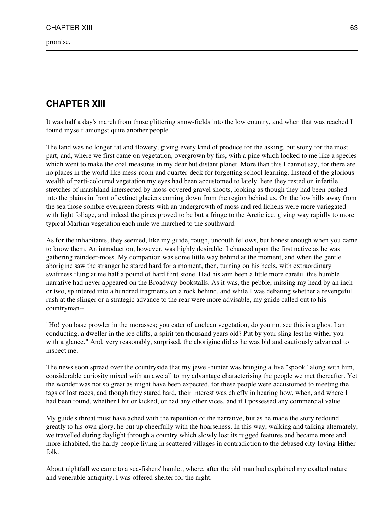promise.

# **CHAPTER XIII**

It was half a day's march from those glittering snow-fields into the low country, and when that was reached I found myself amongst quite another people.

The land was no longer fat and flowery, giving every kind of produce for the asking, but stony for the most part, and, where we first came on vegetation, overgrown by firs, with a pine which looked to me like a species which went to make the coal measures in my dear but distant planet. More than this I cannot say, for there are no places in the world like mess-room and quarter-deck for forgetting school learning. Instead of the glorious wealth of parti-coloured vegetation my eyes had been accustomed to lately, here they rested on infertile stretches of marshland intersected by moss-covered gravel shoots, looking as though they had been pushed into the plains in front of extinct glaciers coming down from the region behind us. On the low hills away from the sea those sombre evergreen forests with an undergrowth of moss and red lichens were more variegated with light foliage, and indeed the pines proved to be but a fringe to the Arctic ice, giving way rapidly to more typical Martian vegetation each mile we marched to the southward.

As for the inhabitants, they seemed, like my guide, rough, uncouth fellows, but honest enough when you came to know them. An introduction, however, was highly desirable. I chanced upon the first native as he was gathering reindeer-moss. My companion was some little way behind at the moment, and when the gentle aborigine saw the stranger he stared hard for a moment, then, turning on his heels, with extraordinary swiftness flung at me half a pound of hard flint stone. Had his aim been a little more careful this humble narrative had never appeared on the Broadway bookstalls. As it was, the pebble, missing my head by an inch or two, splintered into a hundred fragments on a rock behind, and while I was debating whether a revengeful rush at the slinger or a strategic advance to the rear were more advisable, my guide called out to his countryman--

"Ho! you base prowler in the morasses; you eater of unclean vegetation, do you not see this is a ghost I am conducting, a dweller in the ice cliffs, a spirit ten thousand years old? Put by your sling lest he wither you with a glance." And, very reasonably, surprised, the aborigine did as he was bid and cautiously advanced to inspect me.

The news soon spread over the countryside that my jewel-hunter was bringing a live "spook" along with him, considerable curiosity mixed with an awe all to my advantage characterising the people we met thereafter. Yet the wonder was not so great as might have been expected, for these people were accustomed to meeting the tags of lost races, and though they stared hard, their interest was chiefly in hearing how, when, and where I had been found, whether I bit or kicked, or had any other vices, and if I possessed any commercial value.

My guide's throat must have ached with the repetition of the narrative, but as he made the story redound greatly to his own glory, he put up cheerfully with the hoarseness. In this way, walking and talking alternately, we travelled during daylight through a country which slowly lost its rugged features and became more and more inhabited, the hardy people living in scattered villages in contradiction to the debased city-loving Hither folk.

About nightfall we came to a sea-fishers' hamlet, where, after the old man had explained my exalted nature and venerable antiquity, I was offered shelter for the night.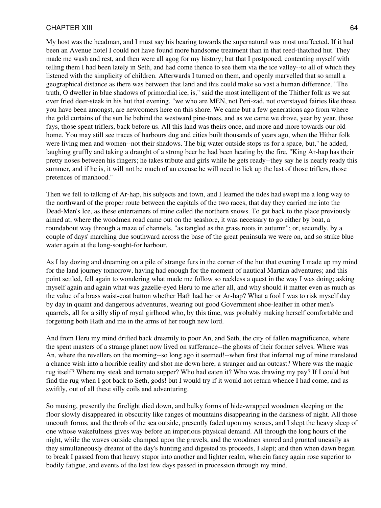My host was the headman, and I must say his bearing towards the supernatural was most unaffected. If it had been an Avenue hotel I could not have found more handsome treatment than in that reed-thatched hut. They made me wash and rest, and then were all agog for my history; but that I postponed, contenting myself with telling them I had been lately in Seth, and had come thence to see them via the ice valley--to all of which they listened with the simplicity of children. Afterwards I turned on them, and openly marvelled that so small a geographical distance as there was between that land and this could make so vast a human difference. "The truth, O dweller in blue shadows of primordial ice, is," said the most intelligent of the Thither folk as we sat over fried deer-steak in his hut that evening, "we who are MEN, not Peri-zad, not overstayed fairies like those you have been amongst, are newcomers here on this shore. We came but a few generations ago from where the gold curtains of the sun lie behind the westward pine-trees, and as we came we drove, year by year, those fays, those spent triflers, back before us. All this land was theirs once, and more and more towards our old home. You may still see traces of harbours dug and cities built thousands of years ago, when the Hither folk were living men and women--not their shadows. The big water outside stops us for a space, but," he added, laughing gruffly and taking a draught of a strong beer he had been heating by the fire, "King Ar-hap has their pretty noses between his fingers; he takes tribute and girls while he gets ready--they say he is nearly ready this summer, and if he is, it will not be much of an excuse he will need to lick up the last of those triflers, those pretences of manhood."

Then we fell to talking of Ar-hap, his subjects and town, and I learned the tides had swept me a long way to the northward of the proper route between the capitals of the two races, that day they carried me into the Dead-Men's Ice, as these entertainers of mine called the northern snows. To get back to the place previously aimed at, where the woodmen road came out on the seashore, it was necessary to go either by boat, a roundabout way through a maze of channels, "as tangled as the grass roots in autumn"; or, secondly, by a couple of days' marching due southward across the base of the great peninsula we were on, and so strike blue water again at the long-sought-for harbour.

As I lay dozing and dreaming on a pile of strange furs in the corner of the hut that evening I made up my mind for the land journey tomorrow, having had enough for the moment of nautical Martian adventures; and this point settled, fell again to wondering what made me follow so reckless a quest in the way I was doing; asking myself again and again what was gazelle-eyed Heru to me after all, and why should it matter even as much as the value of a brass waist-coat button whether Hath had her or Ar-hap? What a fool I was to risk myself day by day in quaint and dangerous adventures, wearing out good Government shoe-leather in other men's quarrels, all for a silly slip of royal girlhood who, by this time, was probably making herself comfortable and forgetting both Hath and me in the arms of her rough new lord.

And from Heru my mind drifted back dreamily to poor An, and Seth, the city of fallen magnificence, where the spent masters of a strange planet now lived on sufferance--the ghosts of their former selves. Where was An, where the revellers on the morning--so long ago it seemed!--when first that infernal rug of mine translated a chance wish into a horrible reality and shot me down here, a stranger and an outcast? Where was the magic rug itself? Where my steak and tomato supper? Who had eaten it? Who was drawing my pay? If I could but find the rug when I got back to Seth, gods! but I would try if it would not return whence I had come, and as swiftly, out of all these silly coils and adventuring.

So musing, presently the firelight died down, and bulky forms of hide-wrapped woodmen sleeping on the floor slowly disappeared in obscurity like ranges of mountains disappearing in the darkness of night. All those uncouth forms, and the throb of the sea outside, presently faded upon my senses, and I slept the heavy sleep of one whose wakefulness gives way before an imperious physical demand. All through the long hours of the night, while the waves outside champed upon the gravels, and the woodmen snored and grunted uneasily as they simultaneously dreamt of the day's hunting and digested its proceeds, I slept; and then when dawn began to break I passed from that heavy stupor into another and lighter realm, wherein fancy again rose superior to bodily fatigue, and events of the last few days passed in procession through my mind.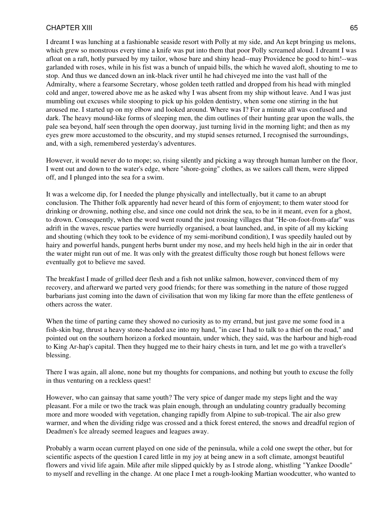I dreamt I was lunching at a fashionable seaside resort with Polly at my side, and An kept bringing us melons, which grew so monstrous every time a knife was put into them that poor Polly screamed aloud. I dreamt I was afloat on a raft, hotly pursued by my tailor, whose bare and shiny head--may Providence be good to him!--was garlanded with roses, while in his fist was a bunch of unpaid bills, the which he waved aloft, shouting to me to stop. And thus we danced down an ink-black river until he had chiveyed me into the vast hall of the Admiralty, where a fearsome Secretary, whose golden teeth rattled and dropped from his head with mingled cold and anger, towered above me as he asked why I was absent from my ship without leave. And I was just mumbling out excuses while stooping to pick up his golden dentistry, when some one stirring in the hut aroused me. I started up on my elbow and looked around. Where was I? For a minute all was confused and dark. The heavy mound-like forms of sleeping men, the dim outlines of their hunting gear upon the walls, the pale sea beyond, half seen through the open doorway, just turning livid in the morning light; and then as my eyes grew more accustomed to the obscurity, and my stupid senses returned, I recognised the surroundings, and, with a sigh, remembered yesterday's adventures.

However, it would never do to mope; so, rising silently and picking a way through human lumber on the floor, I went out and down to the water's edge, where "shore-going" clothes, as we sailors call them, were slipped off, and I plunged into the sea for a swim.

It was a welcome dip, for I needed the plunge physically and intellectually, but it came to an abrupt conclusion. The Thither folk apparently had never heard of this form of enjoyment; to them water stood for drinking or drowning, nothing else, and since one could not drink the sea, to be in it meant, even for a ghost, to drown. Consequently, when the word went round the just rousing villages that "He-on-foot-from-afar" was adrift in the waves, rescue parties were hurriedly organised, a boat launched, and, in spite of all my kicking and shouting (which they took to be evidence of my semi-moribund condition), I was speedily hauled out by hairy and powerful hands, pungent herbs burnt under my nose, and my heels held high in the air in order that the water might run out of me. It was only with the greatest difficulty those rough but honest fellows were eventually got to believe me saved.

The breakfast I made of grilled deer flesh and a fish not unlike salmon, however, convinced them of my recovery, and afterward we parted very good friends; for there was something in the nature of those rugged barbarians just coming into the dawn of civilisation that won my liking far more than the effete gentleness of others across the water.

When the time of parting came they showed no curiosity as to my errand, but just gave me some food in a fish-skin bag, thrust a heavy stone-headed axe into my hand, "in case I had to talk to a thief on the road," and pointed out on the southern horizon a forked mountain, under which, they said, was the harbour and high-road to King Ar-hap's capital. Then they hugged me to their hairy chests in turn, and let me go with a traveller's blessing.

There I was again, all alone, none but my thoughts for companions, and nothing but youth to excuse the folly in thus venturing on a reckless quest!

However, who can gainsay that same youth? The very spice of danger made my steps light and the way pleasant. For a mile or two the track was plain enough, through an undulating country gradually becoming more and more wooded with vegetation, changing rapidly from Alpine to sub-tropical. The air also grew warmer, and when the dividing ridge was crossed and a thick forest entered, the snows and dreadful region of Deadmen's Ice already seemed leagues and leagues away.

Probably a warm ocean current played on one side of the peninsula, while a cold one swept the other, but for scientific aspects of the question I cared little in my joy at being anew in a soft climate, amongst beautiful flowers and vivid life again. Mile after mile slipped quickly by as I strode along, whistling "Yankee Doodle" to myself and revelling in the change. At one place I met a rough-looking Martian woodcutter, who wanted to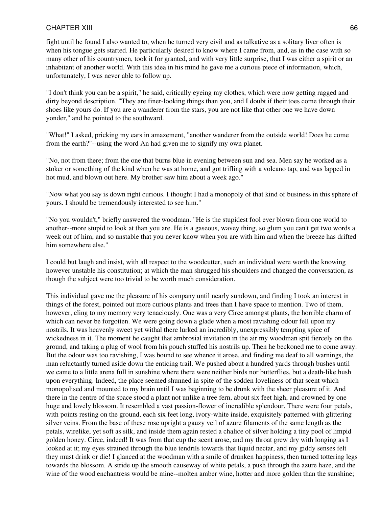fight until he found I also wanted to, when he turned very civil and as talkative as a solitary liver often is when his tongue gets started. He particularly desired to know where I came from, and, as in the case with so many other of his countrymen, took it for granted, and with very little surprise, that I was either a spirit or an inhabitant of another world. With this idea in his mind he gave me a curious piece of information, which, unfortunately, I was never able to follow up.

"I don't think you can be a spirit," he said, critically eyeing my clothes, which were now getting ragged and dirty beyond description. "They are finer-looking things than you, and I doubt if their toes come through their shoes like yours do. If you are a wanderer from the stars, you are not like that other one we have down yonder," and he pointed to the southward.

"What!" I asked, pricking my ears in amazement, "another wanderer from the outside world! Does he come from the earth?"--using the word An had given me to signify my own planet.

"No, not from there; from the one that burns blue in evening between sun and sea. Men say he worked as a stoker or something of the kind when he was at home, and got trifling with a volcano tap, and was lapped in hot mud, and blown out here. My brother saw him about a week ago."

"Now what you say is down right curious. I thought I had a monopoly of that kind of business in this sphere of yours. I should be tremendously interested to see him."

"No you wouldn't," briefly answered the woodman. "He is the stupidest fool ever blown from one world to another--more stupid to look at than you are. He is a gaseous, wavey thing, so glum you can't get two words a week out of him, and so unstable that you never know when you are with him and when the breeze has drifted him somewhere else."

I could but laugh and insist, with all respect to the woodcutter, such an individual were worth the knowing however unstable his constitution; at which the man shrugged his shoulders and changed the conversation, as though the subject were too trivial to be worth much consideration.

This individual gave me the pleasure of his company until nearly sundown, and finding I took an interest in things of the forest, pointed out more curious plants and trees than I have space to mention. Two of them, however, cling to my memory very tenaciously. One was a very Circe amongst plants, the horrible charm of which can never be forgotten. We were going down a glade when a most ravishing odour fell upon my nostrils. It was heavenly sweet yet withal there lurked an incredibly, unexpressibly tempting spice of wickedness in it. The moment he caught that ambrosial invitation in the air my woodman spit fiercely on the ground, and taking a plug of wool from his pouch stuffed his nostrils up. Then he beckoned me to come away. But the odour was too ravishing, I was bound to see whence it arose, and finding me deaf to all warnings, the man reluctantly turned aside down the enticing trail. We pushed about a hundred yards through bushes until we came to a little arena full in sunshine where there were neither birds nor butterflies, but a death-like hush upon everything. Indeed, the place seemed shunned in spite of the sodden loveliness of that scent which monopolised and mounted to my brain until I was beginning to be drunk with the sheer pleasure of it. And there in the centre of the space stood a plant not unlike a tree fern, about six feet high, and crowned by one huge and lovely blossom. It resembled a vast passion-flower of incredible splendour. There were four petals, with points resting on the ground, each six feet long, ivory-white inside, exquisitely patterned with glittering silver veins. From the base of these rose upright a gauzy veil of azure filaments of the same length as the petals, wirelike, yet soft as silk, and inside them again rested a chalice of silver holding a tiny pool of limpid golden honey. Circe, indeed! It was from that cup the scent arose, and my throat grew dry with longing as I looked at it; my eyes strained through the blue tendrils towards that liquid nectar, and my giddy senses felt they must drink or die! I glanced at the woodman with a smile of drunken happiness, then turned tottering legs towards the blossom. A stride up the smooth causeway of white petals, a push through the azure haze, and the wine of the wood enchantress would be mine--molten amber wine, hotter and more golden than the sunshine;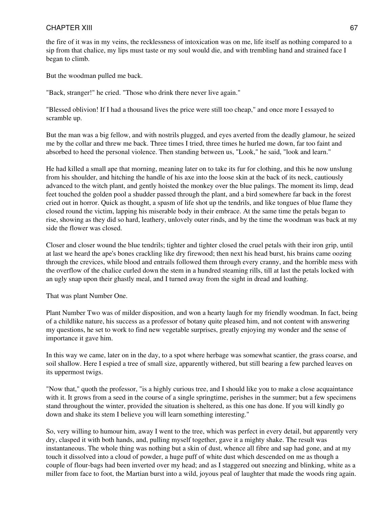the fire of it was in my veins, the recklessness of intoxication was on me, life itself as nothing compared to a sip from that chalice, my lips must taste or my soul would die, and with trembling hand and strained face I began to climb.

But the woodman pulled me back.

"Back, stranger!" he cried. "Those who drink there never live again."

"Blessed oblivion! If I had a thousand lives the price were still too cheap," and once more I essayed to scramble up.

But the man was a big fellow, and with nostrils plugged, and eyes averted from the deadly glamour, he seized me by the collar and threw me back. Three times I tried, three times he hurled me down, far too faint and absorbed to heed the personal violence. Then standing between us, "Look," he said, "look and learn."

He had killed a small ape that morning, meaning later on to take its fur for clothing, and this he now unslung from his shoulder, and hitching the handle of his axe into the loose skin at the back of its neck, cautiously advanced to the witch plant, and gently hoisted the monkey over the blue palings. The moment its limp, dead feet touched the golden pool a shudder passed through the plant, and a bird somewhere far back in the forest cried out in horror. Quick as thought, a spasm of life shot up the tendrils, and like tongues of blue flame they closed round the victim, lapping his miserable body in their embrace. At the same time the petals began to rise, showing as they did so hard, leathery, unlovely outer rinds, and by the time the woodman was back at my side the flower was closed.

Closer and closer wound the blue tendrils; tighter and tighter closed the cruel petals with their iron grip, until at last we heard the ape's bones crackling like dry firewood; then next his head burst, his brains came oozing through the crevices, while blood and entrails followed them through every cranny, and the horrible mess with the overflow of the chalice curled down the stem in a hundred steaming rills, till at last the petals locked with an ugly snap upon their ghastly meal, and I turned away from the sight in dread and loathing.

That was plant Number One.

Plant Number Two was of milder disposition, and won a hearty laugh for my friendly woodman. In fact, being of a childlike nature, his success as a professor of botany quite pleased him, and not content with answering my questions, he set to work to find new vegetable surprises, greatly enjoying my wonder and the sense of importance it gave him.

In this way we came, later on in the day, to a spot where herbage was somewhat scantier, the grass coarse, and soil shallow. Here I espied a tree of small size, apparently withered, but still bearing a few parched leaves on its uppermost twigs.

"Now that," quoth the professor, "is a highly curious tree, and I should like you to make a close acquaintance with it. It grows from a seed in the course of a single springtime, perishes in the summer; but a few specimens stand throughout the winter, provided the situation is sheltered, as this one has done. If you will kindly go down and shake its stem I believe you will learn something interesting."

So, very willing to humour him, away I went to the tree, which was perfect in every detail, but apparently very dry, clasped it with both hands, and, pulling myself together, gave it a mighty shake. The result was instantaneous. The whole thing was nothing but a skin of dust, whence all fibre and sap had gone, and at my touch it dissolved into a cloud of powder, a huge puff of white dust which descended on me as though a couple of flour-bags had been inverted over my head; and as I staggered out sneezing and blinking, white as a miller from face to foot, the Martian burst into a wild, joyous peal of laughter that made the woods ring again.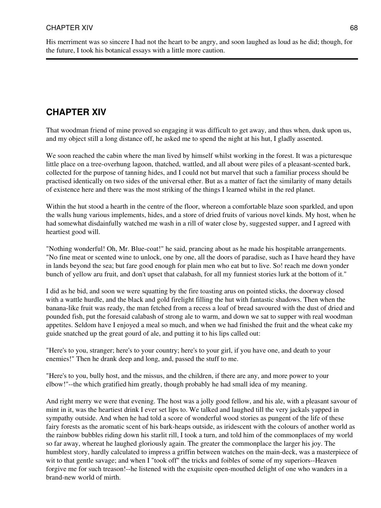His merriment was so sincere I had not the heart to be angry, and soon laughed as loud as he did; though, for the future, I took his botanical essays with a little more caution.

# **CHAPTER XIV**

That woodman friend of mine proved so engaging it was difficult to get away, and thus when, dusk upon us, and my object still a long distance off, he asked me to spend the night at his hut, I gladly assented.

We soon reached the cabin where the man lived by himself whilst working in the forest. It was a picturesque little place on a tree-overhung lagoon, thatched, wattled, and all about were piles of a pleasant-scented bark, collected for the purpose of tanning hides, and I could not but marvel that such a familiar process should be practised identically on two sides of the universal ether. But as a matter of fact the similarity of many details of existence here and there was the most striking of the things I learned whilst in the red planet.

Within the hut stood a hearth in the centre of the floor, whereon a comfortable blaze soon sparkled, and upon the walls hung various implements, hides, and a store of dried fruits of various novel kinds. My host, when he had somewhat disdainfully watched me wash in a rill of water close by, suggested supper, and I agreed with heartiest good will.

"Nothing wonderful! Oh, Mr. Blue-coat!" he said, prancing about as he made his hospitable arrangements. "No fine meat or scented wine to unlock, one by one, all the doors of paradise, such as I have heard they have in lands beyond the sea; but fare good enough for plain men who eat but to live. So! reach me down yonder bunch of yellow aru fruit, and don't upset that calabash, for all my funniest stories lurk at the bottom of it."

I did as he bid, and soon we were squatting by the fire toasting arus on pointed sticks, the doorway closed with a wattle hurdle, and the black and gold firelight filling the hut with fantastic shadows. Then when the banana-like fruit was ready, the man fetched from a recess a loaf of bread savoured with the dust of dried and pounded fish, put the foresaid calabash of strong ale to warm, and down we sat to supper with real woodman appetites. Seldom have I enjoyed a meal so much, and when we had finished the fruit and the wheat cake my guide snatched up the great gourd of ale, and putting it to his lips called out:

"Here's to you, stranger; here's to your country; here's to your girl, if you have one, and death to your enemies!" Then he drank deep and long, and, passed the stuff to me.

"Here's to you, bully host, and the missus, and the children, if there are any, and more power to your elbow!"--the which gratified him greatly, though probably he had small idea of my meaning.

And right merry we were that evening. The host was a jolly good fellow, and his ale, with a pleasant savour of mint in it, was the heartiest drink I ever set lips to. We talked and laughed till the very jackals yapped in sympathy outside. And when he had told a score of wonderful wood stories as pungent of the life of these fairy forests as the aromatic scent of his bark-heaps outside, as iridescent with the colours of another world as the rainbow bubbles riding down his starlit rill, I took a turn, and told him of the commonplaces of my world so far away, whereat he laughed gloriously again. The greater the commonplace the larger his joy. The humblest story, hardly calculated to impress a griffin between watches on the main-deck, was a masterpiece of wit to that gentle savage; and when I "took off" the tricks and foibles of some of my superiors--Heaven forgive me for such treason!--he listened with the exquisite open-mouthed delight of one who wanders in a brand-new world of mirth.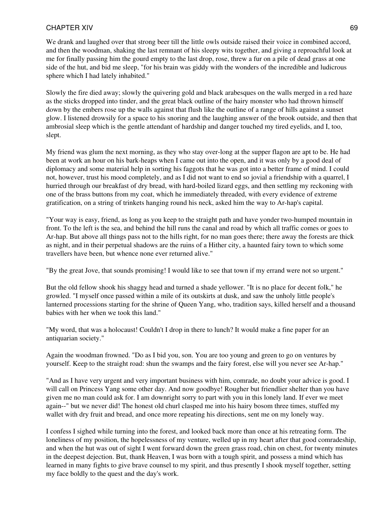We drank and laughed over that strong beer till the little owls outside raised their voice in combined accord, and then the woodman, shaking the last remnant of his sleepy wits together, and giving a reproachful look at me for finally passing him the gourd empty to the last drop, rose, threw a fur on a pile of dead grass at one side of the hut, and bid me sleep, "for his brain was giddy with the wonders of the incredible and ludicrous sphere which I had lately inhabited."

Slowly the fire died away; slowly the quivering gold and black arabesques on the walls merged in a red haze as the sticks dropped into tinder, and the great black outline of the hairy monster who had thrown himself down by the embers rose up the walls against that flush like the outline of a range of hills against a sunset glow. I listened drowsily for a space to his snoring and the laughing answer of the brook outside, and then that ambrosial sleep which is the gentle attendant of hardship and danger touched my tired eyelids, and I, too, slept.

My friend was glum the next morning, as they who stay over-long at the supper flagon are apt to be. He had been at work an hour on his bark-heaps when I came out into the open, and it was only by a good deal of diplomacy and some material help in sorting his faggots that he was got into a better frame of mind. I could not, however, trust his mood completely, and as I did not want to end so jovial a friendship with a quarrel, I hurried through our breakfast of dry bread, with hard-boiled lizard eggs, and then settling my reckoning with one of the brass buttons from my coat, which he immediately threaded, with every evidence of extreme gratification, on a string of trinkets hanging round his neck, asked him the way to Ar-hap's capital.

"Your way is easy, friend, as long as you keep to the straight path and have yonder two-humped mountain in front. To the left is the sea, and behind the hill runs the canal and road by which all traffic comes or goes to Ar-hap. But above all things pass not to the hills right, for no man goes there; there away the forests are thick as night, and in their perpetual shadows are the ruins of a Hither city, a haunted fairy town to which some travellers have been, but whence none ever returned alive."

"By the great Jove, that sounds promising! I would like to see that town if my errand were not so urgent."

But the old fellow shook his shaggy head and turned a shade yellower. "It is no place for decent folk," he growled. "I myself once passed within a mile of its outskirts at dusk, and saw the unholy little people's lanterned processions starting for the shrine of Queen Yang, who, tradition says, killed herself and a thousand babies with her when we took this land."

"My word, that was a holocaust! Couldn't I drop in there to lunch? It would make a fine paper for an antiquarian society."

Again the woodman frowned. "Do as I bid you, son. You are too young and green to go on ventures by yourself. Keep to the straight road: shun the swamps and the fairy forest, else will you never see Ar-hap."

"And as I have very urgent and very important business with him, comrade, no doubt your advice is good. I will call on Princess Yang some other day. And now goodbye! Rougher but friendlier shelter than you have given me no man could ask for. I am downright sorry to part with you in this lonely land. If ever we meet again--" but we never did! The honest old churl clasped me into his hairy bosom three times, stuffed my wallet with dry fruit and bread, and once more repeating his directions, sent me on my lonely way.

I confess I sighed while turning into the forest, and looked back more than once at his retreating form. The loneliness of my position, the hopelessness of my venture, welled up in my heart after that good comradeship, and when the hut was out of sight I went forward down the green grass road, chin on chest, for twenty minutes in the deepest dejection. But, thank Heaven, I was born with a tough spirit, and possess a mind which has learned in many fights to give brave counsel to my spirit, and thus presently I shook myself together, setting my face boldly to the quest and the day's work.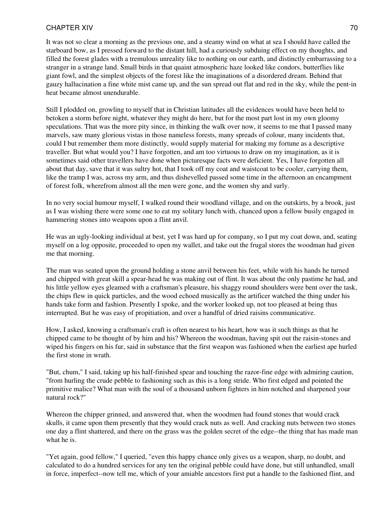It was not so clear a morning as the previous one, and a steamy wind on what at sea I should have called the starboard bow, as I pressed forward to the distant hill, had a curiously subduing effect on my thoughts, and filled the forest glades with a tremulous unreality like to nothing on our earth, and distinctly embarrassing to a stranger in a strange land. Small birds in that quaint atmospheric haze looked like condors, butterflies like giant fowl, and the simplest objects of the forest like the imaginations of a disordered dream. Behind that gauzy hallucination a fine white mist came up, and the sun spread out flat and red in the sky, while the pent-in heat became almost unendurable.

Still I plodded on, growling to myself that in Christian latitudes all the evidences would have been held to betoken a storm before night, whatever they might do here, but for the most part lost in my own gloomy speculations. That was the more pity since, in thinking the walk over now, it seems to me that I passed many marvels, saw many glorious vistas in those nameless forests, many spreads of colour, many incidents that, could I but remember them more distinctly, would supply material for making my fortune as a descriptive traveller. But what would you? I have forgotten, and am too virtuous to draw on my imagination, as it is sometimes said other travellers have done when picturesque facts were deficient. Yes, I have forgotten all about that day, save that it was sultry hot, that I took off my coat and waistcoat to be cooler, carrying them, like the tramp I was, across my arm, and thus dishevelled passed some time in the afternoon an encampment of forest folk, wherefrom almost all the men were gone, and the women shy and surly.

In no very social humour myself, I walked round their woodland village, and on the outskirts, by a brook, just as I was wishing there were some one to eat my solitary lunch with, chanced upon a fellow busily engaged in hammering stones into weapons upon a flint anvil.

He was an ugly-looking individual at best, yet I was hard up for company, so I put my coat down, and, seating myself on a log opposite, proceeded to open my wallet, and take out the frugal stores the woodman had given me that morning.

The man was seated upon the ground holding a stone anvil between his feet, while with his hands he turned and chipped with great skill a spear-head he was making out of flint. It was about the only pastime he had, and his little yellow eyes gleamed with a craftsman's pleasure, his shaggy round shoulders were bent over the task, the chips flew in quick particles, and the wood echoed musically as the artificer watched the thing under his hands take form and fashion. Presently I spoke, and the worker looked up, not too pleased at being thus interrupted. But he was easy of propitiation, and over a handful of dried raisins communicative.

How, I asked, knowing a craftsman's craft is often nearest to his heart, how was it such things as that he chipped came to be thought of by him and his? Whereon the woodman, having spit out the raisin-stones and wiped his fingers on his fur, said in substance that the first weapon was fashioned when the earliest ape hurled the first stone in wrath.

"But, chum," I said, taking up his half-finished spear and touching the razor-fine edge with admiring caution, "from hurling the crude pebble to fashioning such as this is a long stride. Who first edged and pointed the primitive malice? What man with the soul of a thousand unborn fighters in him notched and sharpened your natural rock?"

Whereon the chipper grinned, and answered that, when the woodmen had found stones that would crack skulls, it came upon them presently that they would crack nuts as well. And cracking nuts between two stones one day a flint shattered, and there on the grass was the golden secret of the edge--the thing that has made man what he is.

"Yet again, good fellow," I queried, "even this happy chance only gives us a weapon, sharp, no doubt, and calculated to do a hundred services for any ten the original pebble could have done, but still unhandled, small in force, imperfect--now tell me, which of your amiable ancestors first put a handle to the fashioned flint, and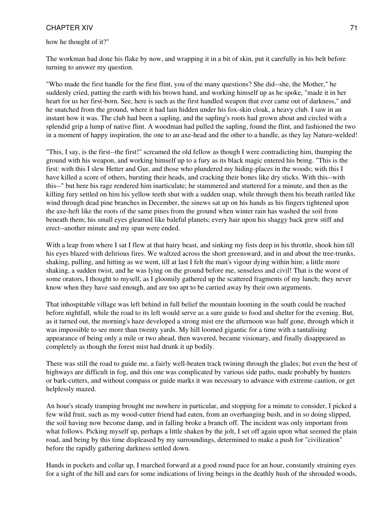how he thought of it?"

The workman had done his flake by now, and wrapping it in a bit of skin, put it carefully in his belt before turning to answer my question.

"Who made the first handle for the first flint, you of the many questions? She did--she, the Mother," he suddenly cried, patting the earth with his brown hand, and working himself up as he spoke, "made it in her heart for us her first-born. See, here is such as the first handled weapon that ever came out of darkness," and he snatched from the ground, where it had lain hidden under his fox-skin cloak, a heavy club. I saw in an instant how it was. The club had been a sapling, and the sapling's roots had grown about and circled with a splendid grip a lump of native flint. A woodman had pulled the sapling, found the flint, and fashioned the two in a moment of happy inspiration, the one to an axe-head and the other to a handle, as they lay Nature-welded!

"This, I say, is the first--the first!" screamed the old fellow as though I were contradicting him, thumping the ground with his weapon, and working himself up to a fury as its black magic entered his being. "This is the first: with this I slew Hetter and Gur, and those who plundered my hiding-places in the woods; with this I have killed a score of others, bursting their heads, and cracking their bones like dry sticks. With this--with this--" but here his rage rendered him inarticulate; he stammered and stuttered for a minute, and then as the killing fury settled on him his yellow teeth shut with a sudden snap, while through them his breath rattled like wind through dead pine branches in December, the sinews sat up on his hands as his fingers tightened upon the axe-heft like the roots of the same pines from the ground when winter rain has washed the soil from beneath them; his small eyes gleamed like baleful planets; every hair upon his shaggy back grew stiff and erect--another minute and my span were ended.

With a leap from where I sat I flew at that hairy beast, and sinking my fists deep in his throttle, shook him till his eyes blazed with delirious fires. We waltzed across the short greensward, and in and about the tree-trunks, shaking, pulling, and hitting as we went, till at last I felt the man's vigour dying within him; a little more shaking, a sudden twist, and he was lying on the ground before me, senseless and civil! That is the worst of some orators, I thought to myself, as I gloomily gathered up the scattered fragments of my lunch; they never know when they have said enough, and are too apt to be carried away by their own arguments.

That inhospitable village was left behind in full belief the mountain looming in the south could be reached before nightfall, while the road to its left would serve as a sure guide to food and shelter for the evening. But, as it turned out, the morning's haze developed a strong mist ere the afternoon was half gone, through which it was impossible to see more than twenty yards. My hill loomed gigantic for a time with a tantalising appearance of being only a mile or two ahead, then wavered, became visionary, and finally disappeared as completely as though the forest mist had drunk it up bodily.

There was still the road to guide me, a fairly well-beaten track twining through the glades; but even the best of highways are difficult in fog, and this one was complicated by various side paths, made probably by hunters or bark-cutters, and without compass or guide marks it was necessary to advance with extreme caution, or get helplessly mazed.

An hour's steady tramping brought me nowhere in particular, and stopping for a minute to consider, I picked a few wild fruit, such as my wood-cutter friend had eaten, from an overhanging bush, and in so doing slipped, the soil having now become damp, and in falling broke a branch off. The incident was only important from what follows. Picking myself up, perhaps a little shaken by the jolt, I set off again upon what seemed the plain road, and being by this time displeased by my surroundings, determined to make a push for "civilization" before the rapidly gathering darkness settled down.

Hands in pockets and collar up, I marched forward at a good round pace for an hour, constantly straining eyes for a sight of the hill and ears for some indications of living beings in the deathly hush of the shrouded woods,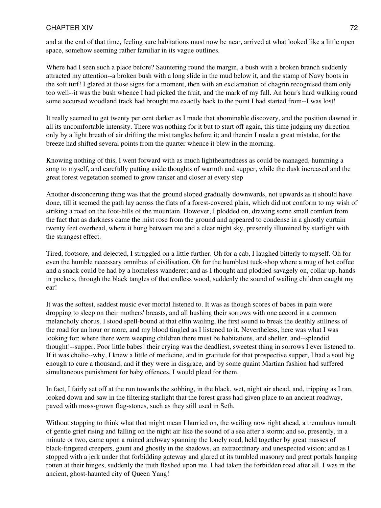and at the end of that time, feeling sure habitations must now be near, arrived at what looked like a little open space, somehow seeming rather familiar in its vague outlines.

Where had I seen such a place before? Sauntering round the margin, a bush with a broken branch suddenly attracted my attention--a broken bush with a long slide in the mud below it, and the stamp of Navy boots in the soft turf! I glared at those signs for a moment, then with an exclamation of chagrin recognised them only too well--it was the bush whence I had picked the fruit, and the mark of my fall. An hour's hard walking round some accursed woodland track had brought me exactly back to the point I had started from--I was lost!

It really seemed to get twenty per cent darker as I made that abominable discovery, and the position dawned in all its uncomfortable intensity. There was nothing for it but to start off again, this time judging my direction only by a light breath of air drifting the mist tangles before it; and therein I made a great mistake, for the breeze had shifted several points from the quarter whence it blew in the morning.

Knowing nothing of this, I went forward with as much lightheartedness as could be managed, humming a song to myself, and carefully putting aside thoughts of warmth and supper, while the dusk increased and the great forest vegetation seemed to grow ranker and closer at every step

Another disconcerting thing was that the ground sloped gradually downwards, not upwards as it should have done, till it seemed the path lay across the flats of a forest-covered plain, which did not conform to my wish of striking a road on the foot-hills of the mountain. However, I plodded on, drawing some small comfort from the fact that as darkness came the mist rose from the ground and appeared to condense in a ghostly curtain twenty feet overhead, where it hung between me and a clear night sky, presently illumined by starlight with the strangest effect.

Tired, footsore, and dejected, I struggled on a little further. Oh for a cab, I laughed bitterly to myself. Oh for even the humble necessary omnibus of civilisation. Oh for the humblest tuck-shop where a mug of hot coffee and a snack could be had by a homeless wanderer; and as I thought and plodded savagely on, collar up, hands in pockets, through the black tangles of that endless wood, suddenly the sound of wailing children caught my ear!

It was the softest, saddest music ever mortal listened to. It was as though scores of babes in pain were dropping to sleep on their mothers' breasts, and all hushing their sorrows with one accord in a common melancholy chorus. I stood spell-bound at that elfin wailing, the first sound to break the deathly stillness of the road for an hour or more, and my blood tingled as I listened to it. Nevertheless, here was what I was looking for; where there were weeping children there must be habitations, and shelter, and--splendid thought!--supper. Poor little babes! their crying was the deadliest, sweetest thing in sorrows I ever listened to. If it was cholic--why, I knew a little of medicine, and in gratitude for that prospective supper, I had a soul big enough to cure a thousand; and if they were in disgrace, and by some quaint Martian fashion had suffered simultaneous punishment for baby offences, I would plead for them.

In fact, I fairly set off at the run towards the sobbing, in the black, wet, night air ahead, and, tripping as I ran, looked down and saw in the filtering starlight that the forest grass had given place to an ancient roadway, paved with moss-grown flag-stones, such as they still used in Seth.

Without stopping to think what that might mean I hurried on, the wailing now right ahead, a tremulous tumult of gentle grief rising and falling on the night air like the sound of a sea after a storm; and so, presently, in a minute or two, came upon a ruined archway spanning the lonely road, held together by great masses of black-fingered creepers, gaunt and ghostly in the shadows, an extraordinary and unexpected vision; and as I stopped with a jerk under that forbidding gateway and glared at its tumbled masonry and great portals hanging rotten at their hinges, suddenly the truth flashed upon me. I had taken the forbidden road after all. I was in the ancient, ghost-haunted city of Queen Yang!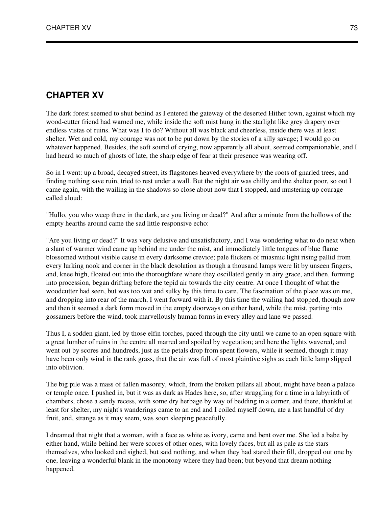The dark forest seemed to shut behind as I entered the gateway of the deserted Hither town, against which my wood-cutter friend had warned me, while inside the soft mist hung in the starlight like grey drapery over endless vistas of ruins. What was I to do? Without all was black and cheerless, inside there was at least shelter. Wet and cold, my courage was not to be put down by the stories of a silly savage; I would go on whatever happened. Besides, the soft sound of crying, now apparently all about, seemed companionable, and I had heard so much of ghosts of late, the sharp edge of fear at their presence was wearing off.

So in I went: up a broad, decayed street, its flagstones heaved everywhere by the roots of gnarled trees, and finding nothing save ruin, tried to rest under a wall. But the night air was chilly and the shelter poor, so out I came again, with the wailing in the shadows so close about now that I stopped, and mustering up courage called aloud:

"Hullo, you who weep there in the dark, are you living or dead?" And after a minute from the hollows of the empty hearths around came the sad little responsive echo:

"Are you living or dead?" It was very delusive and unsatisfactory, and I was wondering what to do next when a slant of warmer wind came up behind me under the mist, and immediately little tongues of blue flame blossomed without visible cause in every darksome crevice; pale flickers of miasmic light rising pallid from every lurking nook and corner in the black desolation as though a thousand lamps were lit by unseen fingers, and, knee high, floated out into the thoroughfare where they oscillated gently in airy grace, and then, forming into procession, began drifting before the tepid air towards the city centre. At once I thought of what the woodcutter had seen, but was too wet and sulky by this time to care. The fascination of the place was on me, and dropping into rear of the march, I went forward with it. By this time the wailing had stopped, though now and then it seemed a dark form moved in the empty doorways on either hand, while the mist, parting into gossamers before the wind, took marvellously human forms in every alley and lane we passed.

Thus I, a sodden giant, led by those elfin torches, paced through the city until we came to an open square with a great lumber of ruins in the centre all marred and spoiled by vegetation; and here the lights wavered, and went out by scores and hundreds, just as the petals drop from spent flowers, while it seemed, though it may have been only wind in the rank grass, that the air was full of most plaintive sighs as each little lamp slipped into oblivion.

The big pile was a mass of fallen masonry, which, from the broken pillars all about, might have been a palace or temple once. I pushed in, but it was as dark as Hades here, so, after struggling for a time in a labyrinth of chambers, chose a sandy recess, with some dry herbage by way of bedding in a corner, and there, thankful at least for shelter, my night's wanderings came to an end and I coiled myself down, ate a last handful of dry fruit, and, strange as it may seem, was soon sleeping peacefully.

I dreamed that night that a woman, with a face as white as ivory, came and bent over me. She led a babe by either hand, while behind her were scores of other ones, with lovely faces, but all as pale as the stars themselves, who looked and sighed, but said nothing, and when they had stared their fill, dropped out one by one, leaving a wonderful blank in the monotony where they had been; but beyond that dream nothing happened.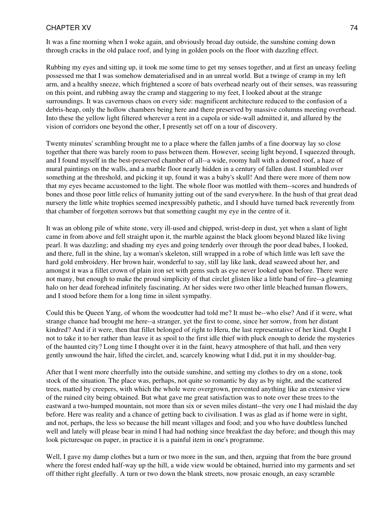It was a fine morning when I woke again, and obviously broad day outside, the sunshine coming down through cracks in the old palace roof, and lying in golden pools on the floor with dazzling effect.

Rubbing my eyes and sitting up, it took me some time to get my senses together, and at first an uneasy feeling possessed me that I was somehow dematerialised and in an unreal world. But a twinge of cramp in my left arm, and a healthy sneeze, which frightened a score of bats overhead nearly out of their senses, was reassuring on this point, and rubbing away the cramp and staggering to my feet, I looked about at the strange surroundings. It was cavernous chaos on every side: magnificent architecture reduced to the confusion of a debris-heap, only the hollow chambers being here and there preserved by massive columns meeting overhead. Into these the yellow light filtered wherever a rent in a cupola or side-wall admitted it, and allured by the vision of corridors one beyond the other, I presently set off on a tour of discovery.

Twenty minutes' scrambling brought me to a place where the fallen jambs of a fine doorway lay so close together that there was barely room to pass between them. However, seeing light beyond, I squeezed through, and I found myself in the best-preserved chamber of all--a wide, roomy hall with a domed roof, a haze of mural paintings on the walls, and a marble floor nearly hidden in a century of fallen dust. I stumbled over something at the threshold, and picking it up, found it was a baby's skull! And there were more of them now that my eyes became accustomed to the light. The whole floor was mottled with them--scores and hundreds of bones and those poor little relics of humanity jutting out of the sand everywhere. In the hush of that great dead nursery the little white trophies seemed inexpressibly pathetic, and I should have turned back reverently from that chamber of forgotten sorrows but that something caught my eye in the centre of it.

It was an oblong pile of white stone, very ill-used and chipped, wrist-deep in dust, yet when a slant of light came in from above and fell straight upon it, the marble against the black gloom beyond blazed like living pearl. It was dazzling; and shading my eyes and going tenderly over through the poor dead babes, I looked, and there, full in the shine, lay a woman's skeleton, still wrapped in a robe of which little was left save the hard gold embroidery. Her brown hair, wonderful to say, still lay like lank, dead seaweed about her, and amongst it was a fillet crown of plain iron set with gems such as eye never looked upon before. There were not many, but enough to make the proud simplicity of that circlet glisten like a little band of fire--a gleaming halo on her dead forehead infinitely fascinating. At her sides were two other little bleached human flowers, and I stood before them for a long time in silent sympathy.

Could this be Queen Yang, of whom the woodcutter had told me? It must be--who else? And if it were, what strange chance had brought me here--a stranger, yet the first to come, since her sorrow, from her distant kindred? And if it were, then that fillet belonged of right to Heru, the last representative of her kind. Ought I not to take it to her rather than leave it as spoil to the first idle thief with pluck enough to deride the mysteries of the haunted city? Long time I thought over it in the faint, heavy atmosphere of that hall, and then very gently unwound the hair, lifted the circlet, and, scarcely knowing what I did, put it in my shoulder-bag.

After that I went more cheerfully into the outside sunshine, and setting my clothes to dry on a stone, took stock of the situation. The place was, perhaps, not quite so romantic by day as by night, and the scattered trees, matted by creepers, with which the whole were overgrown, prevented anything like an extensive view of the ruined city being obtained. But what gave me great satisfaction was to note over these trees to the eastward a two-humped mountain, not more than six or seven miles distant--the very one I had mislaid the day before. Here was reality and a chance of getting back to civilisation. I was as glad as if home were in sight, and not, perhaps, the less so because the hill meant villages and food; and you who have doubtless lunched well and lately will please bear in mind I had had nothing since breakfast the day before; and though this may look picturesque on paper, in practice it is a painful item in one's programme.

Well, I gave my damp clothes but a turn or two more in the sun, and then, arguing that from the bare ground where the forest ended half-way up the hill, a wide view would be obtained, hurried into my garments and set off thither right gleefully. A turn or two down the blank streets, now prosaic enough, an easy scramble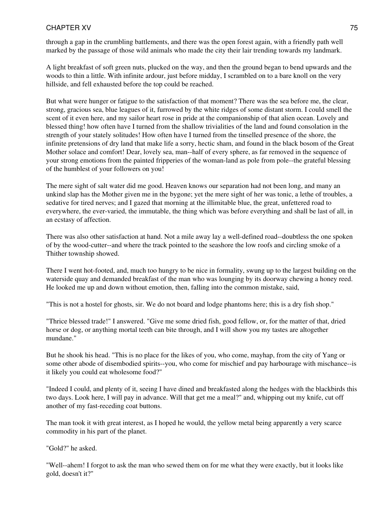through a gap in the crumbling battlements, and there was the open forest again, with a friendly path well marked by the passage of those wild animals who made the city their lair trending towards my landmark.

A light breakfast of soft green nuts, plucked on the way, and then the ground began to bend upwards and the woods to thin a little. With infinite ardour, just before midday, I scrambled on to a bare knoll on the very hillside, and fell exhausted before the top could be reached.

But what were hunger or fatigue to the satisfaction of that moment? There was the sea before me, the clear, strong, gracious sea, blue leagues of it, furrowed by the white ridges of some distant storm. I could smell the scent of it even here, and my sailor heart rose in pride at the companionship of that alien ocean. Lovely and blessed thing! how often have I turned from the shallow trivialities of the land and found consolation in the strength of your stately solitudes! How often have I turned from the tinselled presence of the shore, the infinite pretensions of dry land that make life a sorry, hectic sham, and found in the black bosom of the Great Mother solace and comfort! Dear, lovely sea, man--half of every sphere, as far removed in the sequence of your strong emotions from the painted fripperies of the woman-land as pole from pole--the grateful blessing of the humblest of your followers on you!

The mere sight of salt water did me good. Heaven knows our separation had not been long, and many an unkind slap has the Mother given me in the bygone; yet the mere sight of her was tonic, a lethe of troubles, a sedative for tired nerves; and I gazed that morning at the illimitable blue, the great, unfettered road to everywhere, the ever-varied, the immutable, the thing which was before everything and shall be last of all, in an ecstasy of affection.

There was also other satisfaction at hand. Not a mile away lay a well-defined road--doubtless the one spoken of by the wood-cutter--and where the track pointed to the seashore the low roofs and circling smoke of a Thither township showed.

There I went hot-footed, and, much too hungry to be nice in formality, swung up to the largest building on the waterside quay and demanded breakfast of the man who was lounging by its doorway chewing a honey reed. He looked me up and down without emotion, then, falling into the common mistake, said,

"This is not a hostel for ghosts, sir. We do not board and lodge phantoms here; this is a dry fish shop."

"Thrice blessed trade!" I answered. "Give me some dried fish, good fellow, or, for the matter of that, dried horse or dog, or anything mortal teeth can bite through, and I will show you my tastes are altogether mundane."

But he shook his head. "This is no place for the likes of you, who come, mayhap, from the city of Yang or some other abode of disembodied spirits--you, who come for mischief and pay harbourage with mischance--is it likely you could eat wholesome food?"

"Indeed I could, and plenty of it, seeing I have dined and breakfasted along the hedges with the blackbirds this two days. Look here, I will pay in advance. Will that get me a meal?" and, whipping out my knife, cut off another of my fast-receding coat buttons.

The man took it with great interest, as I hoped he would, the yellow metal being apparently a very scarce commodity in his part of the planet.

"Gold?" he asked.

"Well--ahem! I forgot to ask the man who sewed them on for me what they were exactly, but it looks like gold, doesn't it?"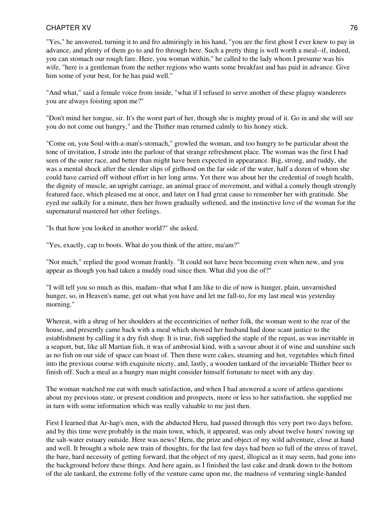"Yes," he answered, turning it to and fro admiringly in his hand, "you are the first ghost I ever knew to pay in advance, and plenty of them go to and fro through here. Such a pretty thing is well worth a meal--if, indeed, you can stomach our rough fare. Here, you woman within," he called to the lady whom I presume was his wife, "here is a gentleman from the nether regions who wants some breakfast and has paid in advance. Give him some of your best, for he has paid well."

"And what," said a female voice from inside, "what if I refused to serve another of these plaguy wanderers you are always foisting upon me?"

"Don't mind her tongue, sir. It's the worst part of her, though she is mighty proud of it. Go in and she will see you do not come out hungry," and the Thither man returned calmly to his honey stick.

"Come on, you Soul-with-a-man's-stomach," growled the woman, and too hungry to be particular about the tone of invitation, I strode into the parlour of that strange refreshment place. The woman was the first I had seen of the outer race, and better than might have been expected in appearance. Big, strong, and ruddy, she was a mental shock after the slender slips of girlhood on the far side of the water, half a dozen of whom she could have carried off without effort in her long arms. Yet there was about her the credential of rough health, the dignity of muscle, an upright carriage, an animal grace of movement, and withal a comely though strongly featured face, which pleased me at once, and later on I had great cause to remember her with gratitude. She eyed me sulkily for a minute, then her frown gradually softened, and the instinctive love of the woman for the supernatural mastered her other feelings.

"Is that how you looked in another world?" she asked.

"Yes, exactly, cap to boots. What do you think of the attire, ma'am?"

"Not much," replied the good woman frankly. "It could not have been becoming even when new, and you appear as though you had taken a muddy road since then. What did you die of?"

"I will tell you so much as this, madam--that what I am like to die of now is hunger, plain, unvarnished hunger, so, in Heaven's name, get out what you have and let me fall-to, for my last meal was yesterday morning."

Whereat, with a shrug of her shoulders at the eccentricities of nether folk, the woman went to the rear of the house, and presently came back with a meal which showed her husband had done scant justice to the establishment by calling it a dry fish shop. It is true, fish supplied the staple of the repast, as was inevitable in a seaport, but, like all Martian fish, it was of ambrosial kind, with a savour about it of wine and sunshine such as no fish on our side of space can boast of. Then there were cakes, steaming and hot, vegetables which fitted into the previous course with exquisite nicety, and, lastly, a wooden tankard of the invariable Thither beer to finish off. Such a meal as a hungry man might consider himself fortunate to meet with any day.

The woman watched me eat with much satisfaction, and when I had answered a score of artless questions about my previous state, or present condition and prospects, more or less to her satisfaction, she supplied me in turn with some information which was really valuable to me just then.

First I learned that Ar-hap's men, with the abducted Heru, had passed through this very port two days before, and by this time were probably in the main town, which, it appeared, was only about twelve hours' rowing up the salt-water estuary outside. Here was news! Heru, the prize and object of my wild adventure, close at hand and well. It brought a whole new train of thoughts, for the last few days had been so full of the stress of travel, the bare, hard necessity of getting forward, that the object of my quest, illogical as it may seem, had gone into the background before these things. And here again, as I finished the last cake and drank down to the bottom of the ale tankard, the extreme folly of the venture came upon me, the madness of venturing single-handed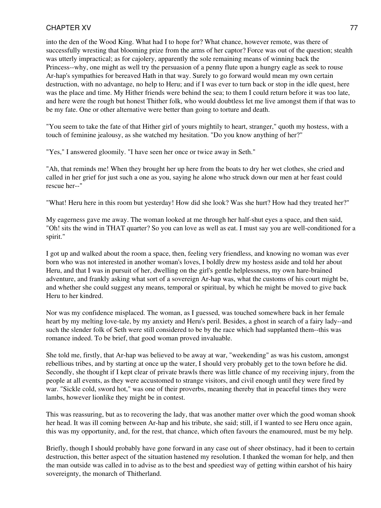into the den of the Wood King. What had I to hope for? What chance, however remote, was there of successfully wresting that blooming prize from the arms of her captor? Force was out of the question; stealth was utterly impractical; as for cajolery, apparently the sole remaining means of winning back the Princess--why, one might as well try the persuasion of a penny flute upon a hungry eagle as seek to rouse Ar-hap's sympathies for bereaved Hath in that way. Surely to go forward would mean my own certain destruction, with no advantage, no help to Heru; and if I was ever to turn back or stop in the idle quest, here was the place and time. My Hither friends were behind the sea; to them I could return before it was too late, and here were the rough but honest Thither folk, who would doubtless let me live amongst them if that was to be my fate. One or other alternative were better than going to torture and death.

"You seem to take the fate of that Hither girl of yours mightily to heart, stranger," quoth my hostess, with a touch of feminine jealousy, as she watched my hesitation. "Do you know anything of her?"

"Yes," I answered gloomily. "I have seen her once or twice away in Seth."

"Ah, that reminds me! When they brought her up here from the boats to dry her wet clothes, she cried and called in her grief for just such a one as you, saying he alone who struck down our men at her feast could rescue her--"

"What! Heru here in this room but yesterday! How did she look? Was she hurt? How had they treated her?"

My eagerness gave me away. The woman looked at me through her half-shut eyes a space, and then said, "Oh! sits the wind in THAT quarter? So you can love as well as eat. I must say you are well-conditioned for a spirit."

I got up and walked about the room a space, then, feeling very friendless, and knowing no woman was ever born who was not interested in another woman's loves, I boldly drew my hostess aside and told her about Heru, and that I was in pursuit of her, dwelling on the girl's gentle helplessness, my own hare-brained adventure, and frankly asking what sort of a sovereign Ar-hap was, what the customs of his court might be, and whether she could suggest any means, temporal or spiritual, by which he might be moved to give back Heru to her kindred.

Nor was my confidence misplaced. The woman, as I guessed, was touched somewhere back in her female heart by my melting love-tale, by my anxiety and Heru's peril. Besides, a ghost in search of a fairy lady--and such the slender folk of Seth were still considered to be by the race which had supplanted them--this was romance indeed. To be brief, that good woman proved invaluable.

She told me, firstly, that Ar-hap was believed to be away at war, "weekending" as was his custom, amongst rebellious tribes, and by starting at once up the water, I should very probably get to the town before he did. Secondly, she thought if I kept clear of private brawls there was little chance of my receiving injury, from the people at all events, as they were accustomed to strange visitors, and civil enough until they were fired by war. "Sickle cold, sword hot," was one of their proverbs, meaning thereby that in peaceful times they were lambs, however lionlike they might be in contest.

This was reassuring, but as to recovering the lady, that was another matter over which the good woman shook her head. It was ill coming between Ar-hap and his tribute, she said; still, if I wanted to see Heru once again, this was my opportunity, and, for the rest, that chance, which often favours the enamoured, must be my help.

Briefly, though I should probably have gone forward in any case out of sheer obstinacy, had it been to certain destruction, this better aspect of the situation hastened my resolution. I thanked the woman for help, and then the man outside was called in to advise as to the best and speediest way of getting within earshot of his hairy sovereignty, the monarch of Thitherland.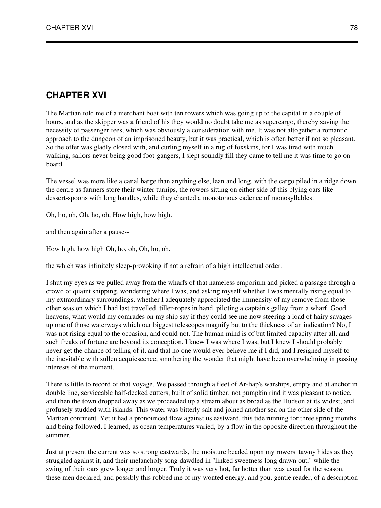The Martian told me of a merchant boat with ten rowers which was going up to the capital in a couple of hours, and as the skipper was a friend of his they would no doubt take me as supercargo, thereby saving the necessity of passenger fees, which was obviously a consideration with me. It was not altogether a romantic approach to the dungeon of an imprisoned beauty, but it was practical, which is often better if not so pleasant. So the offer was gladly closed with, and curling myself in a rug of foxskins, for I was tired with much walking, sailors never being good foot-gangers, I slept soundly fill they came to tell me it was time to go on board.

The vessel was more like a canal barge than anything else, lean and long, with the cargo piled in a ridge down the centre as farmers store their winter turnips, the rowers sitting on either side of this plying oars like dessert-spoons with long handles, while they chanted a monotonous cadence of monosyllables:

Oh, ho, oh, Oh, ho, oh, How high, how high.

and then again after a pause--

How high, how high Oh, ho, oh, Oh, ho, oh.

the which was infinitely sleep-provoking if not a refrain of a high intellectual order.

I shut my eyes as we pulled away from the wharfs of that nameless emporium and picked a passage through a crowd of quaint shipping, wondering where I was, and asking myself whether I was mentally rising equal to my extraordinary surroundings, whether I adequately appreciated the immensity of my remove from those other seas on which I had last travelled, tiller-ropes in hand, piloting a captain's galley from a wharf. Good heavens, what would my comrades on my ship say if they could see me now steering a load of hairy savages up one of those waterways which our biggest telescopes magnify but to the thickness of an indication? No, I was not rising equal to the occasion, and could not. The human mind is of but limited capacity after all, and such freaks of fortune are beyond its conception. I knew I was where I was, but I knew I should probably never get the chance of telling of it, and that no one would ever believe me if I did, and I resigned myself to the inevitable with sullen acquiescence, smothering the wonder that might have been overwhelming in passing interests of the moment.

There is little to record of that voyage. We passed through a fleet of Ar-hap's warships, empty and at anchor in double line, serviceable half-decked cutters, built of solid timber, not pumpkin rind it was pleasant to notice, and then the town dropped away as we proceeded up a stream about as broad as the Hudson at its widest, and profusely studded with islands. This water was bitterly salt and joined another sea on the other side of the Martian continent. Yet it had a pronounced flow against us eastward, this tide running for three spring months and being followed, I learned, as ocean temperatures varied, by a flow in the opposite direction throughout the summer.

Just at present the current was so strong eastwards, the moisture beaded upon my rowers' tawny hides as they struggled against it, and their melancholy song dawdled in "linked sweetness long drawn out," while the swing of their oars grew longer and longer. Truly it was very hot, far hotter than was usual for the season, these men declared, and possibly this robbed me of my wonted energy, and you, gentle reader, of a description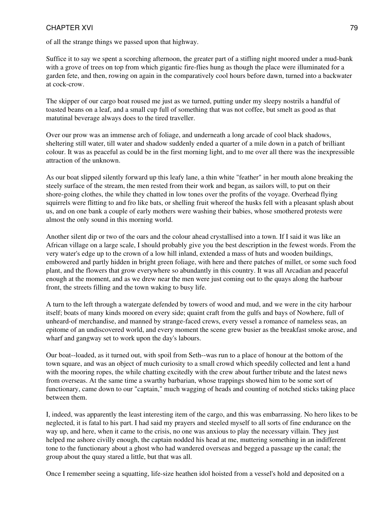of all the strange things we passed upon that highway.

Suffice it to say we spent a scorching afternoon, the greater part of a stifling night moored under a mud-bank with a grove of trees on top from which gigantic fire-flies hung as though the place were illuminated for a garden fete, and then, rowing on again in the comparatively cool hours before dawn, turned into a backwater at cock-crow.

The skipper of our cargo boat roused me just as we turned, putting under my sleepy nostrils a handful of toasted beans on a leaf, and a small cup full of something that was not coffee, but smelt as good as that matutinal beverage always does to the tired traveller.

Over our prow was an immense arch of foliage, and underneath a long arcade of cool black shadows, sheltering still water, till water and shadow suddenly ended a quarter of a mile down in a patch of brilliant colour. It was as peaceful as could be in the first morning light, and to me over all there was the inexpressible attraction of the unknown.

As our boat slipped silently forward up this leafy lane, a thin white "feather" in her mouth alone breaking the steely surface of the stream, the men rested from their work and began, as sailors will, to put on their shore-going clothes, the while they chatted in low tones over the profits of the voyage. Overhead flying squirrels were flitting to and fro like bats, or shelling fruit whereof the husks fell with a pleasant splash about us, and on one bank a couple of early mothers were washing their babies, whose smothered protests were almost the only sound in this morning world.

Another silent dip or two of the oars and the colour ahead crystallised into a town. If I said it was like an African village on a large scale, I should probably give you the best description in the fewest words. From the very water's edge up to the crown of a low hill inland, extended a mass of huts and wooden buildings, embowered and partly hidden in bright green foliage, with here and there patches of millet, or some such food plant, and the flowers that grow everywhere so abundantly in this country. It was all Arcadian and peaceful enough at the moment, and as we drew near the men were just coming out to the quays along the harbour front, the streets filling and the town waking to busy life.

A turn to the left through a watergate defended by towers of wood and mud, and we were in the city harbour itself; boats of many kinds moored on every side; quaint craft from the gulfs and bays of Nowhere, full of unheard-of merchandise, and manned by strange-faced crews, every vessel a romance of nameless seas, an epitome of an undiscovered world, and every moment the scene grew busier as the breakfast smoke arose, and wharf and gangway set to work upon the day's labours.

Our boat--loaded, as it turned out, with spoil from Seth--was run to a place of honour at the bottom of the town square, and was an object of much curiosity to a small crowd which speedily collected and lent a hand with the mooring ropes, the while chatting excitedly with the crew about further tribute and the latest news from overseas. At the same time a swarthy barbarian, whose trappings showed him to be some sort of functionary, came down to our "captain," much wagging of heads and counting of notched sticks taking place between them.

I, indeed, was apparently the least interesting item of the cargo, and this was embarrassing. No hero likes to be neglected, it is fatal to his part. I had said my prayers and steeled myself to all sorts of fine endurance on the way up, and here, when it came to the crisis, no one was anxious to play the necessary villain. They just helped me ashore civilly enough, the captain nodded his head at me, muttering something in an indifferent tone to the functionary about a ghost who had wandered overseas and begged a passage up the canal; the group about the quay stared a little, but that was all.

Once I remember seeing a squatting, life-size heathen idol hoisted from a vessel's hold and deposited on a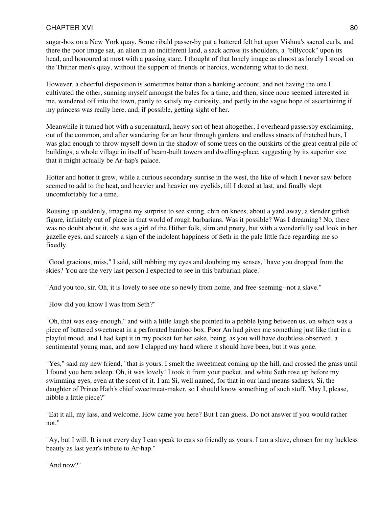sugar-box on a New York quay. Some ribald passer-by put a battered felt hat upon Vishnu's sacred curls, and there the poor image sat, an alien in an indifferent land, a sack across its shoulders, a "billycock" upon its head, and honoured at most with a passing stare. I thought of that lonely image as almost as lonely I stood on the Thither men's quay, without the support of friends or heroics, wondering what to do next.

However, a cheerful disposition is sometimes better than a banking account, and not having the one I cultivated the other, sunning myself amongst the bales for a time, and then, since none seemed interested in me, wandered off into the town, partly to satisfy my curiosity, and partly in the vague hope of ascertaining if my princess was really here, and, if possible, getting sight of her.

Meanwhile it turned hot with a supernatural, heavy sort of heat altogether, I overheard passersby exclaiming, out of the common, and after wandering for an hour through gardens and endless streets of thatched huts, I was glad enough to throw myself down in the shadow of some trees on the outskirts of the great central pile of buildings, a whole village in itself of beam-built towers and dwelling-place, suggesting by its superior size that it might actually be Ar-hap's palace.

Hotter and hotter it grew, while a curious secondary sunrise in the west, the like of which I never saw before seemed to add to the heat, and heavier and heavier my eyelids, till I dozed at last, and finally slept uncomfortably for a time.

Rousing up suddenly, imagine my surprise to see sitting, chin on knees, about a yard away, a slender girlish figure, infinitely out of place in that world of rough barbarians. Was it possible? Was I dreaming? No, there was no doubt about it, she was a girl of the Hither folk, slim and pretty, but with a wonderfully sad look in her gazelle eyes, and scarcely a sign of the indolent happiness of Seth in the pale little face regarding me so fixedly.

"Good gracious, miss," I said, still rubbing my eyes and doubting my senses, "have you dropped from the skies? You are the very last person I expected to see in this barbarian place."

"And you too, sir. Oh, it is lovely to see one so newly from home, and free-seeming--not a slave."

"How did you know I was from Seth?"

"Oh, that was easy enough," and with a little laugh she pointed to a pebble lying between us, on which was a piece of battered sweetmeat in a perforated bamboo box. Poor An had given me something just like that in a playful mood, and I had kept it in my pocket for her sake, being, as you will have doubtless observed, a sentimental young man, and now I clapped my hand where it should have been, but it was gone.

"Yes," said my new friend, "that is yours. I smelt the sweetmeat coming up the hill, and crossed the grass until I found you here asleep. Oh, it was lovely! I took it from your pocket, and white Seth rose up before my swimming eyes, even at the scent of it. I am Si, well named, for that in our land means sadness, Si, the daughter of Prince Hath's chief sweetmeat-maker, so I should know something of such stuff. May I, please, nibble a little piece?"

"Eat it all, my lass, and welcome. How came you here? But I can guess. Do not answer if you would rather not."

"Ay, but I will. It is not every day I can speak to ears so friendly as yours. I am a slave, chosen for my luckless beauty as last year's tribute to Ar-hap."

"And now?"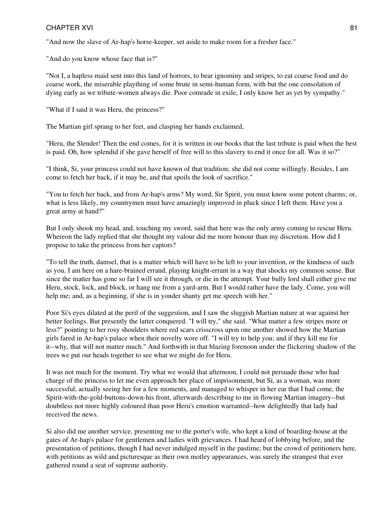"And now the slave of Ar-hap's horse-keeper, set aside to make room for a fresher face."

"And do you know whose face that is?"

"Not I, a hapless maid sent into this land of horrors, to bear ignominy and stripes, to eat coarse food and do coarse work, the miserable plaything of some brute in semi-human form, with but the one consolation of dying early as we tribute-women always die. Poor comrade in exile, I only know her as yet by sympathy."

"What if I said it was Heru, the princess?"

The Martian girl sprang to her feet, and clasping her hands exclaimed,

"Heru, the Slender! Then the end comes, for it is written in our books that the last tribute is paid when the best is paid. Oh, how splendid if she gave herself of free will to this slavery to end it once for all. Was it so?"

"I think, Si, your princess could not have known of that tradition; she did not come willingly. Besides, I am come to fetch her back, if it may be, and that spoils the look of sacrifice."

"You to fetch her back, and from Ar-hap's arms? My word, Sir Spirit, you must know some potent charms; or, what is less likely, my countrymen must have amazingly improved in pluck since I left them. Have you a great army at hand?"

But I only shook my head, and, touching my sword, said that here was the only army coming to rescue Heru. Whereon the lady replied that she thought my valour did me more honour than my discretion. How did I propose to take the princess from her captors?

"To tell the truth, damsel, that is a matter which will have to be left to your invention, or the kindness of such as you. I am here on a hare-brained errand, playing knight-errant in a way that shocks my common sense. But since the matter has gone so far I will see it through, or die in the attempt. Your bully lord shall either give me Heru, stock, lock, and block, or hang me from a yard-arm. But I would rather have the lady. Come, you will help me; and, as a beginning, if she is in yonder shanty get me speech with her."

Poor Si's eyes dilated at the peril of the suggestion, and I saw the sluggish Martian nature at war against her better feelings. But presently the latter conquered. "I will try," she said. "What matter a few stripes more or less?" pointing to her rosy shoulders where red scars crisscross upon one another showed how the Martian girls fared in Ar-hap's palace when their novelty wore off. "I will try to help you; and if they kill me for it--why, that will not matter much." And forthwith in that blazing forenoon under the flickering shadow of the trees we put our heads together to see what we might do for Heru.

It was not much for the moment. Try what we would that afternoon, I could not persuade those who had charge of the princess to let me even approach her place of imprisonment, but Si, as a woman, was more successful, actually seeing her for a few moments, and managed to whisper in her ear that I had come, the Spirit-with-the-gold-buttons-down-his front, afterwards describing to me in flowing Martian imagery--but doubtless not more highly coloured than poor Heru's emotion warranted--how delightedly that lady had received the news.

Si also did me another service, presenting me to the porter's wife, who kept a kind of boarding-house at the gates of Ar-hap's palace for gentlemen and ladies with grievances. I had heard of lobbying before, and the presentation of petitions, though I had never indulged myself in the pastime; but the crowd of petitioners here, with petitions as wild and picturesque as their own motley appearances, was surely the strangest that ever gathered round a seat of supreme authority.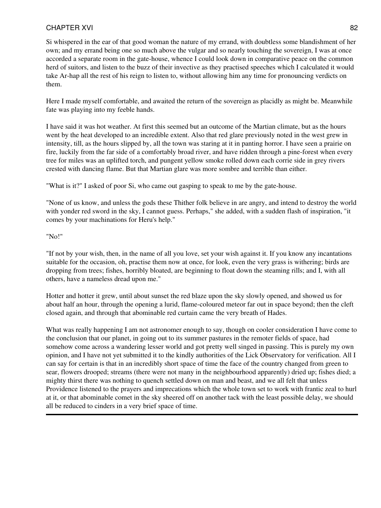Si whispered in the ear of that good woman the nature of my errand, with doubtless some blandishment of her own; and my errand being one so much above the vulgar and so nearly touching the sovereign, I was at once accorded a separate room in the gate-house, whence I could look down in comparative peace on the common herd of suitors, and listen to the buzz of their invective as they practised speeches which I calculated it would take Ar-hap all the rest of his reign to listen to, without allowing him any time for pronouncing verdicts on them.

Here I made myself comfortable, and awaited the return of the sovereign as placidly as might be. Meanwhile fate was playing into my feeble hands.

I have said it was hot weather. At first this seemed but an outcome of the Martian climate, but as the hours went by the heat developed to an incredible extent. Also that red glare previously noted in the west grew in intensity, till, as the hours slipped by, all the town was staring at it in panting horror. I have seen a prairie on fire, luckily from the far side of a comfortably broad river, and have ridden through a pine-forest when every tree for miles was an uplifted torch, and pungent yellow smoke rolled down each corrie side in grey rivers crested with dancing flame. But that Martian glare was more sombre and terrible than either.

"What is it?" I asked of poor Si, who came out gasping to speak to me by the gate-house.

"None of us know, and unless the gods these Thither folk believe in are angry, and intend to destroy the world with yonder red sword in the sky, I cannot guess. Perhaps," she added, with a sudden flash of inspiration, "it comes by your machinations for Heru's help."

"No!"

"If not by your wish, then, in the name of all you love, set your wish against it. If you know any incantations suitable for the occasion, oh, practise them now at once, for look, even the very grass is withering; birds are dropping from trees; fishes, horribly bloated, are beginning to float down the steaming rills; and I, with all others, have a nameless dread upon me."

Hotter and hotter it grew, until about sunset the red blaze upon the sky slowly opened, and showed us for about half an hour, through the opening a lurid, flame-coloured meteor far out in space beyond; then the cleft closed again, and through that abominable red curtain came the very breath of Hades.

What was really happening I am not astronomer enough to say, though on cooler consideration I have come to the conclusion that our planet, in going out to its summer pastures in the remoter fields of space, had somehow come across a wandering lesser world and got pretty well singed in passing. This is purely my own opinion, and I have not yet submitted it to the kindly authorities of the Lick Observatory for verification. All I can say for certain is that in an incredibly short space of time the face of the country changed from green to sear, flowers drooped; streams (there were not many in the neighbourhood apparently) dried up; fishes died; a mighty thirst there was nothing to quench settled down on man and beast, and we all felt that unless Providence listened to the prayers and imprecations which the whole town set to work with frantic zeal to hurl at it, or that abominable comet in the sky sheered off on another tack with the least possible delay, we should all be reduced to cinders in a very brief space of time.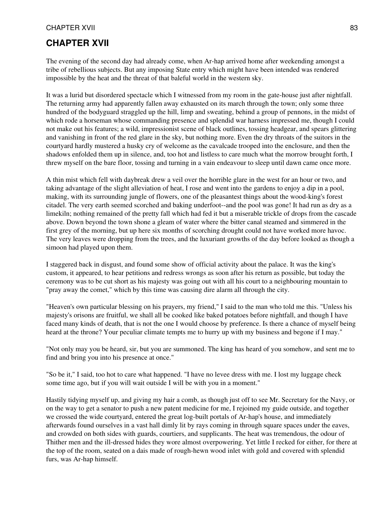# **CHAPTER XVII**

The evening of the second day had already come, when Ar-hap arrived home after weekending amongst a tribe of rebellious subjects. But any imposing State entry which might have been intended was rendered impossible by the heat and the threat of that baleful world in the western sky.

It was a lurid but disordered spectacle which I witnessed from my room in the gate-house just after nightfall. The returning army had apparently fallen away exhausted on its march through the town; only some three hundred of the bodyguard straggled up the hill, limp and sweating, behind a group of pennons, in the midst of which rode a horseman whose commanding presence and splendid war harness impressed me, though I could not make out his features; a wild, impressionist scene of black outlines, tossing headgear, and spears glittering and vanishing in front of the red glare in the sky, but nothing more. Even the dry throats of the suitors in the courtyard hardly mustered a husky cry of welcome as the cavalcade trooped into the enclosure, and then the shadows enfolded them up in silence, and, too hot and listless to care much what the morrow brought forth, I threw myself on the bare floor, tossing and turning in a vain endeavour to sleep until dawn came once more.

A thin mist which fell with daybreak drew a veil over the horrible glare in the west for an hour or two, and taking advantage of the slight alleviation of heat, I rose and went into the gardens to enjoy a dip in a pool, making, with its surrounding jungle of flowers, one of the pleasantest things about the wood-king's forest citadel. The very earth seemed scorched and baking underfoot--and the pool was gone! It had run as dry as a limekiln; nothing remained of the pretty fall which had fed it but a miserable trickle of drops from the cascade above. Down beyond the town shone a gleam of water where the bitter canal steamed and simmered in the first grey of the morning, but up here six months of scorching drought could not have worked more havoc. The very leaves were dropping from the trees, and the luxuriant growths of the day before looked as though a simoon had played upon them.

I staggered back in disgust, and found some show of official activity about the palace. It was the king's custom, it appeared, to hear petitions and redress wrongs as soon after his return as possible, but today the ceremony was to be cut short as his majesty was going out with all his court to a neighbouring mountain to "pray away the comet," which by this time was causing dire alarm all through the city.

"Heaven's own particular blessing on his prayers, my friend," I said to the man who told me this. "Unless his majesty's orisons are fruitful, we shall all be cooked like baked potatoes before nightfall, and though I have faced many kinds of death, that is not the one I would choose by preference. Is there a chance of myself being heard at the throne? Your peculiar climate tempts me to hurry up with my business and begone if I may."

"Not only may you be heard, sir, but you are summoned. The king has heard of you somehow, and sent me to find and bring you into his presence at once."

"So be it," I said, too hot to care what happened. "I have no levee dress with me. I lost my luggage check some time ago, but if you will wait outside I will be with you in a moment."

Hastily tidying myself up, and giving my hair a comb, as though just off to see Mr. Secretary for the Navy, or on the way to get a senator to push a new patent medicine for me, I rejoined my guide outside, and together we crossed the wide courtyard, entered the great log-built portals of Ar-hap's house, and immediately afterwards found ourselves in a vast hall dimly lit by rays coming in through square spaces under the eaves, and crowded on both sides with guards, courtiers, and supplicants. The heat was tremendous, the odour of Thither men and the ill-dressed hides they wore almost overpowering. Yet little I recked for either, for there at the top of the room, seated on a dais made of rough-hewn wood inlet with gold and covered with splendid furs, was Ar-hap himself.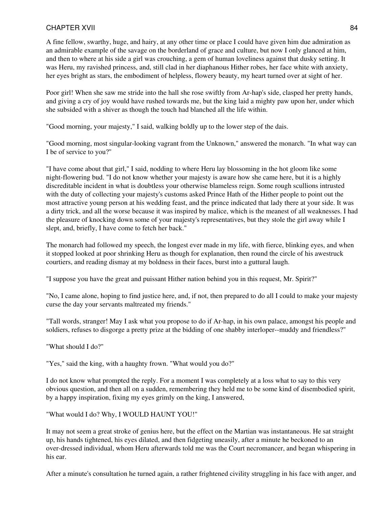A fine fellow, swarthy, huge, and hairy, at any other time or place I could have given him due admiration as an admirable example of the savage on the borderland of grace and culture, but now I only glanced at him, and then to where at his side a girl was crouching, a gem of human loveliness against that dusky setting. It was Heru, my ravished princess, and, still clad in her diaphanous Hither robes, her face white with anxiety, her eyes bright as stars, the embodiment of helpless, flowery beauty, my heart turned over at sight of her.

Poor girl! When she saw me stride into the hall she rose swiftly from Ar-hap's side, clasped her pretty hands, and giving a cry of joy would have rushed towards me, but the king laid a mighty paw upon her, under which she subsided with a shiver as though the touch had blanched all the life within.

"Good morning, your majesty," I said, walking boldly up to the lower step of the dais.

"Good morning, most singular-looking vagrant from the Unknown," answered the monarch. "In what way can I be of service to you?''

"I have come about that girl," I said, nodding to where Heru lay blossoming in the hot gloom like some night-flowering bud. "I do not know whether your majesty is aware how she came here, but it is a highly discreditable incident in what is doubtless your otherwise blameless reign. Some rough scullions intrusted with the duty of collecting your majesty's customs asked Prince Hath of the Hither people to point out the most attractive young person at his wedding feast, and the prince indicated that lady there at your side. It was a dirty trick, and all the worse because it was inspired by malice, which is the meanest of all weaknesses. I had the pleasure of knocking down some of your majesty's representatives, but they stole the girl away while I slept, and, briefly, I have come to fetch her back."

The monarch had followed my speech, the longest ever made in my life, with fierce, blinking eyes, and when it stopped looked at poor shrinking Heru as though for explanation, then round the circle of his awestruck courtiers, and reading dismay at my boldness in their faces, burst into a guttural laugh.

"I suppose you have the great and puissant Hither nation behind you in this request, Mr. Spirit?"

"No, I came alone, hoping to find justice here, and, if not, then prepared to do all I could to make your majesty curse the day your servants maltreated my friends."

"Tall words, stranger! May I ask what you propose to do if Ar-hap, in his own palace, amongst his people and soldiers, refuses to disgorge a pretty prize at the bidding of one shabby interloper--muddy and friendless?"

"What should I do?"

"Yes," said the king, with a haughty frown. "What would you do?"

I do not know what prompted the reply. For a moment I was completely at a loss what to say to this very obvious question, and then all on a sudden, remembering they held me to be some kind of disembodied spirit, by a happy inspiration, fixing my eyes grimly on the king, I answered,

"What would I do? Why, I WOULD HAUNT YOU!"

It may not seem a great stroke of genius here, but the effect on the Martian was instantaneous. He sat straight up, his hands tightened, his eyes dilated, and then fidgeting uneasily, after a minute he beckoned to an over-dressed individual, whom Heru afterwards told me was the Court necromancer, and began whispering in his ear.

After a minute's consultation he turned again, a rather frightened civility struggling in his face with anger, and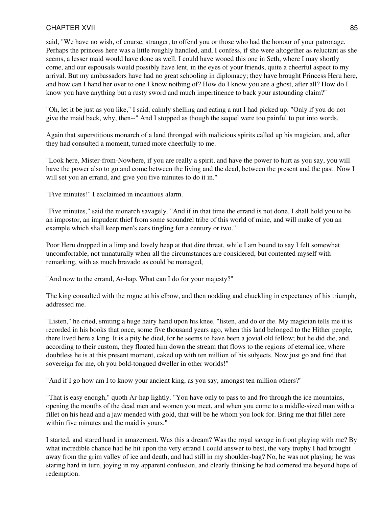said, "We have no wish, of course, stranger, to offend you or those who had the honour of your patronage. Perhaps the princess here was a little roughly handled, and, I confess, if she were altogether as reluctant as she seems, a lesser maid would have done as well. I could have wooed this one in Seth, where I may shortly come, and our espousals would possibly have lent, in the eyes of your friends, quite a cheerful aspect to my arrival. But my ambassadors have had no great schooling in diplomacy; they have brought Princess Heru here, and how can I hand her over to one I know nothing of? How do I know you are a ghost, after all? How do I know you have anything but a rusty sword and much impertinence to back your astounding claim?"

"Oh, let it be just as you like," I said, calmly shelling and eating a nut I had picked up. "Only if you do not give the maid back, why, then--" And I stopped as though the sequel were too painful to put into words.

Again that superstitious monarch of a land thronged with malicious spirits called up his magician, and, after they had consulted a moment, turned more cheerfully to me.

"Look here, Mister-from-Nowhere, if you are really a spirit, and have the power to hurt as you say, you will have the power also to go and come between the living and the dead, between the present and the past. Now I will set you an errand, and give you five minutes to do it in."

"Five minutes!" I exclaimed in incautious alarm.

"Five minutes," said the monarch savagely. "And if in that time the errand is not done, I shall hold you to be an impostor, an impudent thief from some scoundrel tribe of this world of mine, and will make of you an example which shall keep men's ears tingling for a century or two."

Poor Heru dropped in a limp and lovely heap at that dire threat, while I am bound to say I felt somewhat uncomfortable, not unnaturally when all the circumstances are considered, but contented myself with remarking, with as much bravado as could be managed,

"And now to the errand, Ar-hap. What can I do for your majesty?"

The king consulted with the rogue at his elbow, and then nodding and chuckling in expectancy of his triumph, addressed me.

"Listen," he cried, smiting a huge hairy hand upon his knee, "listen, and do or die. My magician tells me it is recorded in his books that once, some five thousand years ago, when this land belonged to the Hither people, there lived here a king. It is a pity he died, for he seems to have been a jovial old fellow; but he did die, and, according to their custom, they floated him down the stream that flows to the regions of eternal ice, where doubtless he is at this present moment, caked up with ten million of his subjects. Now just go and find that sovereign for me, oh you bold-tongued dweller in other worlds!"

"And if I go how am I to know your ancient king, as you say, amongst ten million others?"

"That is easy enough," quoth Ar-hap lightly. "You have only to pass to and fro through the ice mountains, opening the mouths of the dead men and women you meet, and when you come to a middle-sized man with a fillet on his head and a jaw mended with gold, that will be he whom you look for. Bring me that fillet here within five minutes and the maid is yours."

I started, and stared hard in amazement. Was this a dream? Was the royal savage in front playing with me? By what incredible chance had he hit upon the very errand I could answer to best, the very trophy I had brought away from the grim valley of ice and death, and had still in my shoulder-bag? No, he was not playing; he was staring hard in turn, joying in my apparent confusion, and clearly thinking he had cornered me beyond hope of redemption.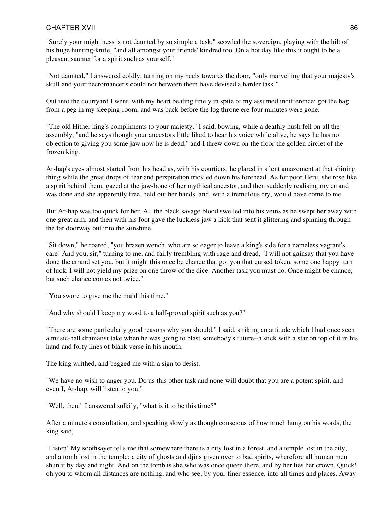"Surely your mightiness is not daunted by so simple a task," scowled the sovereign, playing with the hilt of his huge hunting-knife, "and all amongst your friends' kindred too. On a hot day like this it ought to be a pleasant saunter for a spirit such as yourself."

"Not daunted," I answered coldly, turning on my heels towards the door, "only marvelling that your majesty's skull and your necromancer's could not between them have devised a harder task."

Out into the courtyard I went, with my heart beating finely in spite of my assumed indifference; got the bag from a peg in my sleeping-room, and was back before the log throne ere four minutes were gone.

"The old Hither king's compliments to your majesty," I said, bowing, while a deathly hush fell on all the assembly, "and he says though your ancestors little liked to hear his voice while alive, he says he has no objection to giving you some jaw now he is dead," and I threw down on the floor the golden circlet of the frozen king.

Ar-hap's eyes almost started from his head as, with his courtiers, he glared in silent amazement at that shining thing while the great drops of fear and perspiration trickled down his forehead. As for poor Heru, she rose like a spirit behind them, gazed at the jaw-bone of her mythical ancestor, and then suddenly realising my errand was done and she apparently free, held out her hands, and, with a tremulous cry, would have come to me.

But Ar-hap was too quick for her. All the black savage blood swelled into his veins as he swept her away with one great arm, and then with his foot gave the luckless jaw a kick that sent it glittering and spinning through the far doorway out into the sunshine.

"Sit down," he roared, "you brazen wench, who are so eager to leave a king's side for a nameless vagrant's care! And you, sir," turning to me, and fairly trembling with rage and dread, "I will not gainsay that you have done the errand set you, but it might this once be chance that got you that cursed token, some one happy turn of luck. I will not yield my prize on one throw of the dice. Another task you must do. Once might be chance, but such chance comes not twice."

"You swore to give me the maid this time."

"And why should I keep my word to a half-proved spirit such as you?"

"There are some particularly good reasons why you should," I said, striking an attitude which I had once seen a music-hall dramatist take when he was going to blast somebody's future--a stick with a star on top of it in his hand and forty lines of blank verse in his mouth.

The king writhed, and begged me with a sign to desist.

"We have no wish to anger you. Do us this other task and none will doubt that you are a potent spirit, and even I, Ar-hap, will listen to you."

"Well, then," I answered sulkily, "what is it to be this time?"

After a minute's consultation, and speaking slowly as though conscious of how much hung on his words, the king said,

"Listen! My soothsayer tells me that somewhere there is a city lost in a forest, and a temple lost in the city, and a tomb lost in the temple; a city of ghosts and djins given over to bad spirits, wherefore all human men shun it by day and night. And on the tomb is she who was once queen there, and by her lies her crown. Quick! oh you to whom all distances are nothing, and who see, by your finer essence, into all times and places. Away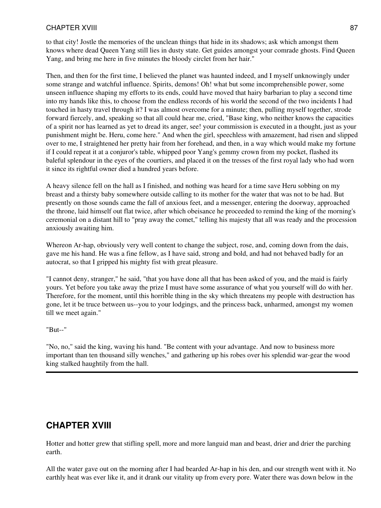to that city! Jostle the memories of the unclean things that hide in its shadows; ask which amongst them knows where dead Queen Yang still lies in dusty state. Get guides amongst your comrade ghosts. Find Queen Yang, and bring me here in five minutes the bloody circlet from her hair."

Then, and then for the first time, I believed the planet was haunted indeed, and I myself unknowingly under some strange and watchful influence. Spirits, demons! Oh! what but some incomprehensible power, some unseen influence shaping my efforts to its ends, could have moved that hairy barbarian to play a second time into my hands like this, to choose from the endless records of his world the second of the two incidents I had touched in hasty travel through it? I was almost overcome for a minute; then, pulling myself together, strode forward fiercely, and, speaking so that all could hear me, cried, "Base king, who neither knows the capacities of a spirit nor has learned as yet to dread its anger, see! your commission is executed in a thought, just as your punishment might be. Heru, come here." And when the girl, speechless with amazement, had risen and slipped over to me, I straightened her pretty hair from her forehead, and then, in a way which would make my fortune if I could repeat it at a conjuror's table, whipped poor Yang's gemmy crown from my pocket, flashed its baleful splendour in the eyes of the courtiers, and placed it on the tresses of the first royal lady who had worn it since its rightful owner died a hundred years before.

A heavy silence fell on the hall as I finished, and nothing was heard for a time save Heru sobbing on my breast and a thirsty baby somewhere outside calling to its mother for the water that was not to be had. But presently on those sounds came the fall of anxious feet, and a messenger, entering the doorway, approached the throne, laid himself out flat twice, after which obeisance he proceeded to remind the king of the morning's ceremonial on a distant hill to "pray away the comet," telling his majesty that all was ready and the procession anxiously awaiting him.

Whereon Ar-hap, obviously very well content to change the subject, rose, and, coming down from the dais, gave me his hand. He was a fine fellow, as I have said, strong and bold, and had not behaved badly for an autocrat, so that I gripped his mighty fist with great pleasure.

"I cannot deny, stranger," he said, "that you have done all that has been asked of you, and the maid is fairly yours. Yet before you take away the prize I must have some assurance of what you yourself will do with her. Therefore, for the moment, until this horrible thing in the sky which threatens my people with destruction has gone, let it be truce between us--you to your lodgings, and the princess back, unharmed, amongst my women till we meet again."

"But--"

"No, no," said the king, waving his hand. "Be content with your advantage. And now to business more important than ten thousand silly wenches," and gathering up his robes over his splendid war-gear the wood king stalked haughtily from the hall.

# **CHAPTER XVIII**

Hotter and hotter grew that stifling spell, more and more languid man and beast, drier and drier the parching earth.

All the water gave out on the morning after I had bearded Ar-hap in his den, and our strength went with it. No earthly heat was ever like it, and it drank our vitality up from every pore. Water there was down below in the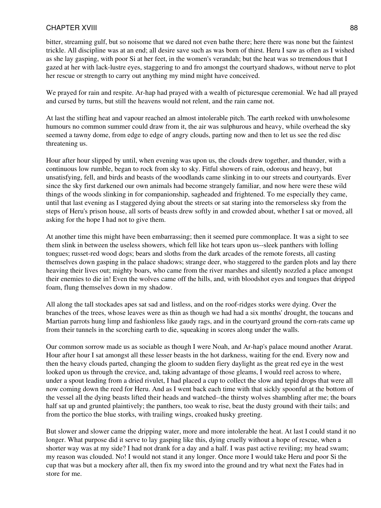bitter, streaming gulf, but so noisome that we dared not even bathe there; here there was none but the faintest trickle. All discipline was at an end; all desire save such as was born of thirst. Heru I saw as often as I wished as she lay gasping, with poor Si at her feet, in the women's verandah; but the heat was so tremendous that I gazed at her with lack-lustre eyes, staggering to and fro amongst the courtyard shadows, without nerve to plot her rescue or strength to carry out anything my mind might have conceived.

We prayed for rain and respite. Ar-hap had prayed with a wealth of picturesque ceremonial. We had all prayed and cursed by turns, but still the heavens would not relent, and the rain came not.

At last the stifling heat and vapour reached an almost intolerable pitch. The earth reeked with unwholesome humours no common summer could draw from it, the air was sulphurous and heavy, while overhead the sky seemed a tawny dome, from edge to edge of angry clouds, parting now and then to let us see the red disc threatening us.

Hour after hour slipped by until, when evening was upon us, the clouds drew together, and thunder, with a continuous low rumble, began to rock from sky to sky. Fitful showers of rain, odorous and heavy, but unsatisfying, fell, and birds and beasts of the woodlands came slinking in to our streets and courtyards. Ever since the sky first darkened our own animals had become strangely familiar, and now here were these wild things of the woods slinking in for companionship, sagheaded and frightened. To me especially they came, until that last evening as I staggered dying about the streets or sat staring into the remorseless sky from the steps of Heru's prison house, all sorts of beasts drew softly in and crowded about, whether I sat or moved, all asking for the hope I had not to give them.

At another time this might have been embarrassing; then it seemed pure commonplace. It was a sight to see them slink in between the useless showers, which fell like hot tears upon us--sleek panthers with lolling tongues; russet-red wood dogs; bears and sloths from the dark arcades of the remote forests, all casting themselves down gasping in the palace shadows; strange deer, who staggered to the garden plots and lay there heaving their lives out; mighty boars, who came from the river marshes and silently nozzled a place amongst their enemies to die in! Even the wolves came off the hills, and, with bloodshot eyes and tongues that dripped foam, flung themselves down in my shadow.

All along the tall stockades apes sat sad and listless, and on the roof-ridges storks were dying. Over the branches of the trees, whose leaves were as thin as though we had had a six months' drought, the toucans and Martian parrots hung limp and fashionless like gaudy rags, and in the courtyard ground the corn-rats came up from their tunnels in the scorching earth to die, squeaking in scores along under the walls.

Our common sorrow made us as sociable as though I were Noah, and Ar-hap's palace mound another Ararat. Hour after hour I sat amongst all these lesser beasts in the hot darkness, waiting for the end. Every now and then the heavy clouds parted, changing the gloom to sudden fiery daylight as the great red eye in the west looked upon us through the crevice, and, taking advantage of those gleams, I would reel across to where, under a spout leading from a dried rivulet, I had placed a cup to collect the slow and tepid drops that were all now coming down the reed for Heru. And as I went back each time with that sickly spoonful at the bottom of the vessel all the dying beasts lifted their heads and watched--the thirsty wolves shambling after me; the boars half sat up and grunted plaintively; the panthers, too weak to rise, beat the dusty ground with their tails; and from the portico the blue storks, with trailing wings, croaked husky greeting.

But slower and slower came the dripping water, more and more intolerable the heat. At last I could stand it no longer. What purpose did it serve to lay gasping like this, dying cruelly without a hope of rescue, when a shorter way was at my side? I had not drank for a day and a half. I was past active reviling; my head swam; my reason was clouded. No! I would not stand it any longer. Once more I would take Heru and poor Si the cup that was but a mockery after all, then fix my sword into the ground and try what next the Fates had in store for me.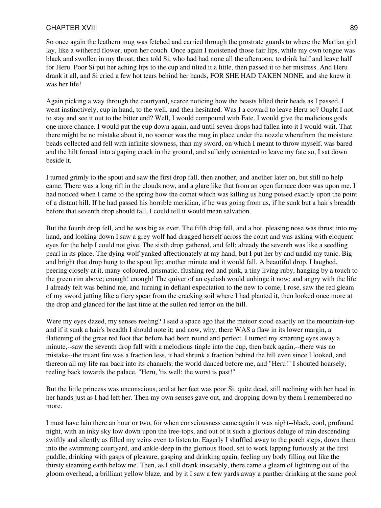So once again the leathern mug was fetched and carried through the prostrate guards to where the Martian girl lay, like a withered flower, upon her couch. Once again I moistened those fair lips, while my own tongue was black and swollen in my throat, then told Si, who had had none all the afternoon, to drink half and leave half for Heru. Poor Si put her aching lips to the cup and tilted it a little, then passed it to her mistress. And Heru drank it all, and Si cried a few hot tears behind her hands, FOR SHE HAD TAKEN NONE, and she knew it was her life!

Again picking a way through the courtyard, scarce noticing how the beasts lifted their heads as I passed, I went instinctively, cup in hand, to the well, and then hesitated. Was I a coward to leave Heru so? Ought I not to stay and see it out to the bitter end? Well, I would compound with Fate. I would give the malicious gods one more chance. I would put the cup down again, and until seven drops had fallen into it I would wait. That there might be no mistake about it, no sooner was the mug in place under the nozzle wherefrom the moisture beads collected and fell with infinite slowness, than my sword, on which I meant to throw myself, was bared and the hilt forced into a gaping crack in the ground, and sullenly contented to leave my fate so, I sat down beside it.

I turned grimly to the spout and saw the first drop fall, then another, and another later on, but still no help came. There was a long rift in the clouds now, and a glare like that from an open furnace door was upon me. I had noticed when I came to the spring how the comet which was killing us hung poised exactly upon the point of a distant hill. If he had passed his horrible meridian, if he was going from us, if he sunk but a hair's breadth before that seventh drop should fall, I could tell it would mean salvation.

But the fourth drop fell, and he was big as ever. The fifth drop fell, and a hot, pleasing nose was thrust into my hand, and looking down I saw a grey wolf had dragged herself across the court and was asking with eloquent eyes for the help I could not give. The sixth drop gathered, and fell; already the seventh was like a seedling pearl in its place. The dying wolf yanked affectionately at my hand, but I put her by and undid my tunic. Big and bright that drop hung to the spout lip; another minute and it would fall. A beautiful drop, I laughed, peering closely at it, many-coloured, prismatic, flushing red and pink, a tiny living ruby, hanging by a touch to the green rim above; enough! enough! The quiver of an eyelash would unhinge it now; and angry with the life I already felt was behind me, and turning in defiant expectation to the new to come, I rose, saw the red gleam of my sword jutting like a fiery spear from the cracking soil where I had planted it, then looked once more at the drop and glanced for the last time at the sullen red terror on the hill.

Were my eyes dazed, my senses reeling? I said a space ago that the meteor stood exactly on the mountain-top and if it sunk a hair's breadth I should note it; and now, why, there WAS a flaw in its lower margin, a flattening of the great red foot that before had been round and perfect. I turned my smarting eyes away a minute,--saw the seventh drop fall with a melodious tingle into the cup, then back again,--there was no mistake--the truant fire was a fraction less, it had shrunk a fraction behind the hill even since I looked, and thereon all my life ran back into its channels, the world danced before me, and "Heru!" I shouted hoarsely, reeling back towards the palace, "Heru, 'tis well; the worst is past!"

But the little princess was unconscious, and at her feet was poor Si, quite dead, still reclining with her head in her hands just as I had left her. Then my own senses gave out, and dropping down by them I remembered no more.

I must have lain there an hour or two, for when consciousness came again it was night--black, cool, profound night, with an inky sky low down upon the tree-tops, and out of it such a glorious deluge of rain descending swiftly and silently as filled my veins even to listen to. Eagerly I shuffled away to the porch steps, down them into the swimming courtyard, and ankle-deep in the glorious flood, set to work lapping furiously at the first puddle, drinking with gasps of pleasure, gasping and drinking again, feeling my body filling out like the thirsty steaming earth below me. Then, as I still drank insatiably, there came a gleam of lightning out of the gloom overhead, a brilliant yellow blaze, and by it I saw a few yards away a panther drinking at the same pool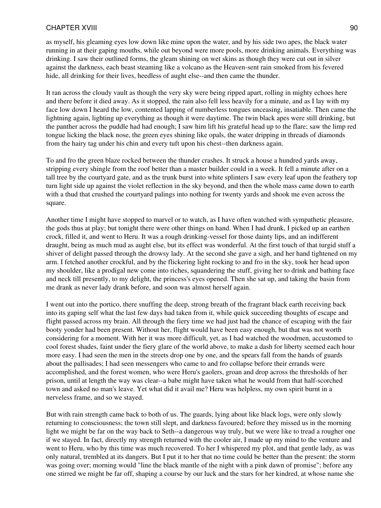as myself, his gleaming eyes low down like mine upon the water, and by his side two apes, the black water running in at their gaping mouths, while out beyond were more pools, more drinking animals. Everything was drinking. I saw their outlined forms, the gleam shining on wet skins as though they were cut out in silver against the darkness, each beast steaming like a volcano as the Heaven-sent rain smoked from his fevered hide, all drinking for their lives, heedless of aught else--and then came the thunder.

It ran across the cloudy vault as though the very sky were being ripped apart, rolling in mighty echoes here and there before it died away. As it stopped, the rain also fell less heavily for a minute, and as I lay with my face low down I heard the low, contented lapping of numberless tongues unceasing, insatiable. Then came the lightning again, lighting up everything as though it were daytime. The twin black apes were still drinking, but the panther across the puddle had had enough; I saw him lift his grateful head up to the flare; saw the limp red tongue licking the black nose, the green eyes shining like opals, the water dripping in threads of diamonds from the hairy tag under his chin and every tuft upon his chest--then darkness again.

To and fro the green blaze rocked between the thunder crashes. It struck a house a hundred yards away, stripping every shingle from the roof better than a master builder could in a week. It fell a minute after on a tall tree by the courtyard gate, and as the trunk burst into white splinters I saw every leaf upon the feathery top turn light side up against the violet reflection in the sky beyond, and then the whole mass came down to earth with a thud that crushed the courtyard palings into nothing for twenty yards and shook me even across the square.

Another time I might have stopped to marvel or to watch, as I have often watched with sympathetic pleasure, the gods thus at play; but tonight there were other things on hand. When I had drunk, I picked up an earthen crock, filled it, and went to Heru. It was a rough drinking-vessel for those dainty lips, and an indifferent draught, being as much mud as aught else, but its effect was wonderful. At the first touch of that turgid stuff a shiver of delight passed through the drowsy lady. At the second she gave a sigh, and her hand tightened on my arm. I fetched another crockful, and by the flickering light rocking to and fro in the sky, took her head upon my shoulder, like a prodigal new come into riches, squandering the stuff, giving her to drink and bathing face and neck till presently, to my delight, the princess's eyes opened. Then she sat up, and taking the basin from me drank as never lady drank before, and soon was almost herself again.

I went out into the portico, there snuffing the deep, strong breath of the fragrant black earth receiving back into its gaping self what the last few days had taken from it, while quick succeeding thoughts of escape and flight passed across my brain. All through the fiery time we had just had the chance of escaping with the fair booty yonder had been present. Without her, flight would have been easy enough, but that was not worth considering for a moment. With her it was more difficult, yet, as I had watched the woodmen, accustomed to cool forest shades, faint under the fiery glare of the world above, to make a dash for liberty seemed each hour more easy. I had seen the men in the streets drop one by one, and the spears fall from the hands of guards about the pallisades; I had seen messengers who came to and fro collapse before their errands were accomplished, and the forest women, who were Heru's gaolers, groan and drop across the thresholds of her prison, until at length the way was clear--a babe might have taken what he would from that half-scorched town and asked no man's leave. Yet what did it avail me? Heru was helpless, my own spirit burnt in a nerveless frame, and so we stayed.

But with rain strength came back to both of us. The guards, lying about like black logs, were only slowly returning to consciousness; the town still slept, and darkness favoured; before they missed us in the morning light we might be far on the way back to Seth--a dangerous way truly, but we were like to tread a rougher one if we stayed. In fact, directly my strength returned with the cooler air, I made up my mind to the venture and went to Heru, who by this time was much recovered. To her I whispered my plot, and that gentle lady, as was only natural, trembled at its dangers. But I put it to her that no time could be better than the present: the storm was going over; morning would "line the black mantle of the night with a pink dawn of promise"; before any one stirred we might be far off, shaping a course by our luck and the stars for her kindred, at whose name she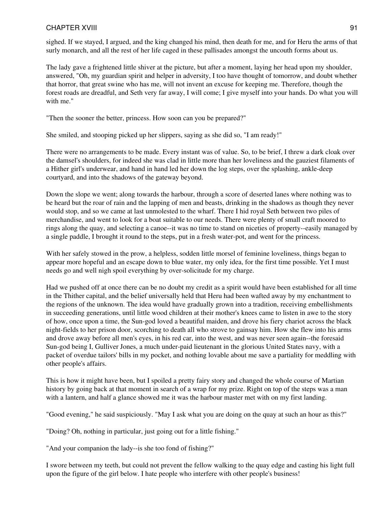sighed. If we stayed, I argued, and the king changed his mind, then death for me, and for Heru the arms of that surly monarch, and all the rest of her life caged in these pallisades amongst the uncouth forms about us.

The lady gave a frightened little shiver at the picture, but after a moment, laying her head upon my shoulder, answered, "Oh, my guardian spirit and helper in adversity, I too have thought of tomorrow, and doubt whether that horror, that great swine who has me, will not invent an excuse for keeping me. Therefore, though the forest roads are dreadful, and Seth very far away, I will come; I give myself into your hands. Do what you will with me."

"Then the sooner the better, princess. How soon can you be prepared?"

She smiled, and stooping picked up her slippers, saying as she did so, "I am ready!"

There were no arrangements to be made. Every instant was of value. So, to be brief, I threw a dark cloak over the damsel's shoulders, for indeed she was clad in little more than her loveliness and the gauziest filaments of a Hither girl's underwear, and hand in hand led her down the log steps, over the splashing, ankle-deep courtyard, and into the shadows of the gateway beyond.

Down the slope we went; along towards the harbour, through a score of deserted lanes where nothing was to be heard but the roar of rain and the lapping of men and beasts, drinking in the shadows as though they never would stop, and so we came at last unmolested to the wharf. There I hid royal Seth between two piles of merchandise, and went to look for a boat suitable to our needs. There were plenty of small craft moored to rings along the quay, and selecting a canoe--it was no time to stand on niceties of property--easily managed by a single paddle, I brought it round to the steps, put in a fresh water-pot, and went for the princess.

With her safely stowed in the prow, a helpless, sodden little morsel of feminine loveliness, things began to appear more hopeful and an escape down to blue water, my only idea, for the first time possible. Yet I must needs go and well nigh spoil everything by over-solicitude for my charge.

Had we pushed off at once there can be no doubt my credit as a spirit would have been established for all time in the Thither capital, and the belief universally held that Heru had been wafted away by my enchantment to the regions of the unknown. The idea would have gradually grown into a tradition, receiving embellishments in succeeding generations, until little wood children at their mother's knees came to listen in awe to the story of how, once upon a time, the Sun-god loved a beautiful maiden, and drove his fiery chariot across the black night-fields to her prison door, scorching to death all who strove to gainsay him. How she flew into his arms and drove away before all men's eyes, in his red car, into the west, and was never seen again--the foresaid Sun-god being I, Gulliver Jones, a much under-paid lieutenant in the glorious United States navy, with a packet of overdue tailors' bills in my pocket, and nothing lovable about me save a partiality for meddling with other people's affairs.

This is how it might have been, but I spoiled a pretty fairy story and changed the whole course of Martian history by going back at that moment in search of a wrap for my prize. Right on top of the steps was a man with a lantern, and half a glance showed me it was the harbour master met with on my first landing.

"Good evening," he said suspiciously. "May I ask what you are doing on the quay at such an hour as this?"

"Doing? Oh, nothing in particular, just going out for a little fishing."

"And your companion the lady--is she too fond of fishing?"

I swore between my teeth, but could not prevent the fellow walking to the quay edge and casting his light full upon the figure of the girl below. I hate people who interfere with other people's business!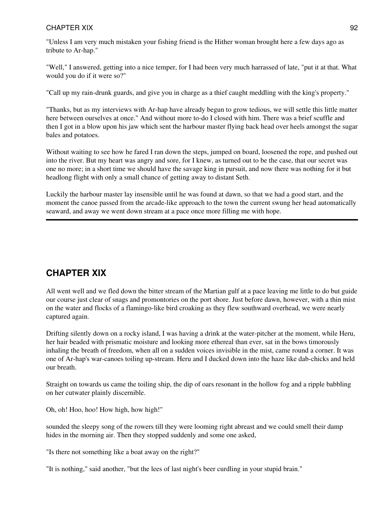"Unless I am very much mistaken your fishing friend is the Hither woman brought here a few days ago as tribute to Ar-hap."

"Well," I answered, getting into a nice temper, for I had been very much harrassed of late, "put it at that. What would you do if it were so?"

"Call up my rain-drunk guards, and give you in charge as a thief caught meddling with the king's property."

"Thanks, but as my interviews with Ar-hap have already begun to grow tedious, we will settle this little matter here between ourselves at once." And without more to-do I closed with him. There was a brief scuffle and then I got in a blow upon his jaw which sent the harbour master flying back head over heels amongst the sugar bales and potatoes.

Without waiting to see how he fared I ran down the steps, jumped on board, loosened the rope, and pushed out into the river. But my heart was angry and sore, for I knew, as turned out to be the case, that our secret was one no more; in a short time we should have the savage king in pursuit, and now there was nothing for it but headlong flight with only a small chance of getting away to distant Seth.

Luckily the harbour master lay insensible until he was found at dawn, so that we had a good start, and the moment the canoe passed from the arcade-like approach to the town the current swung her head automatically seaward, and away we went down stream at a pace once more filling me with hope.

# **CHAPTER XIX**

All went well and we fled down the bitter stream of the Martian gulf at a pace leaving me little to do but guide our course just clear of snags and promontories on the port shore. Just before dawn, however, with a thin mist on the water and flocks of a flamingo-like bird croaking as they flew southward overhead, we were nearly captured again.

Drifting silently down on a rocky island, I was having a drink at the water-pitcher at the moment, while Heru, her hair beaded with prismatic moisture and looking more ethereal than ever, sat in the bows timorously inhaling the breath of freedom, when all on a sudden voices invisible in the mist, came round a corner. It was one of Ar-hap's war-canoes toiling up-stream. Heru and I ducked down into the haze like dab-chicks and held our breath.

Straight on towards us came the toiling ship, the dip of oars resonant in the hollow fog and a ripple babbling on her cutwater plainly discernible.

Oh, oh! Hoo, hoo! How high, how high!"

sounded the sleepy song of the rowers till they were looming right abreast and we could smell their damp hides in the morning air. Then they stopped suddenly and some one asked,

"Is there not something like a boat away on the right?"

"It is nothing," said another, "but the lees of last night's beer curdling in your stupid brain."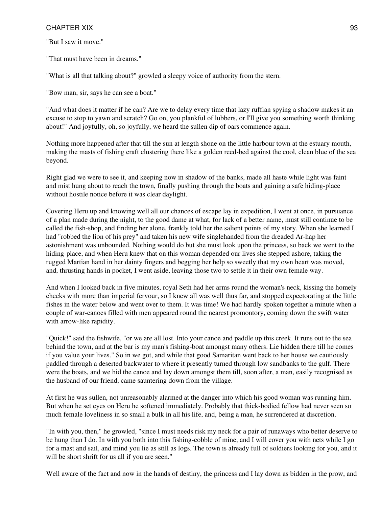"But I saw it move."

"That must have been in dreams."

"What is all that talking about?" growled a sleepy voice of authority from the stern.

"Bow man, sir, says he can see a boat."

"And what does it matter if he can? Are we to delay every time that lazy ruffian spying a shadow makes it an excuse to stop to yawn and scratch? Go on, you plankful of lubbers, or I'll give you something worth thinking about!" And joyfully, oh, so joyfully, we heard the sullen dip of oars commence again.

Nothing more happened after that till the sun at length shone on the little harbour town at the estuary mouth, making the masts of fishing craft clustering there like a golden reed-bed against the cool, clean blue of the sea beyond.

Right glad we were to see it, and keeping now in shadow of the banks, made all haste while light was faint and mist hung about to reach the town, finally pushing through the boats and gaining a safe hiding-place without hostile notice before it was clear daylight.

Covering Heru up and knowing well all our chances of escape lay in expedition, I went at once, in pursuance of a plan made during the night, to the good dame at what, for lack of a better name, must still continue to be called the fish-shop, and finding her alone, frankly told her the salient points of my story. When she learned I had "robbed the lion of his prey" and taken his new wife singlehanded from the dreaded Ar-hap her astonishment was unbounded. Nothing would do but she must look upon the princess, so back we went to the hiding-place, and when Heru knew that on this woman depended our lives she stepped ashore, taking the rugged Martian hand in her dainty fingers and begging her help so sweetly that my own heart was moved, and, thrusting hands in pocket, I went aside, leaving those two to settle it in their own female way.

And when I looked back in five minutes, royal Seth had her arms round the woman's neck, kissing the homely cheeks with more than imperial fervour, so I knew all was well thus far, and stopped expectorating at the little fishes in the water below and went over to them. It was time! We had hardly spoken together a minute when a couple of war-canoes filled with men appeared round the nearest promontory, coming down the swift water with arrow-like rapidity.

"Quick!" said the fishwife, "or we are all lost. Into your canoe and paddle up this creek. It runs out to the sea behind the town, and at the bar is my man's fishing-boat amongst many others. Lie hidden there till he comes if you value your lives." So in we got, and while that good Samaritan went back to her house we cautiously paddled through a deserted backwater to where it presently turned through low sandbanks to the gulf. There were the boats, and we hid the canoe and lay down amongst them till, soon after, a man, easily recognised as the husband of our friend, came sauntering down from the village.

At first he was sullen, not unreasonably alarmed at the danger into which his good woman was running him. But when he set eyes on Heru he softened immediately. Probably that thick-bodied fellow had never seen so much female loveliness in so small a bulk in all his life, and, being a man, he surrendered at discretion.

"In with you, then," he growled, "since I must needs risk my neck for a pair of runaways who better deserve to be hung than I do. In with you both into this fishing-cobble of mine, and I will cover you with nets while I go for a mast and sail, and mind you lie as still as logs. The town is already full of soldiers looking for you, and it will be short shrift for us all if you are seen."

Well aware of the fact and now in the hands of destiny, the princess and I lay down as bidden in the prow, and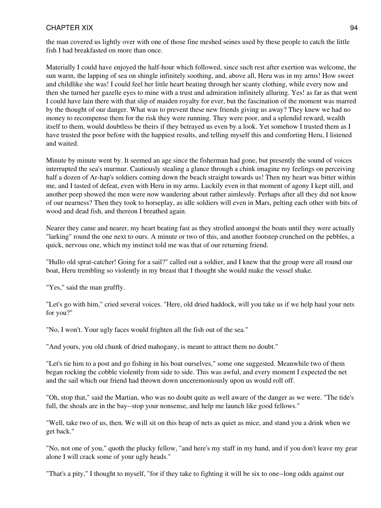the man covered us lightly over with one of those fine meshed seines used by these people to catch the little fish I had breakfasted on more than once.

Materially I could have enjoyed the half-hour which followed, since such rest after exertion was welcome, the sun warm, the lapping of sea on shingle infinitely soothing, and, above all, Heru was in my arms! How sweet and childlike she was! I could feel her little heart beating through her scanty clothing, while every now and then she turned her gazelle eyes to mine with a trust and admiration infinitely alluring. Yes! as far as that went I could have lain there with that slip of maiden royalty for ever, but the fascination of the moment was marred by the thought of our danger. What was to prevent these new friends giving us away? They knew we had no money to recompense them for the risk they were running. They were poor, and a splendid reward, wealth itself to them, would doubtless be theirs if they betrayed us even by a look. Yet somehow I trusted them as I have trusted the poor before with the happiest results, and telling myself this and comforting Heru, I listened and waited.

Minute by minute went by. It seemed an age since the fisherman had gone, but presently the sound of voices interrupted the sea's murmur. Cautiously stealing a glance through a chink imagine my feelings on perceiving half a dozen of Ar-hap's soldiers coming down the beach straight towards us! Then my heart was bitter within me, and I tasted of defeat, even with Heru in my arms. Luckily even in that moment of agony I kept still, and another peep showed the men were now wandering about rather aimlessly. Perhaps after all they did not know of our nearness? Then they took to horseplay, as idle soldiers will even in Mars, pelting each other with bits of wood and dead fish, and thereon I breathed again.

Nearer they came and nearer, my heart beating fast as they strolled amongst the boats until they were actually "larking" round the one next to ours. A minute or two of this, and another footstep crunched on the pebbles, a quick, nervous one, which my instinct told me was that of our returning friend.

"Hullo old sprat-catcher! Going for a sail?" called out a soldier, and I knew that the group were all round our boat, Heru trembling so violently in my breast that I thought she would make the vessel shake.

"Yes," said the man gruffly.

"Let's go with him," cried several voices. "Here, old dried haddock, will you take us if we help haul your nets for you?"

"No, I won't. Your ugly faces would frighten all the fish out of the sea."

"And yours, you old chunk of dried mahogany, is meant to attract them no doubt."

"Let's tie him to a post and go fishing in his boat ourselves," some one suggested. Meanwhile two of them began rocking the cobble violently from side to side. This was awful, and every moment I expected the net and the sail which our friend had thrown down unceremoniously upon us would roll off.

"Oh, stop that," said the Martian, who was no doubt quite as well aware of the danger as we were. "The tide's full, the shoals are in the bay--stop your nonsense, and help me launch like good fellows."

"Well, take two of us, then. We will sit on this heap of nets as quiet as mice, and stand you a drink when we get back."

"No, not one of you," quoth the plucky fellow, "and here's my staff in my hand, and if you don't leave my gear alone I will crack some of your ugly heads."

"That's a pity," I thought to myself, "for if they take to fighting it will be six to one--long odds against our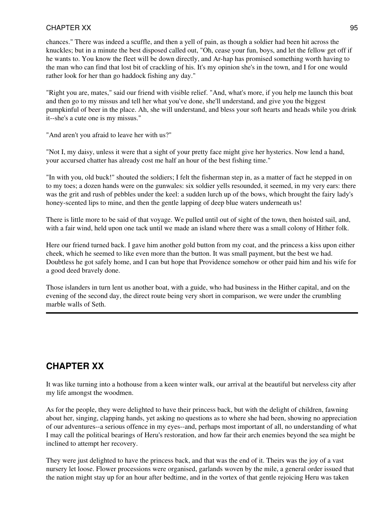chances." There was indeed a scuffle, and then a yell of pain, as though a soldier had been hit across the knuckles; but in a minute the best disposed called out, "Oh, cease your fun, boys, and let the fellow get off if he wants to. You know the fleet will be down directly, and Ar-hap has promised something worth having to the man who can find that lost bit of crackling of his. It's my opinion she's in the town, and I for one would rather look for her than go haddock fishing any day."

"Right you are, mates," said our friend with visible relief. "And, what's more, if you help me launch this boat and then go to my missus and tell her what you've done, she'll understand, and give you the biggest pumpkinful of beer in the place. Ah, she will understand, and bless your soft hearts and heads while you drink it--she's a cute one is my missus."

"And aren't you afraid to leave her with us?"

"Not I, my daisy, unless it were that a sight of your pretty face might give her hysterics. Now lend a hand, your accursed chatter has already cost me half an hour of the best fishing time."

"In with you, old buck!" shouted the soldiers; I felt the fisherman step in, as a matter of fact he stepped in on to my toes; a dozen hands were on the gunwales: six soldier yells resounded, it seemed, in my very ears: there was the grit and rush of pebbles under the keel: a sudden lurch up of the bows, which brought the fairy lady's honey-scented lips to mine, and then the gentle lapping of deep blue waters underneath us!

There is little more to be said of that voyage. We pulled until out of sight of the town, then hoisted sail, and, with a fair wind, held upon one tack until we made an island where there was a small colony of Hither folk.

Here our friend turned back. I gave him another gold button from my coat, and the princess a kiss upon either cheek, which he seemed to like even more than the button. It was small payment, but the best we had. Doubtless he got safely home, and I can but hope that Providence somehow or other paid him and his wife for a good deed bravely done.

Those islanders in turn lent us another boat, with a guide, who had business in the Hither capital, and on the evening of the second day, the direct route being very short in comparison, we were under the crumbling marble walls of Seth.

# **CHAPTER XX**

It was like turning into a hothouse from a keen winter walk, our arrival at the beautiful but nerveless city after my life amongst the woodmen.

As for the people, they were delighted to have their princess back, but with the delight of children, fawning about her, singing, clapping hands, yet asking no questions as to where she had been, showing no appreciation of our adventures--a serious offence in my eyes--and, perhaps most important of all, no understanding of what I may call the political bearings of Heru's restoration, and how far their arch enemies beyond the sea might be inclined to attempt her recovery.

They were just delighted to have the princess back, and that was the end of it. Theirs was the joy of a vast nursery let loose. Flower processions were organised, garlands woven by the mile, a general order issued that the nation might stay up for an hour after bedtime, and in the vortex of that gentle rejoicing Heru was taken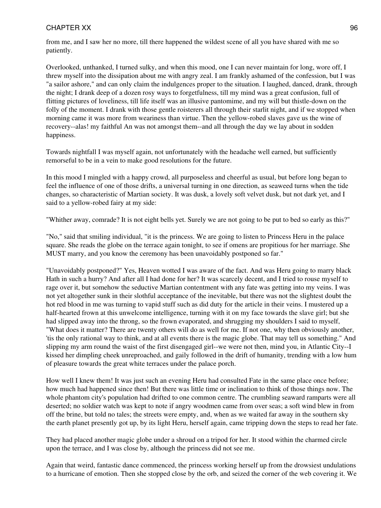from me, and I saw her no more, till there happened the wildest scene of all you have shared with me so patiently.

Overlooked, unthanked, I turned sulky, and when this mood, one I can never maintain for long, wore off, I threw myself into the dissipation about me with angry zeal. I am frankly ashamed of the confession, but I was "a sailor ashore," and can only claim the indulgences proper to the situation. I laughed, danced, drank, through the night; I drank deep of a dozen rosy ways to forgetfulness, till my mind was a great confusion, full of flitting pictures of loveliness, till life itself was an illusive pantomime, and my will but thistle-down on the folly of the moment. I drank with those gentle roisterers all through their starlit night, and if we stopped when morning came it was more from weariness than virtue. Then the yellow-robed slaves gave us the wine of recovery--alas! my faithful An was not amongst them--and all through the day we lay about in sodden happiness.

Towards nightfall I was myself again, not unfortunately with the headache well earned, but sufficiently remorseful to be in a vein to make good resolutions for the future.

In this mood I mingled with a happy crowd, all purposeless and cheerful as usual, but before long began to feel the influence of one of those drifts, a universal turning in one direction, as seaweed turns when the tide changes, so characteristic of Martian society. It was dusk, a lovely soft velvet dusk, but not dark yet, and I said to a yellow-robed fairy at my side:

"Whither away, comrade? It is not eight bells yet. Surely we are not going to be put to bed so early as this?"

"No," said that smiling individual, "it is the princess. We are going to listen to Princess Heru in the palace square. She reads the globe on the terrace again tonight, to see if omens are propitious for her marriage. She MUST marry, and you know the ceremony has been unavoidably postponed so far."

"Unavoidably postponed?" Yes, Heaven wotted I was aware of the fact. And was Heru going to marry black Hath in such a hurry? And after all I had done for her? It was scarcely decent, and I tried to rouse myself to rage over it, but somehow the seductive Martian contentment with any fate was getting into my veins. I was not yet altogether sunk in their slothful acceptance of the inevitable, but there was not the slightest doubt the hot red blood in me was turning to vapid stuff such as did duty for the article in their veins. I mustered up a half-hearted frown at this unwelcome intelligence, turning with it on my face towards the slave girl; but she had slipped away into the throng, so the frown evaporated, and shrugging my shoulders I said to myself, "What does it matter? There are twenty others will do as well for me. If not one, why then obviously another, 'tis the only rational way to think, and at all events there is the magic globe. That may tell us something." And slipping my arm round the waist of the first disengaged girl--we were not then, mind you, in Atlantic City--I kissed her dimpling cheek unreproached, and gaily followed in the drift of humanity, trending with a low hum of pleasure towards the great white terraces under the palace porch.

How well I knew them! It was just such an evening Heru had consulted Fate in the same place once before; how much had happened since then! But there was little time or inclination to think of those things now. The whole phantom city's population had drifted to one common centre. The crumbling seaward ramparts were all deserted; no soldier watch was kept to note if angry woodmen came from over seas; a soft wind blew in from off the brine, but told no tales; the streets were empty, and, when as we waited far away in the southern sky the earth planet presently got up, by its light Heru, herself again, came tripping down the steps to read her fate.

They had placed another magic globe under a shroud on a tripod for her. It stood within the charmed circle upon the terrace, and I was close by, although the princess did not see me.

Again that weird, fantastic dance commenced, the princess working herself up from the drowsiest undulations to a hurricane of emotion. Then she stopped close by the orb, and seized the corner of the web covering it. We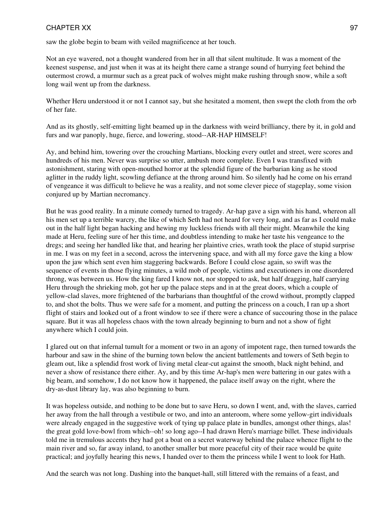saw the globe begin to beam with veiled magnificence at her touch.

Not an eye wavered, not a thought wandered from her in all that silent multitude. It was a moment of the keenest suspense, and just when it was at its height there came a strange sound of hurrying feet behind the outermost crowd, a murmur such as a great pack of wolves might make rushing through snow, while a soft long wail went up from the darkness.

Whether Heru understood it or not I cannot say, but she hesitated a moment, then swept the cloth from the orb of her fate.

And as its ghostly, self-emitting light beamed up in the darkness with weird brilliancy, there by it, in gold and furs and war panoply, huge, fierce, and lowering, stood--AR-HAP HIMSELF!

Ay, and behind him, towering over the crouching Martians, blocking every outlet and street, were scores and hundreds of his men. Never was surprise so utter, ambush more complete. Even I was transfixed with astonishment, staring with open-mouthed horror at the splendid figure of the barbarian king as he stood aglitter in the ruddy light, scowling defiance at the throng around him. So silently had he come on his errand of vengeance it was difficult to believe he was a reality, and not some clever piece of stageplay, some vision conjured up by Martian necromancy.

But he was good reality. In a minute comedy turned to tragedy. Ar-hap gave a sign with his hand, whereon all his men set up a terrible warcry, the like of which Seth had not heard for very long, and as far as I could make out in the half light began hacking and hewing my luckless friends with all their might. Meanwhile the king made at Heru, feeling sure of her this time, and doubtless intending to make her taste his vengeance to the dregs; and seeing her handled like that, and hearing her plaintive cries, wrath took the place of stupid surprise in me. I was on my feet in a second, across the intervening space, and with all my force gave the king a blow upon the jaw which sent even him staggering backwards. Before I could close again, so swift was the sequence of events in those flying minutes, a wild mob of people, victims and executioners in one disordered throng, was between us. How the king fared I know not, nor stopped to ask, but half dragging, half carrying Heru through the shrieking mob, got her up the palace steps and in at the great doors, which a couple of yellow-clad slaves, more frightened of the barbarians than thoughtful of the crowd without, promptly clapped to, and shot the bolts. Thus we were safe for a moment, and putting the princess on a couch, I ran up a short flight of stairs and looked out of a front window to see if there were a chance of succouring those in the palace square. But it was all hopeless chaos with the town already beginning to burn and not a show of fight anywhere which I could join.

I glared out on that infernal tumult for a moment or two in an agony of impotent rage, then turned towards the harbour and saw in the shine of the burning town below the ancient battlements and towers of Seth begin to gleam out, like a splendid frost work of living metal clear-cut against the smooth, black night behind, and never a show of resistance there either. Ay, and by this time Ar-hap's men were battering in our gates with a big beam, and somehow, I do not know how it happened, the palace itself away on the right, where the dry-as-dust library lay, was also beginning to burn.

It was hopeless outside, and nothing to be done but to save Heru, so down I went, and, with the slaves, carried her away from the hall through a vestibule or two, and into an anteroom, where some yellow-girt individuals were already engaged in the suggestive work of tying up palace plate in bundles, amongst other things, alas! the great gold love-bowl from which--oh! so long ago--I had drawn Heru's marriage billet. These individuals told me in tremulous accents they had got a boat on a secret waterway behind the palace whence flight to the main river and so, far away inland, to another smaller but more peaceful city of their race would be quite practical; and joyfully hearing this news, I handed over to them the princess while I went to look for Hath.

And the search was not long. Dashing into the banquet-hall, still littered with the remains of a feast, and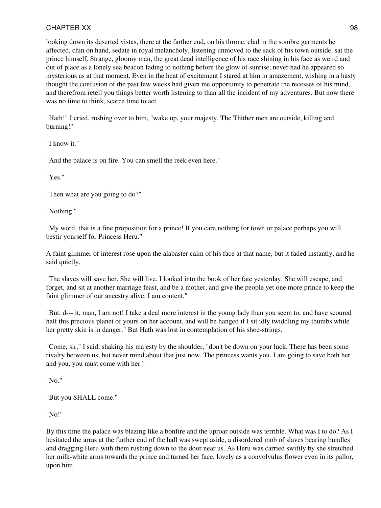looking down its deserted vistas, there at the farther end, on his throne, clad in the sombre garments he affected, chin on hand, sedate in royal melancholy, listening unmoved to the sack of his town outside, sat the prince himself. Strange, gloomy man, the great dead intelligence of his race shining in his face as weird and out of place as a lonely sea beacon fading to nothing before the glow of sunrise, never had he appeared so mysterious as at that moment. Even in the heat of excitement I stared at him in amazement, wishing in a hasty thought the confusion of the past few weeks had given me opportunity to penetrate the recesses of his mind, and therefrom retell you things better worth listening to than all the incident of my adventures. But now there was no time to think, scarce time to act.

"Hath!" I cried, rushing over to him, "wake up, your majesty. The Thither men are outside, killing and burning!"

"I know it."

"And the palace is on fire. You can smell the reek even here."

"Yes."

"Then what are you going to do?"

"Nothing."

"My word, that is a fine proposition for a prince! If you care nothing for town or palace perhaps you will bestir yourself for Princess Heru."

A faint glimmer of interest rose upon the alabaster calm of his face at that name, but it faded instantly, and he said quietly,

"The slaves will save her. She will live. I looked into the book of her fate yesterday. She will escape, and forget, and sit at another marriage feast, and be a mother, and give the people yet one more prince to keep the faint glimmer of our ancestry alive. I am content."

"But, d--- it, man, I am not! I take a deal more interest in the young lady than you seem to, and have scoured half this precious planet of yours on her account, and will be hanged if I sit idly twiddling my thumbs while her pretty skin is in danger." But Hath was lost in contemplation of his shoe-strings.

"Come, sir," I said, shaking his majesty by the shoulder, "don't be down on your luck. There has been some rivalry between us, but never mind about that just now. The princess wants you. I am going to save both her and you, you must come with her."

"No."

"But you SHALL come."

"No!"

By this time the palace was blazing like a bonfire and the uproar outside was terrible. What was I to do? As I hesitated the arras at the further end of the hall was swept aside, a disordered mob of slaves bearing bundles and dragging Heru with them rushing down to the door near us. As Heru was carried swiftly by she stretched her milk-white arms towards the prince and turned her face, lovely as a convolvulus flower even in its pallor, upon him.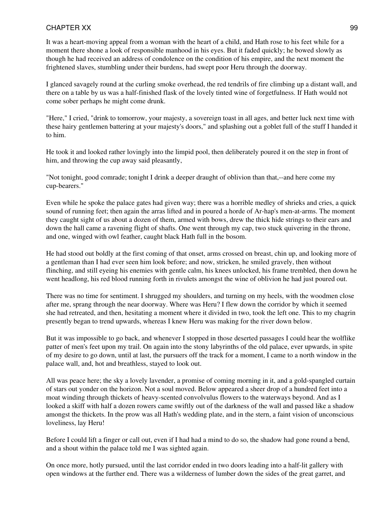It was a heart-moving appeal from a woman with the heart of a child, and Hath rose to his feet while for a moment there shone a look of responsible manhood in his eyes. But it faded quickly; he bowed slowly as though he had received an address of condolence on the condition of his empire, and the next moment the frightened slaves, stumbling under their burdens, had swept poor Heru through the doorway.

I glanced savagely round at the curling smoke overhead, the red tendrils of fire climbing up a distant wall, and there on a table by us was a half-finished flask of the lovely tinted wine of forgetfulness. If Hath would not come sober perhaps he might come drunk.

"Here," I cried, "drink to tomorrow, your majesty, a sovereign toast in all ages, and better luck next time with these hairy gentlemen battering at your majesty's doors," and splashing out a goblet full of the stuff I handed it to him.

He took it and looked rather lovingly into the limpid pool, then deliberately poured it on the step in front of him, and throwing the cup away said pleasantly,

"Not tonight, good comrade; tonight I drink a deeper draught of oblivion than that,--and here come my cup-bearers."

Even while he spoke the palace gates had given way; there was a horrible medley of shrieks and cries, a quick sound of running feet; then again the arras lifted and in poured a horde of Ar-hap's men-at-arms. The moment they caught sight of us about a dozen of them, armed with bows, drew the thick hide strings to their ears and down the hall came a ravening flight of shafts. One went through my cap, two stuck quivering in the throne, and one, winged with owl feather, caught black Hath full in the bosom.

He had stood out boldly at the first coming of that onset, arms crossed on breast, chin up, and looking more of a gentleman than I had ever seen him look before; and now, stricken, he smiled gravely, then without flinching, and still eyeing his enemies with gentle calm, his knees unlocked, his frame trembled, then down he went headlong, his red blood running forth in rivulets amongst the wine of oblivion he had just poured out.

There was no time for sentiment. I shrugged my shoulders, and turning on my heels, with the woodmen close after me, sprang through the near doorway. Where was Heru? I flew down the corridor by which it seemed she had retreated, and then, hesitating a moment where it divided in two, took the left one. This to my chagrin presently began to trend upwards, whereas I knew Heru was making for the river down below.

But it was impossible to go back, and whenever I stopped in those deserted passages I could hear the wolflike patter of men's feet upon my trail. On again into the stony labyrinths of the old palace, ever upwards, in spite of my desire to go down, until at last, the pursuers off the track for a moment, I came to a north window in the palace wall, and, hot and breathless, stayed to look out.

All was peace here; the sky a lovely lavender, a promise of coming morning in it, and a gold-spangled curtain of stars out yonder on the horizon. Not a soul moved. Below appeared a sheer drop of a hundred feet into a moat winding through thickets of heavy-scented convolvulus flowers to the waterways beyond. And as I looked a skiff with half a dozen rowers came swiftly out of the darkness of the wall and passed like a shadow amongst the thickets. In the prow was all Hath's wedding plate, and in the stern, a faint vision of unconscious loveliness, lay Heru!

Before I could lift a finger or call out, even if I had had a mind to do so, the shadow had gone round a bend, and a shout within the palace told me I was sighted again.

On once more, hotly pursued, until the last corridor ended in two doors leading into a half-lit gallery with open windows at the further end. There was a wilderness of lumber down the sides of the great garret, and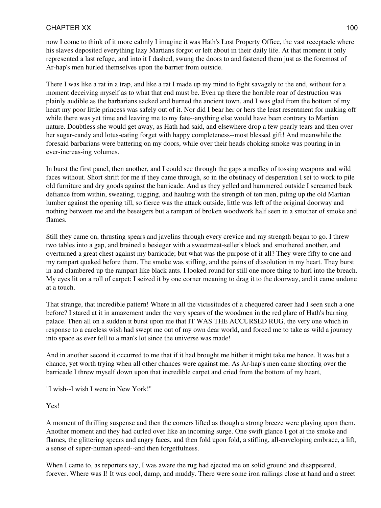now I come to think of it more calmly I imagine it was Hath's Lost Property Office, the vast receptacle where his slaves deposited everything lazy Martians forgot or left about in their daily life. At that moment it only represented a last refuge, and into it I dashed, swung the doors to and fastened them just as the foremost of Ar-hap's men hurled themselves upon the barrier from outside.

There I was like a rat in a trap, and like a rat I made up my mind to fight savagely to the end, without for a moment deceiving myself as to what that end must be. Even up there the horrible roar of destruction was plainly audible as the barbarians sacked and burned the ancient town, and I was glad from the bottom of my heart my poor little princess was safely out of it. Nor did I bear her or hers the least resentment for making off while there was yet time and leaving me to my fate--anything else would have been contrary to Martian nature. Doubtless she would get away, as Hath had said, and elsewhere drop a few pearly tears and then over her sugar-candy and lotus-eating forget with happy completeness--most blessed gift! And meanwhile the foresaid barbarians were battering on my doors, while over their heads choking smoke was pouring in in ever-increas-ing volumes.

In burst the first panel, then another, and I could see through the gaps a medley of tossing weapons and wild faces without. Short shrift for me if they came through, so in the obstinacy of desperation I set to work to pile old furniture and dry goods against the barricade. And as they yelled and hammered outside I screamed back defiance from within, sweating, tugging, and hauling with the strength of ten men, piling up the old Martian lumber against the opening till, so fierce was the attack outside, little was left of the original doorway and nothing between me and the beseigers but a rampart of broken woodwork half seen in a smother of smoke and flames.

Still they came on, thrusting spears and javelins through every crevice and my strength began to go. I threw two tables into a gap, and brained a besieger with a sweetmeat-seller's block and smothered another, and overturned a great chest against my barricade; but what was the purpose of it all? They were fifty to one and my rampart quaked before them. The smoke was stifling, and the pains of dissolution in my heart. They burst in and clambered up the rampart like black ants. I looked round for still one more thing to hurl into the breach. My eyes lit on a roll of carpet: I seized it by one corner meaning to drag it to the doorway, and it came undone at a touch.

That strange, that incredible pattern! Where in all the vicissitudes of a chequered career had I seen such a one before? I stared at it in amazement under the very spears of the woodmen in the red glare of Hath's burning palace. Then all on a sudden it burst upon me that IT WAS THE ACCURSED RUG, the very one which in response to a careless wish had swept me out of my own dear world, and forced me to take as wild a journey into space as ever fell to a man's lot since the universe was made!

And in another second it occurred to me that if it had brought me hither it might take me hence. It was but a chance, yet worth trying when all other chances were against me. As Ar-hap's men came shouting over the barricade I threw myself down upon that incredible carpet and cried from the bottom of my heart,

"I wish--I wish I were in New York!"

Yes!

A moment of thrilling suspense and then the corners lifted as though a strong breeze were playing upon them. Another moment and they had curled over like an incoming surge. One swift glance I got at the smoke and flames, the glittering spears and angry faces, and then fold upon fold, a stifling, all-enveloping embrace, a lift, a sense of super-human speed--and then forgetfulness.

When I came to, as reporters say, I was aware the rug had ejected me on solid ground and disappeared, forever. Where was I! It was cool, damp, and muddy. There were some iron railings close at hand and a street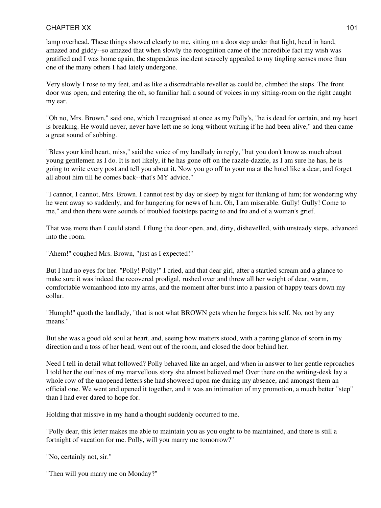lamp overhead. These things showed clearly to me, sitting on a doorstep under that light, head in hand, amazed and giddy--so amazed that when slowly the recognition came of the incredible fact my wish was gratified and I was home again, the stupendous incident scarcely appealed to my tingling senses more than one of the many others I had lately undergone.

Very slowly I rose to my feet, and as like a discreditable reveller as could be, climbed the steps. The front door was open, and entering the oh, so familiar hall a sound of voices in my sitting-room on the right caught my ear.

"Oh no, Mrs. Brown," said one, which I recognised at once as my Polly's, "he is dead for certain, and my heart is breaking. He would never, never have left me so long without writing if he had been alive," and then came a great sound of sobbing.

"Bless your kind heart, miss," said the voice of my landlady in reply, "but you don't know as much about young gentlemen as I do. It is not likely, if he has gone off on the razzle-dazzle, as I am sure he has, he is going to write every post and tell you about it. Now you go off to your ma at the hotel like a dear, and forget all about him till he comes back--that's MY advice."

"I cannot, I cannot, Mrs. Brown. I cannot rest by day or sleep by night for thinking of him; for wondering why he went away so suddenly, and for hungering for news of him. Oh, I am miserable. Gully! Gully! Come to me," and then there were sounds of troubled footsteps pacing to and fro and of a woman's grief.

That was more than I could stand. I flung the door open, and, dirty, dishevelled, with unsteady steps, advanced into the room.

"Ahem!" coughed Mrs. Brown, "just as I expected!"

But I had no eyes for her. "Polly! Polly!" I cried, and that dear girl, after a startled scream and a glance to make sure it was indeed the recovered prodigal, rushed over and threw all her weight of dear, warm, comfortable womanhood into my arms, and the moment after burst into a passion of happy tears down my collar.

"Humph!" quoth the landlady, "that is not what BROWN gets when he forgets his self. No, not by any means."

But she was a good old soul at heart, and, seeing how matters stood, with a parting glance of scorn in my direction and a toss of her head, went out of the room, and closed the door behind her.

Need I tell in detail what followed? Polly behaved like an angel, and when in answer to her gentle reproaches I told her the outlines of my marvellous story she almost believed me! Over there on the writing-desk lay a whole row of the unopened letters she had showered upon me during my absence, and amongst them an official one. We went and opened it together, and it was an intimation of my promotion, a much better "step" than I had ever dared to hope for.

Holding that missive in my hand a thought suddenly occurred to me.

"Polly dear, this letter makes me able to maintain you as you ought to be maintained, and there is still a fortnight of vacation for me. Polly, will you marry me tomorrow?"

"No, certainly not, sir."

"Then will you marry me on Monday?"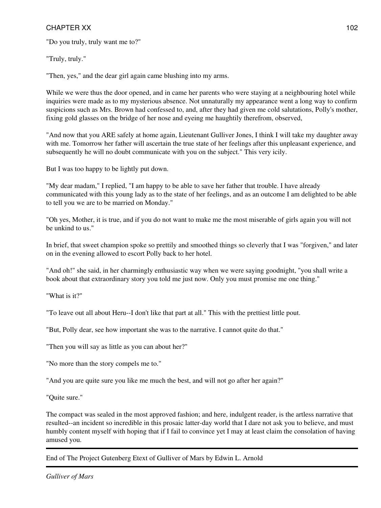"Do you truly, truly want me to?"

"Truly, truly."

"Then, yes," and the dear girl again came blushing into my arms.

While we were thus the door opened, and in came her parents who were staying at a neighbouring hotel while inquiries were made as to my mysterious absence. Not unnaturally my appearance went a long way to confirm suspicions such as Mrs. Brown had confessed to, and, after they had given me cold salutations, Polly's mother, fixing gold glasses on the bridge of her nose and eyeing me haughtily therefrom, observed,

"And now that you ARE safely at home again, Lieutenant Gulliver Jones, I think I will take my daughter away with me. Tomorrow her father will ascertain the true state of her feelings after this unpleasant experience, and subsequently he will no doubt communicate with you on the subject." This very icily.

But I was too happy to be lightly put down.

"My dear madam," I replied, "I am happy to be able to save her father that trouble. I have already communicated with this young lady as to the state of her feelings, and as an outcome I am delighted to be able to tell you we are to be married on Monday."

"Oh yes, Mother, it is true, and if you do not want to make me the most miserable of girls again you will not be unkind to us."

In brief, that sweet champion spoke so prettily and smoothed things so cleverly that I was "forgiven," and later on in the evening allowed to escort Polly back to her hotel.

"And oh!" she said, in her charmingly enthusiastic way when we were saying goodnight, "you shall write a book about that extraordinary story you told me just now. Only you must promise me one thing."

"What is it?"

"To leave out all about Heru--I don't like that part at all." This with the prettiest little pout.

"But, Polly dear, see how important she was to the narrative. I cannot quite do that."

"Then you will say as little as you can about her?"

"No more than the story compels me to."

"And you are quite sure you like me much the best, and will not go after her again?"

"Quite sure."

The compact was sealed in the most approved fashion; and here, indulgent reader, is the artless narrative that resulted--an incident so incredible in this prosaic latter-day world that I dare not ask you to believe, and must humbly content myself with hoping that if I fail to convince yet I may at least claim the consolation of having amused you.

End of The Project Gutenberg Etext of Gulliver of Mars by Edwin L. Arnold